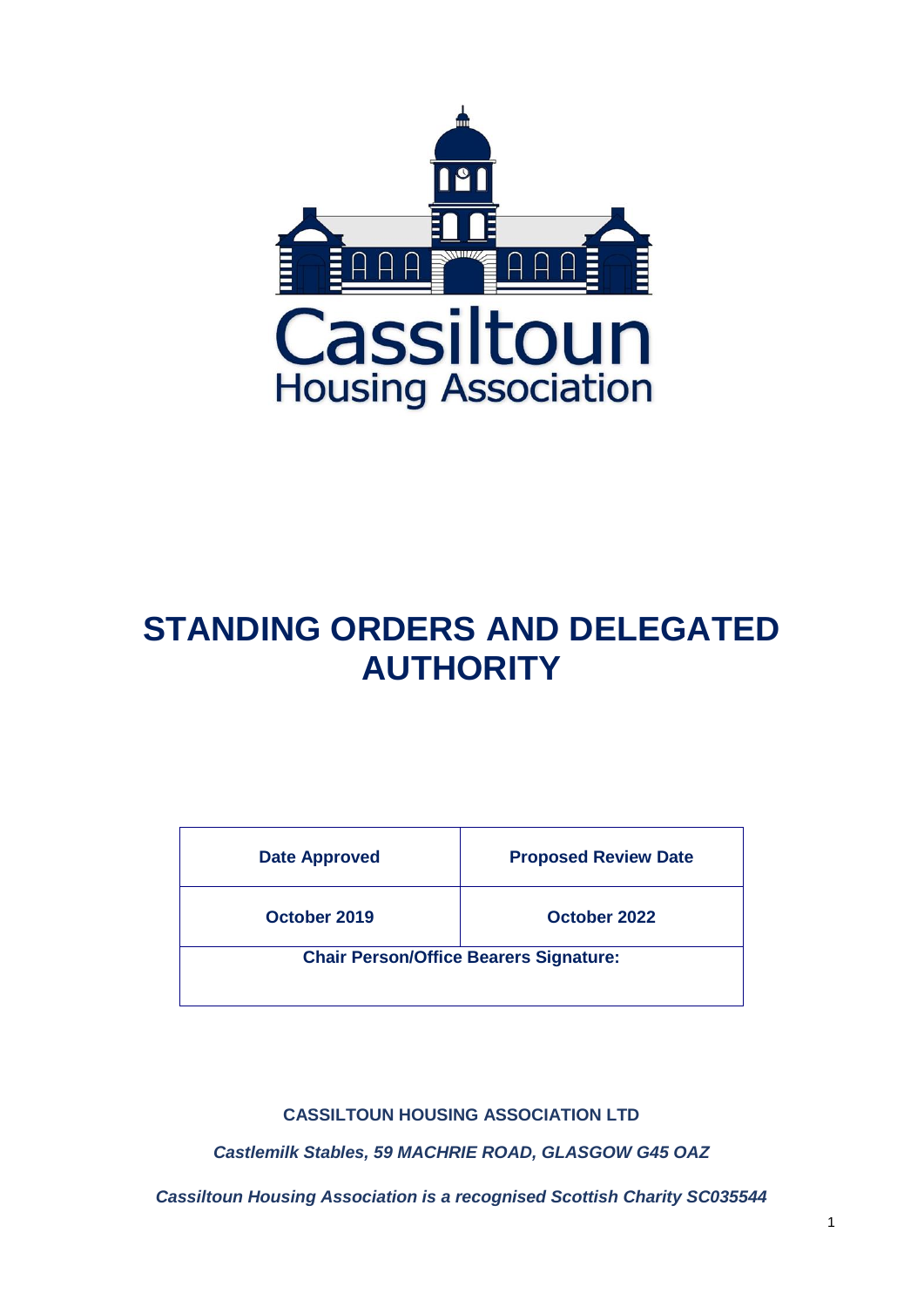

# **STANDING ORDERS AND DELEGATED AUTHORITY**

| <b>Date Approved</b> | <b>Proposed Review Date</b>                   |
|----------------------|-----------------------------------------------|
| October 2019         | October 2022                                  |
|                      | <b>Chair Person/Office Bearers Signature:</b> |

**CASSILTOUN HOUSING ASSOCIATION LTD**

*Castlemilk Stables, 59 MACHRIE ROAD, GLASGOW G45 OAZ*

*Cassiltoun Housing Association is a recognised Scottish Charity SC035544*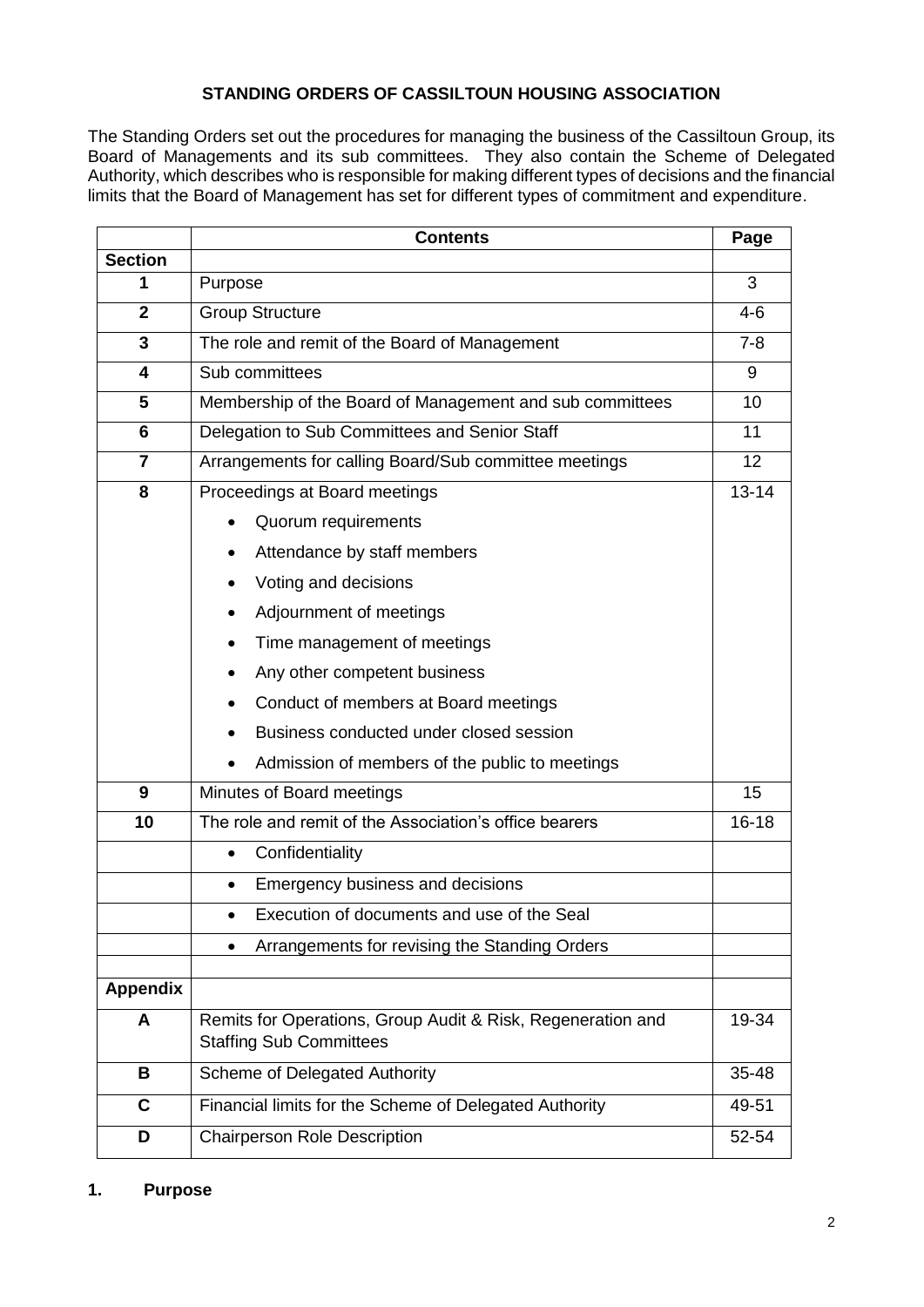# **STANDING ORDERS OF CASSILTOUN HOUSING ASSOCIATION**

The Standing Orders set out the procedures for managing the business of the Cassiltoun Group, its Board of Managements and its sub committees. They also contain the Scheme of Delegated Authority, which describes who is responsible for making different types of decisions and the financial limits that the Board of Management has set for different types of commitment and expenditure.

|                | <b>Contents</b>                                                                               |           |  |  |  |  |  |  |
|----------------|-----------------------------------------------------------------------------------------------|-----------|--|--|--|--|--|--|
| <b>Section</b> |                                                                                               |           |  |  |  |  |  |  |
| 1              | Purpose                                                                                       | 3         |  |  |  |  |  |  |
| $\overline{2}$ | <b>Group Structure</b>                                                                        | $4 - 6$   |  |  |  |  |  |  |
| 3              | The role and remit of the Board of Management                                                 |           |  |  |  |  |  |  |
| 4              | Sub committees                                                                                |           |  |  |  |  |  |  |
| 5              | Membership of the Board of Management and sub committees                                      |           |  |  |  |  |  |  |
| 6              | Delegation to Sub Committees and Senior Staff                                                 |           |  |  |  |  |  |  |
| $\overline{7}$ | Arrangements for calling Board/Sub committee meetings                                         | 12        |  |  |  |  |  |  |
| 8              | Proceedings at Board meetings                                                                 | $13 - 14$ |  |  |  |  |  |  |
|                | Quorum requirements                                                                           |           |  |  |  |  |  |  |
|                | Attendance by staff members                                                                   |           |  |  |  |  |  |  |
|                | Voting and decisions                                                                          |           |  |  |  |  |  |  |
|                | Adjournment of meetings                                                                       |           |  |  |  |  |  |  |
|                | Time management of meetings                                                                   |           |  |  |  |  |  |  |
|                | Any other competent business                                                                  |           |  |  |  |  |  |  |
|                | Conduct of members at Board meetings                                                          |           |  |  |  |  |  |  |
|                | Business conducted under closed session                                                       |           |  |  |  |  |  |  |
|                | Admission of members of the public to meetings                                                |           |  |  |  |  |  |  |
| 9              | Minutes of Board meetings                                                                     | 15        |  |  |  |  |  |  |
| 10             | The role and remit of the Association's office bearers                                        | $16 - 18$ |  |  |  |  |  |  |
|                | Confidentiality<br>$\bullet$                                                                  |           |  |  |  |  |  |  |
|                | Emergency business and decisions<br>$\bullet$                                                 |           |  |  |  |  |  |  |
|                | Execution of documents and use of the Seal<br>$\bullet$                                       |           |  |  |  |  |  |  |
|                | Arrangements for revising the Standing Orders<br>$\bullet$                                    |           |  |  |  |  |  |  |
| Appendix       |                                                                                               |           |  |  |  |  |  |  |
|                |                                                                                               | 19-34     |  |  |  |  |  |  |
| A              | Remits for Operations, Group Audit & Risk, Regeneration and<br><b>Staffing Sub Committees</b> |           |  |  |  |  |  |  |
| B              | Scheme of Delegated Authority                                                                 |           |  |  |  |  |  |  |
| $\mathbf C$    | Financial limits for the Scheme of Delegated Authority                                        | 49-51     |  |  |  |  |  |  |
| D              | <b>Chairperson Role Description</b>                                                           | 52-54     |  |  |  |  |  |  |

#### **1. Purpose**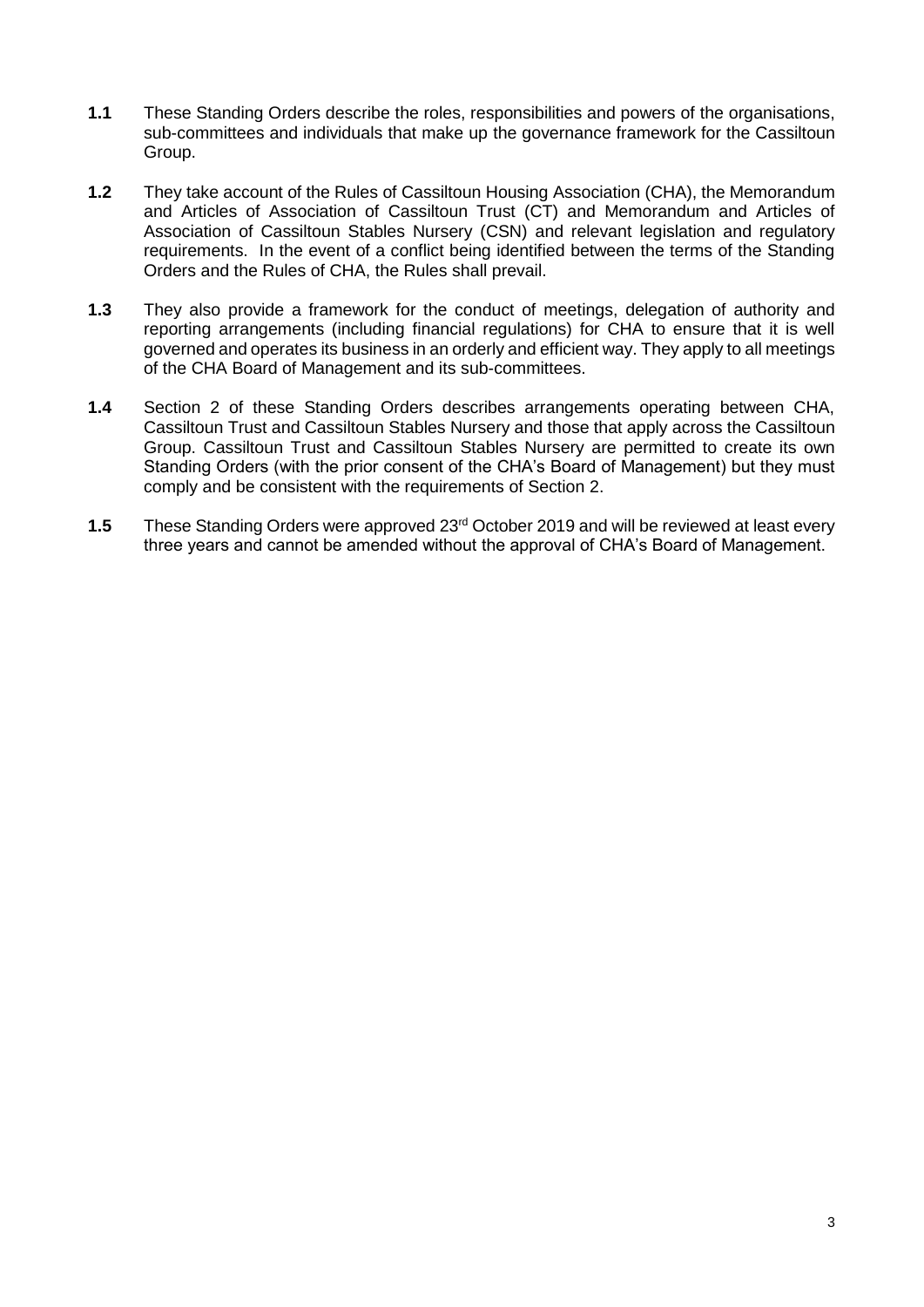- **1.1** These Standing Orders describe the roles, responsibilities and powers of the organisations, sub-committees and individuals that make up the governance framework for the Cassiltoun Group.
- **1.2** They take account of the Rules of Cassiltoun Housing Association (CHA), the Memorandum and Articles of Association of Cassiltoun Trust (CT) and Memorandum and Articles of Association of Cassiltoun Stables Nursery (CSN) and relevant legislation and regulatory requirements. In the event of a conflict being identified between the terms of the Standing Orders and the Rules of CHA, the Rules shall prevail.
- **1.3** They also provide a framework for the conduct of meetings, delegation of authority and reporting arrangements (including financial regulations) for CHA to ensure that it is well governed and operates its business in an orderly and efficient way. They apply to all meetings of the CHA Board of Management and its sub-committees.
- **1.4** Section 2 of these Standing Orders describes arrangements operating between CHA, Cassiltoun Trust and Cassiltoun Stables Nursery and those that apply across the Cassiltoun Group. Cassiltoun Trust and Cassiltoun Stables Nursery are permitted to create its own Standing Orders (with the prior consent of the CHA's Board of Management) but they must comply and be consistent with the requirements of Section 2.
- **1.5** These Standing Orders were approved 23rd October 2019 and will be reviewed at least every three years and cannot be amended without the approval of CHA's Board of Management.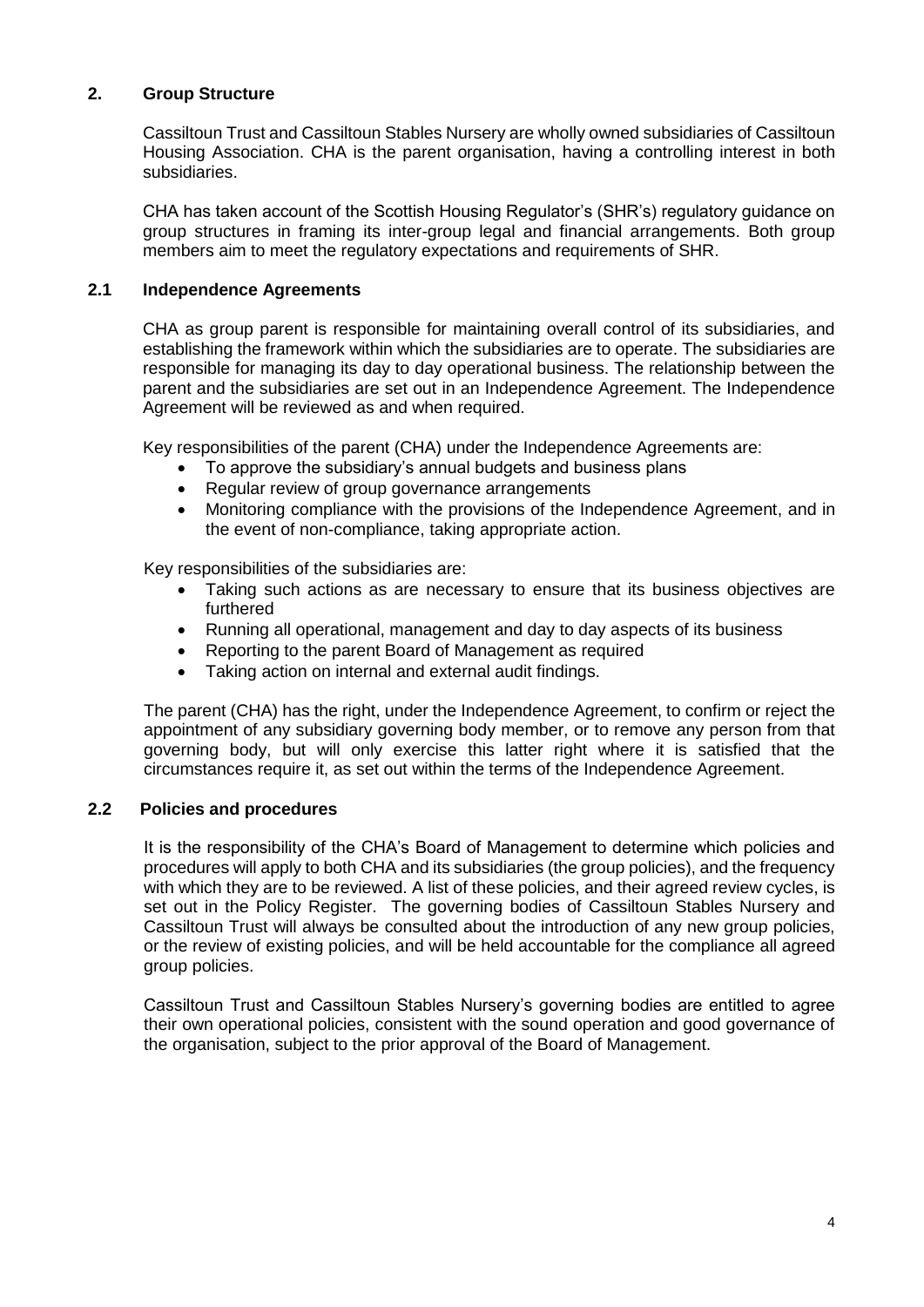# **2. Group Structure**

Cassiltoun Trust and Cassiltoun Stables Nursery are wholly owned subsidiaries of Cassiltoun Housing Association. CHA is the parent organisation, having a controlling interest in both subsidiaries.

CHA has taken account of the Scottish Housing Regulator's (SHR's) regulatory guidance on group structures in framing its inter-group legal and financial arrangements. Both group members aim to meet the regulatory expectations and requirements of SHR.

#### **2.1 Independence Agreements**

CHA as group parent is responsible for maintaining overall control of its subsidiaries, and establishing the framework within which the subsidiaries are to operate. The subsidiaries are responsible for managing its day to day operational business. The relationship between the parent and the subsidiaries are set out in an Independence Agreement. The Independence Agreement will be reviewed as and when required.

Key responsibilities of the parent (CHA) under the Independence Agreements are:

- To approve the subsidiary's annual budgets and business plans
- Regular review of group governance arrangements
- Monitoring compliance with the provisions of the Independence Agreement, and in the event of non-compliance, taking appropriate action.

Key responsibilities of the subsidiaries are:

- Taking such actions as are necessary to ensure that its business objectives are furthered
- Running all operational, management and day to day aspects of its business
- Reporting to the parent Board of Management as required
- Taking action on internal and external audit findings.

The parent (CHA) has the right, under the Independence Agreement, to confirm or reject the appointment of any subsidiary governing body member, or to remove any person from that governing body, but will only exercise this latter right where it is satisfied that the circumstances require it, as set out within the terms of the Independence Agreement.

#### **2.2 Policies and procedures**

It is the responsibility of the CHA's Board of Management to determine which policies and procedures will apply to both CHA and its subsidiaries (the group policies), and the frequency with which they are to be reviewed. A list of these policies, and their agreed review cycles, is set out in the Policy Register. The governing bodies of Cassiltoun Stables Nursery and Cassiltoun Trust will always be consulted about the introduction of any new group policies, or the review of existing policies, and will be held accountable for the compliance all agreed group policies.

Cassiltoun Trust and Cassiltoun Stables Nursery's governing bodies are entitled to agree their own operational policies, consistent with the sound operation and good governance of the organisation, subject to the prior approval of the Board of Management.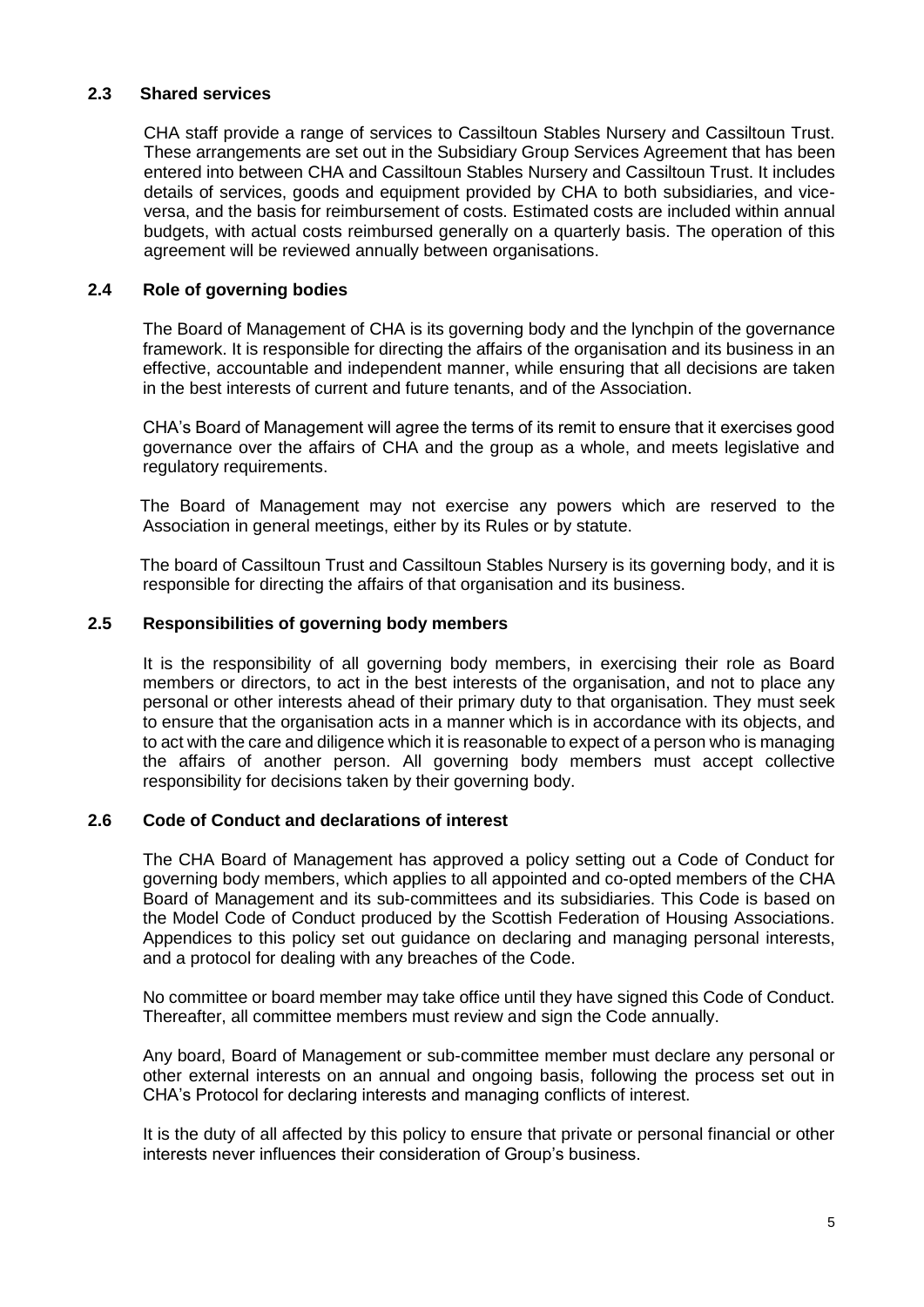## **2.3 Shared services**

CHA staff provide a range of services to Cassiltoun Stables Nursery and Cassiltoun Trust. These arrangements are set out in the Subsidiary Group Services Agreement that has been entered into between CHA and Cassiltoun Stables Nursery and Cassiltoun Trust. It includes details of services, goods and equipment provided by CHA to both subsidiaries, and viceversa, and the basis for reimbursement of costs. Estimated costs are included within annual budgets, with actual costs reimbursed generally on a quarterly basis. The operation of this agreement will be reviewed annually between organisations.

## **2.4 Role of governing bodies**

The Board of Management of CHA is its governing body and the lynchpin of the governance framework. It is responsible for directing the affairs of the organisation and its business in an effective, accountable and independent manner, while ensuring that all decisions are taken in the best interests of current and future tenants, and of the Association.

CHA's Board of Management will agree the terms of its remit to ensure that it exercises good governance over the affairs of CHA and the group as a whole, and meets legislative and regulatory requirements.

 The Board of Management may not exercise any powers which are reserved to the Association in general meetings, either by its Rules or by statute.

 The board of Cassiltoun Trust and Cassiltoun Stables Nursery is its governing body, and it is responsible for directing the affairs of that organisation and its business.

#### **2.5 Responsibilities of governing body members**

It is the responsibility of all governing body members, in exercising their role as Board members or directors, to act in the best interests of the organisation, and not to place any personal or other interests ahead of their primary duty to that organisation. They must seek to ensure that the organisation acts in a manner which is in accordance with its objects, and to act with the care and diligence which it is reasonable to expect of a person who is managing the affairs of another person. All governing body members must accept collective responsibility for decisions taken by their governing body.

## **2.6 Code of Conduct and declarations of interest**

The CHA Board of Management has approved a policy setting out a Code of Conduct for governing body members, which applies to all appointed and co-opted members of the CHA Board of Management and its sub-committees and its subsidiaries. This Code is based on the Model Code of Conduct produced by the Scottish Federation of Housing Associations. Appendices to this policy set out guidance on declaring and managing personal interests, and a protocol for dealing with any breaches of the Code.

No committee or board member may take office until they have signed this Code of Conduct. Thereafter, all committee members must review and sign the Code annually.

Any board, Board of Management or sub-committee member must declare any personal or other external interests on an annual and ongoing basis, following the process set out in CHA's Protocol for declaring interests and managing conflicts of interest.

It is the duty of all affected by this policy to ensure that private or personal financial or other interests never influences their consideration of Group's business.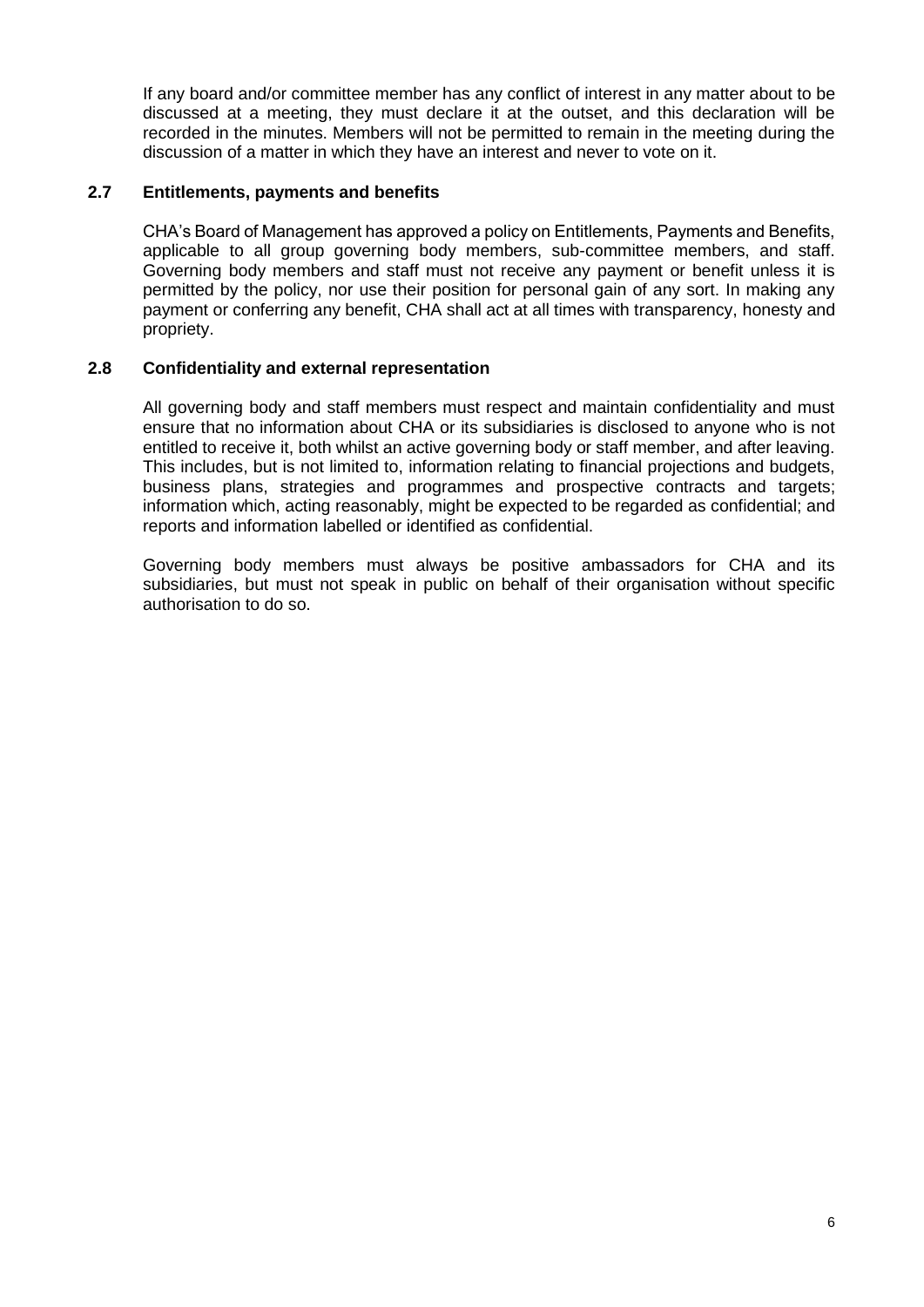If any board and/or committee member has any conflict of interest in any matter about to be discussed at a meeting, they must declare it at the outset, and this declaration will be recorded in the minutes. Members will not be permitted to remain in the meeting during the discussion of a matter in which they have an interest and never to vote on it.

# **2.7 Entitlements, payments and benefits**

CHA's Board of Management has approved a policy on Entitlements, Payments and Benefits, applicable to all group governing body members, sub-committee members, and staff. Governing body members and staff must not receive any payment or benefit unless it is permitted by the policy, nor use their position for personal gain of any sort. In making any payment or conferring any benefit, CHA shall act at all times with transparency, honesty and propriety.

# **2.8 Confidentiality and external representation**

All governing body and staff members must respect and maintain confidentiality and must ensure that no information about CHA or its subsidiaries is disclosed to anyone who is not entitled to receive it, both whilst an active governing body or staff member, and after leaving. This includes, but is not limited to, information relating to financial projections and budgets, business plans, strategies and programmes and prospective contracts and targets; information which, acting reasonably, might be expected to be regarded as confidential; and reports and information labelled or identified as confidential.

Governing body members must always be positive ambassadors for CHA and its subsidiaries, but must not speak in public on behalf of their organisation without specific authorisation to do so.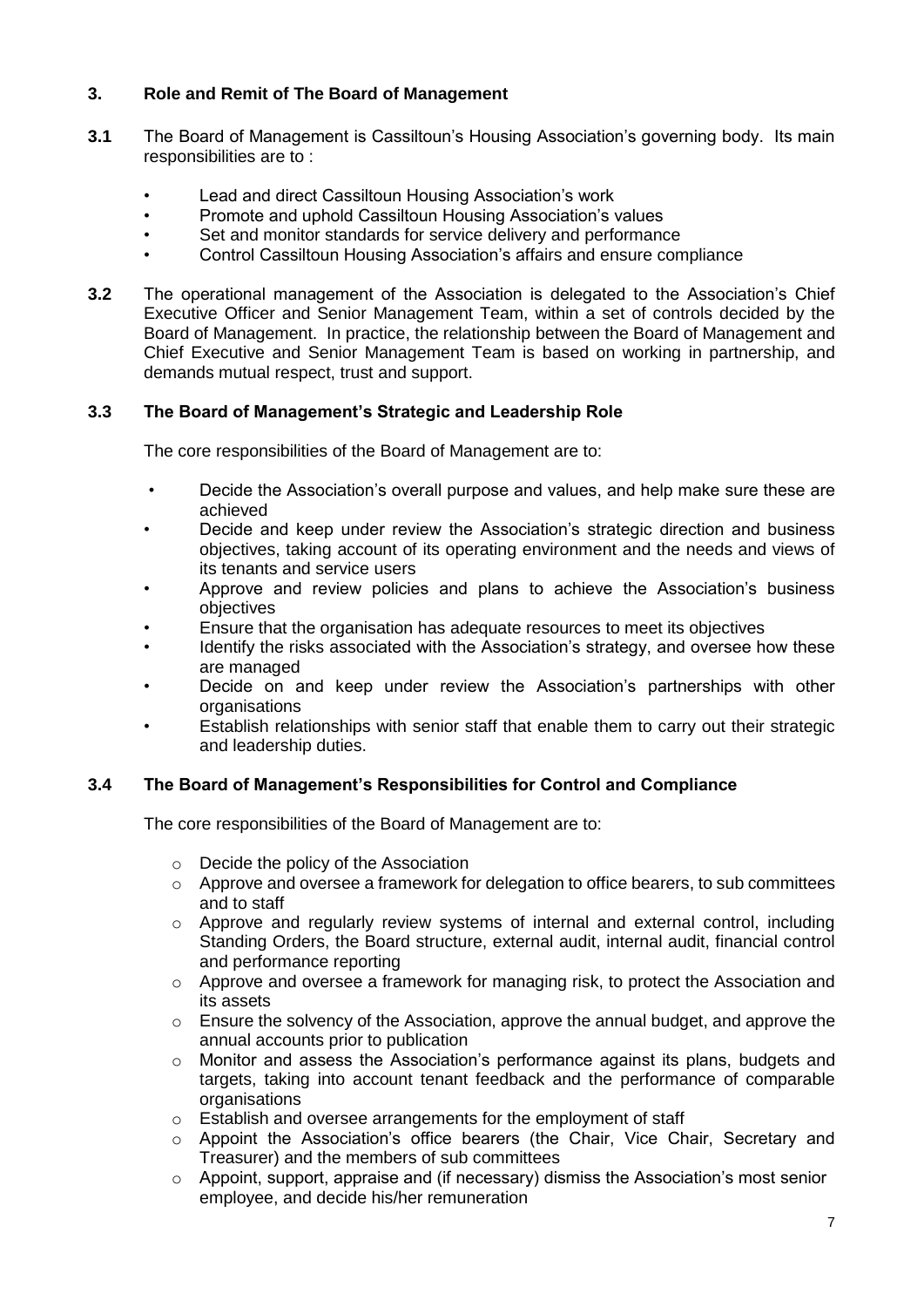# **3. Role and Remit of The Board of Management**

- **3.1** The Board of Management is Cassiltoun's Housing Association's governing body. Its main responsibilities are to :
	- Lead and direct Cassiltoun Housing Association's work
	- Promote and uphold Cassiltoun Housing Association's values
	- Set and monitor standards for service delivery and performance
	- Control Cassiltoun Housing Association's affairs and ensure compliance
- **3.2** The operational management of the Association is delegated to the Association's Chief Executive Officer and Senior Management Team, within a set of controls decided by the Board of Management. In practice, the relationship between the Board of Management and Chief Executive and Senior Management Team is based on working in partnership, and demands mutual respect, trust and support.

# **3.3 The Board of Management's Strategic and Leadership Role**

The core responsibilities of the Board of Management are to:

- Decide the Association's overall purpose and values, and help make sure these are achieved
- Decide and keep under review the Association's strategic direction and business objectives, taking account of its operating environment and the needs and views of its tenants and service users
- Approve and review policies and plans to achieve the Association's business objectives
- Ensure that the organisation has adequate resources to meet its objectives
- Identify the risks associated with the Association's strategy, and oversee how these are managed
- Decide on and keep under review the Association's partnerships with other **organisations**
- Establish relationships with senior staff that enable them to carry out their strategic and leadership duties.

# **3.4 The Board of Management's Responsibilities for Control and Compliance**

The core responsibilities of the Board of Management are to:

- o Decide the policy of the Association
- $\circ$  Approve and oversee a framework for delegation to office bearers, to sub committees and to staff
- $\circ$  Approve and regularly review systems of internal and external control, including Standing Orders, the Board structure, external audit, internal audit, financial control and performance reporting
- $\circ$  Approve and oversee a framework for managing risk, to protect the Association and its assets
- o Ensure the solvency of the Association, approve the annual budget, and approve the annual accounts prior to publication
- o Monitor and assess the Association's performance against its plans, budgets and targets, taking into account tenant feedback and the performance of comparable organisations
- o Establish and oversee arrangements for the employment of staff
- o Appoint the Association's office bearers (the Chair, Vice Chair, Secretary and Treasurer) and the members of sub committees
- o Appoint, support, appraise and (if necessary) dismiss the Association's most senior employee, and decide his/her remuneration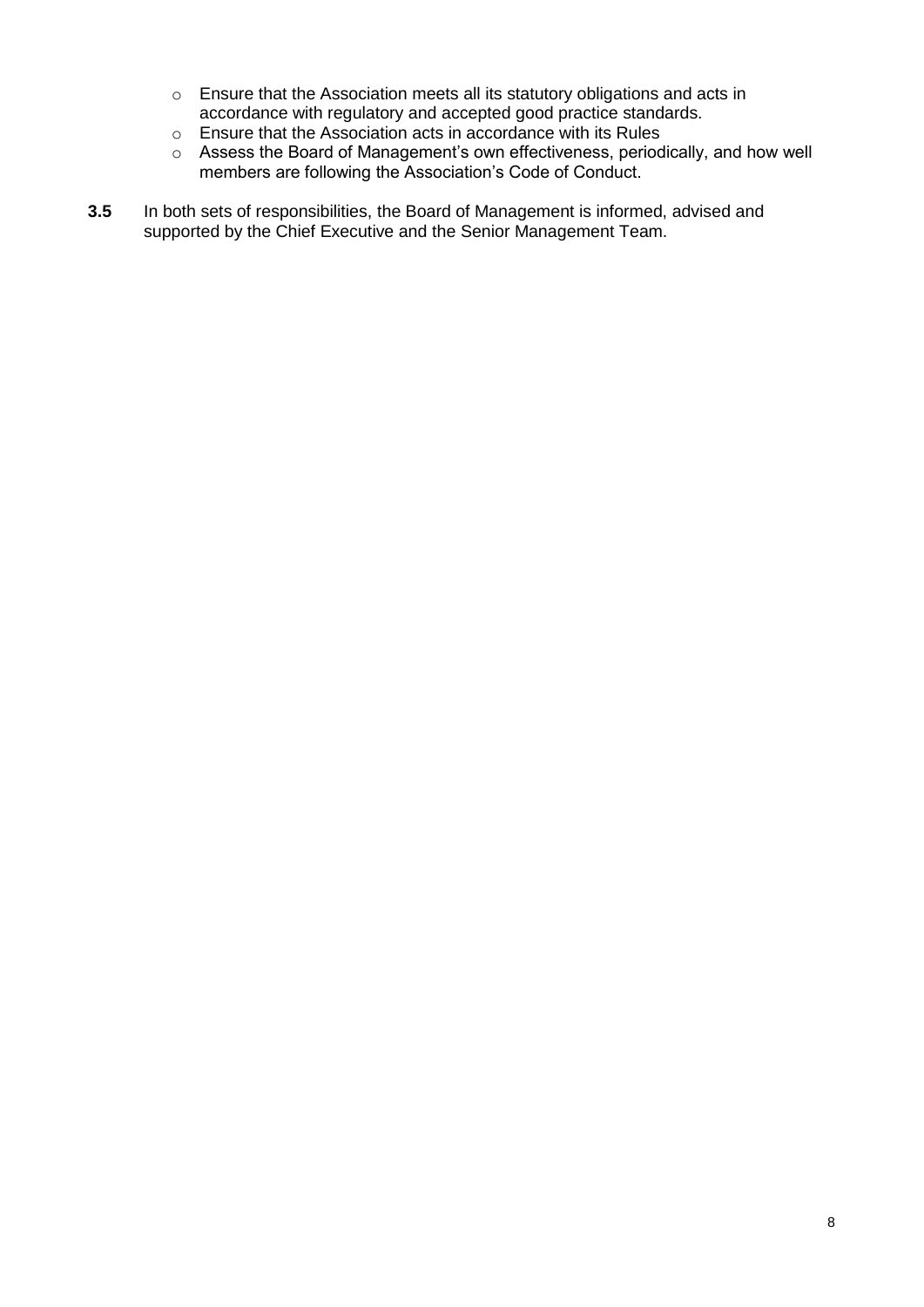- o Ensure that the Association meets all its statutory obligations and acts in accordance with regulatory and accepted good practice standards.
- o Ensure that the Association acts in accordance with its Rules
- o Assess the Board of Management's own effectiveness, periodically, and how well members are following the Association's Code of Conduct.
- **3.5** In both sets of responsibilities, the Board of Management is informed, advised and supported by the Chief Executive and the Senior Management Team.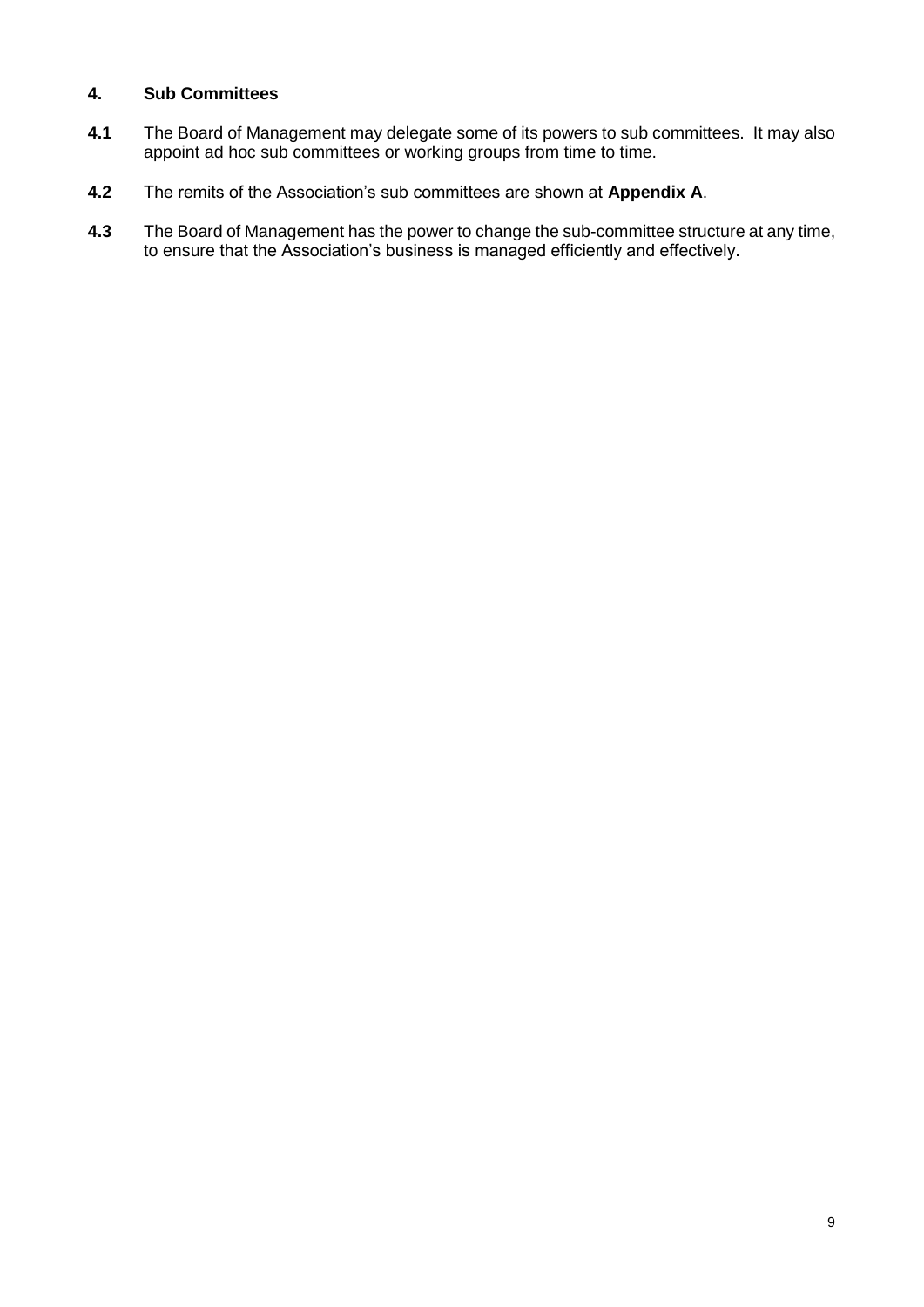# **4. Sub Committees**

- **4.1** The Board of Management may delegate some of its powers to sub committees. It may also appoint ad hoc sub committees or working groups from time to time.
- **4.2** The remits of the Association's sub committees are shown at **Appendix A**.
- **4.3** The Board of Management has the power to change the sub-committee structure at any time, to ensure that the Association's business is managed efficiently and effectively.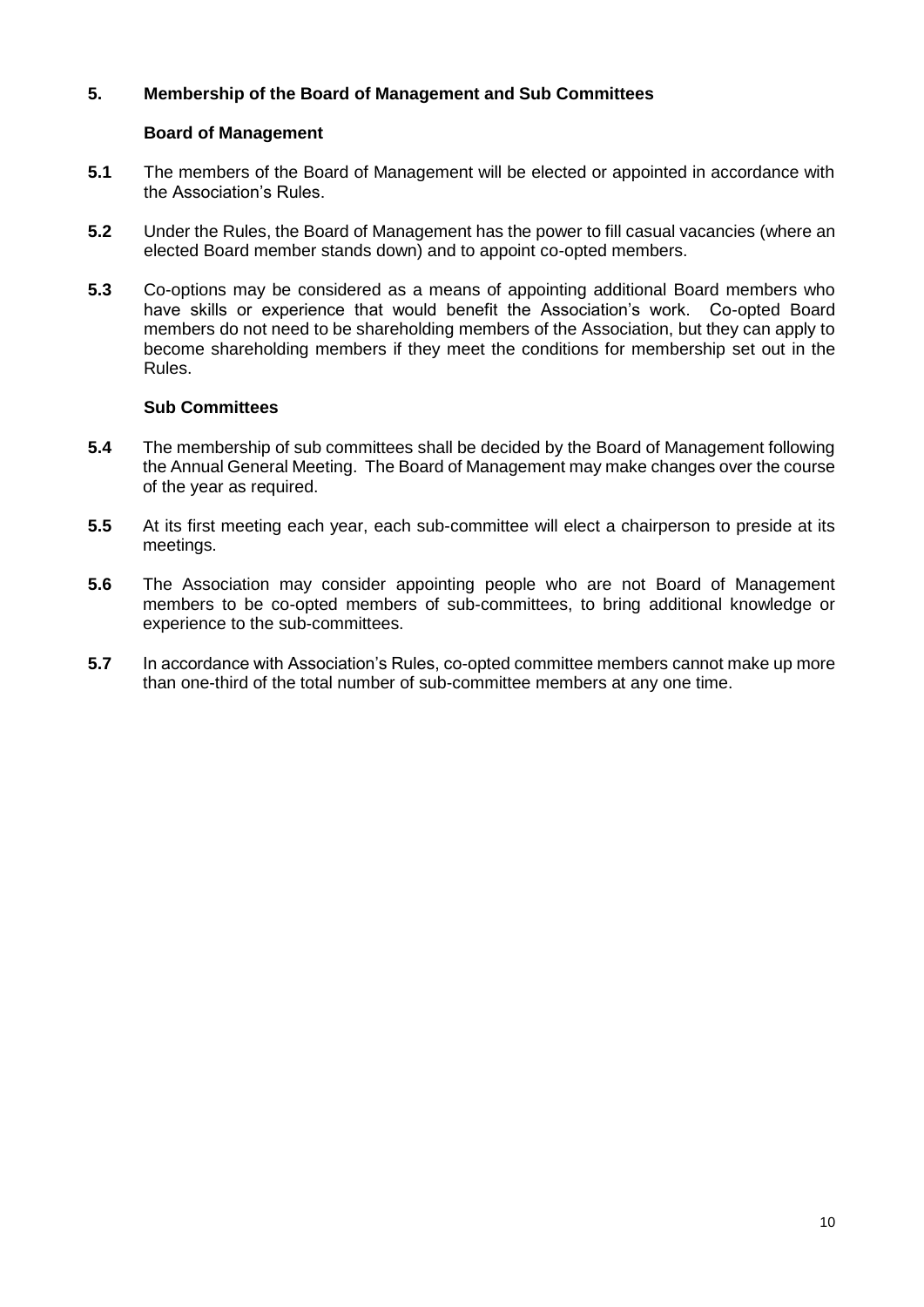# **5. Membership of the Board of Management and Sub Committees**

#### **Board of Management**

- **5.1** The members of the Board of Management will be elected or appointed in accordance with the Association's Rules.
- **5.2** Under the Rules, the Board of Management has the power to fill casual vacancies (where an elected Board member stands down) and to appoint co-opted members.
- **5.3** Co-options may be considered as a means of appointing additional Board members who have skills or experience that would benefit the Association's work. Co-opted Board members do not need to be shareholding members of the Association, but they can apply to become shareholding members if they meet the conditions for membership set out in the Rules.

#### **Sub Committees**

- **5.4** The membership of sub committees shall be decided by the Board of Management following the Annual General Meeting. The Board of Management may make changes over the course of the year as required.
- **5.5** At its first meeting each year, each sub-committee will elect a chairperson to preside at its meetings.
- **5.6** The Association may consider appointing people who are not Board of Management members to be co-opted members of sub-committees, to bring additional knowledge or experience to the sub-committees.
- **5.7** In accordance with Association's Rules, co-opted committee members cannot make up more than one-third of the total number of sub-committee members at any one time.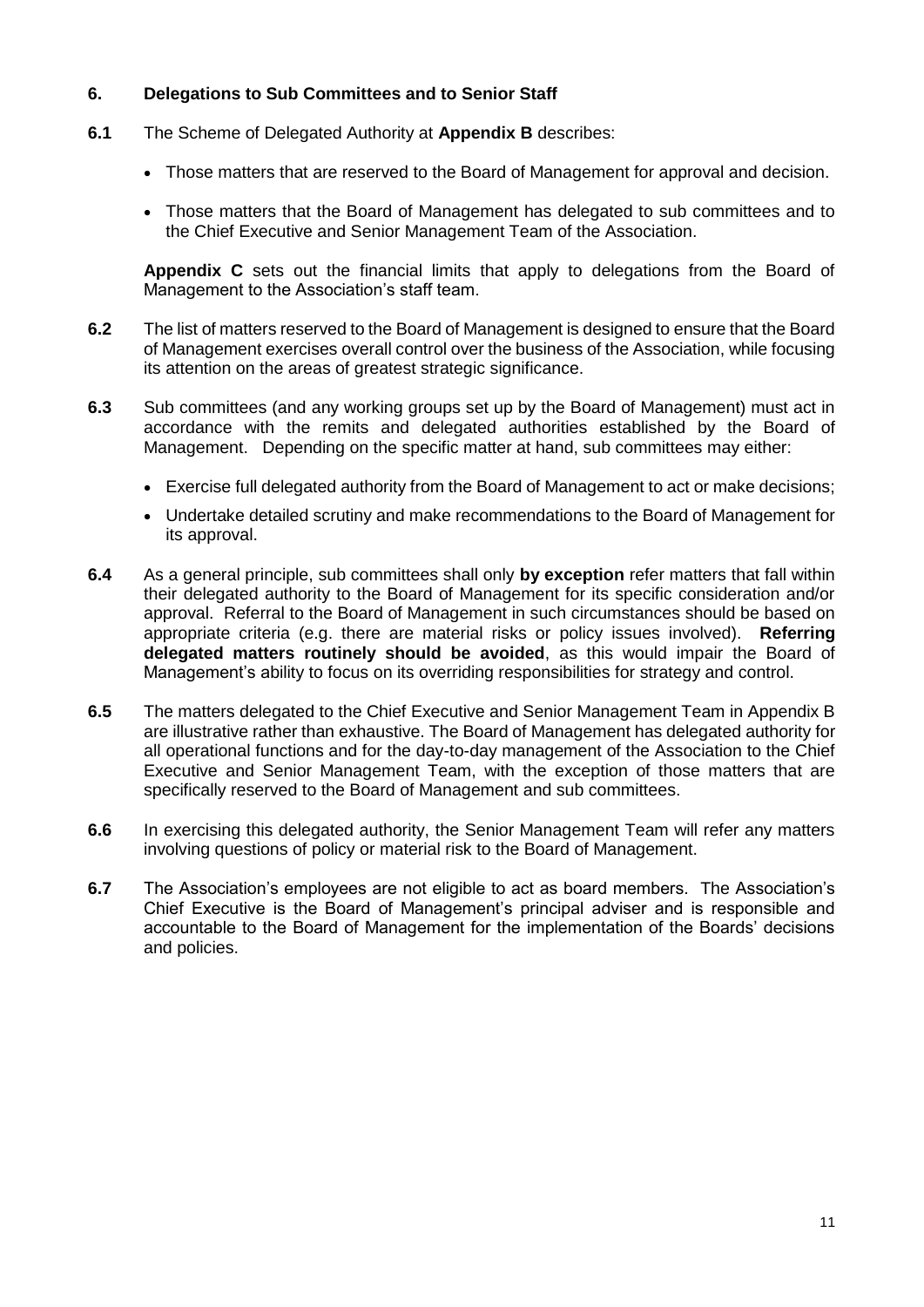## **6. Delegations to Sub Committees and to Senior Staff**

- **6.1** The Scheme of Delegated Authority at **Appendix B** describes:
	- Those matters that are reserved to the Board of Management for approval and decision.
	- Those matters that the Board of Management has delegated to sub committees and to the Chief Executive and Senior Management Team of the Association.

**Appendix C** sets out the financial limits that apply to delegations from the Board of Management to the Association's staff team.

- **6.2** The list of matters reserved to the Board of Management is designed to ensure that the Board of Management exercises overall control over the business of the Association, while focusing its attention on the areas of greatest strategic significance.
- **6.3** Sub committees (and any working groups set up by the Board of Management) must act in accordance with the remits and delegated authorities established by the Board of Management. Depending on the specific matter at hand, sub committees may either:
	- Exercise full delegated authority from the Board of Management to act or make decisions;
	- Undertake detailed scrutiny and make recommendations to the Board of Management for its approval.
- **6.4** As a general principle, sub committees shall only **by exception** refer matters that fall within their delegated authority to the Board of Management for its specific consideration and/or approval. Referral to the Board of Management in such circumstances should be based on appropriate criteria (e.g. there are material risks or policy issues involved). **Referring delegated matters routinely should be avoided**, as this would impair the Board of Management's ability to focus on its overriding responsibilities for strategy and control.
- **6.5** The matters delegated to the Chief Executive and Senior Management Team in Appendix B are illustrative rather than exhaustive. The Board of Management has delegated authority for all operational functions and for the day-to-day management of the Association to the Chief Executive and Senior Management Team, with the exception of those matters that are specifically reserved to the Board of Management and sub committees.
- **6.6** In exercising this delegated authority, the Senior Management Team will refer any matters involving questions of policy or material risk to the Board of Management.
- **6.7** The Association's employees are not eligible to act as board members. The Association's Chief Executive is the Board of Management's principal adviser and is responsible and accountable to the Board of Management for the implementation of the Boards' decisions and policies.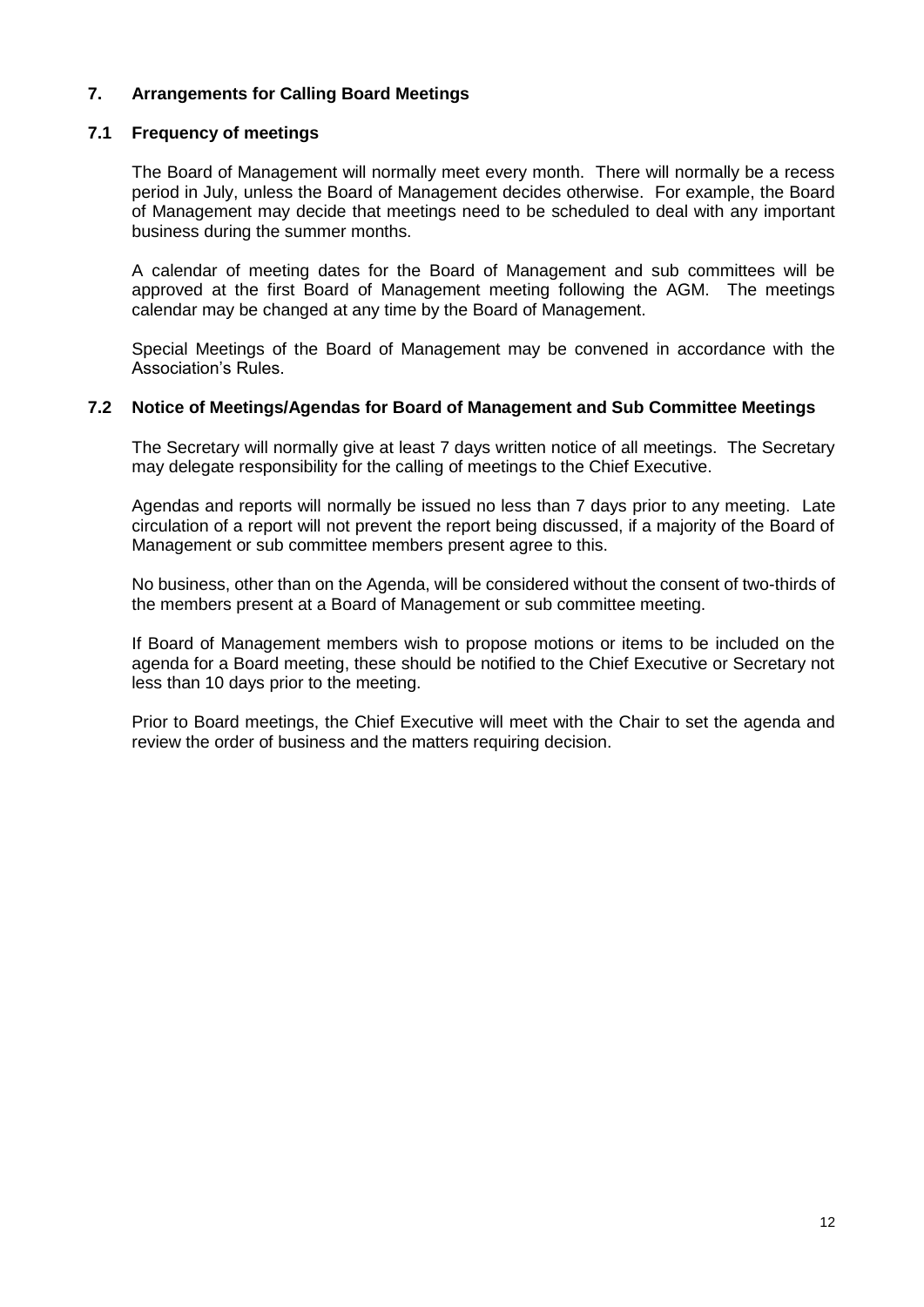# **7. Arrangements for Calling Board Meetings**

#### **7.1 Frequency of meetings**

The Board of Management will normally meet every month. There will normally be a recess period in July, unless the Board of Management decides otherwise. For example, the Board of Management may decide that meetings need to be scheduled to deal with any important business during the summer months.

A calendar of meeting dates for the Board of Management and sub committees will be approved at the first Board of Management meeting following the AGM. The meetings calendar may be changed at any time by the Board of Management.

Special Meetings of the Board of Management may be convened in accordance with the Association's Rules.

#### **7.2 Notice of Meetings/Agendas for Board of Management and Sub Committee Meetings**

The Secretary will normally give at least 7 days written notice of all meetings. The Secretary may delegate responsibility for the calling of meetings to the Chief Executive.

Agendas and reports will normally be issued no less than 7 days prior to any meeting. Late circulation of a report will not prevent the report being discussed, if a majority of the Board of Management or sub committee members present agree to this.

No business, other than on the Agenda, will be considered without the consent of two-thirds of the members present at a Board of Management or sub committee meeting.

If Board of Management members wish to propose motions or items to be included on the agenda for a Board meeting, these should be notified to the Chief Executive or Secretary not less than 10 days prior to the meeting.

Prior to Board meetings, the Chief Executive will meet with the Chair to set the agenda and review the order of business and the matters requiring decision.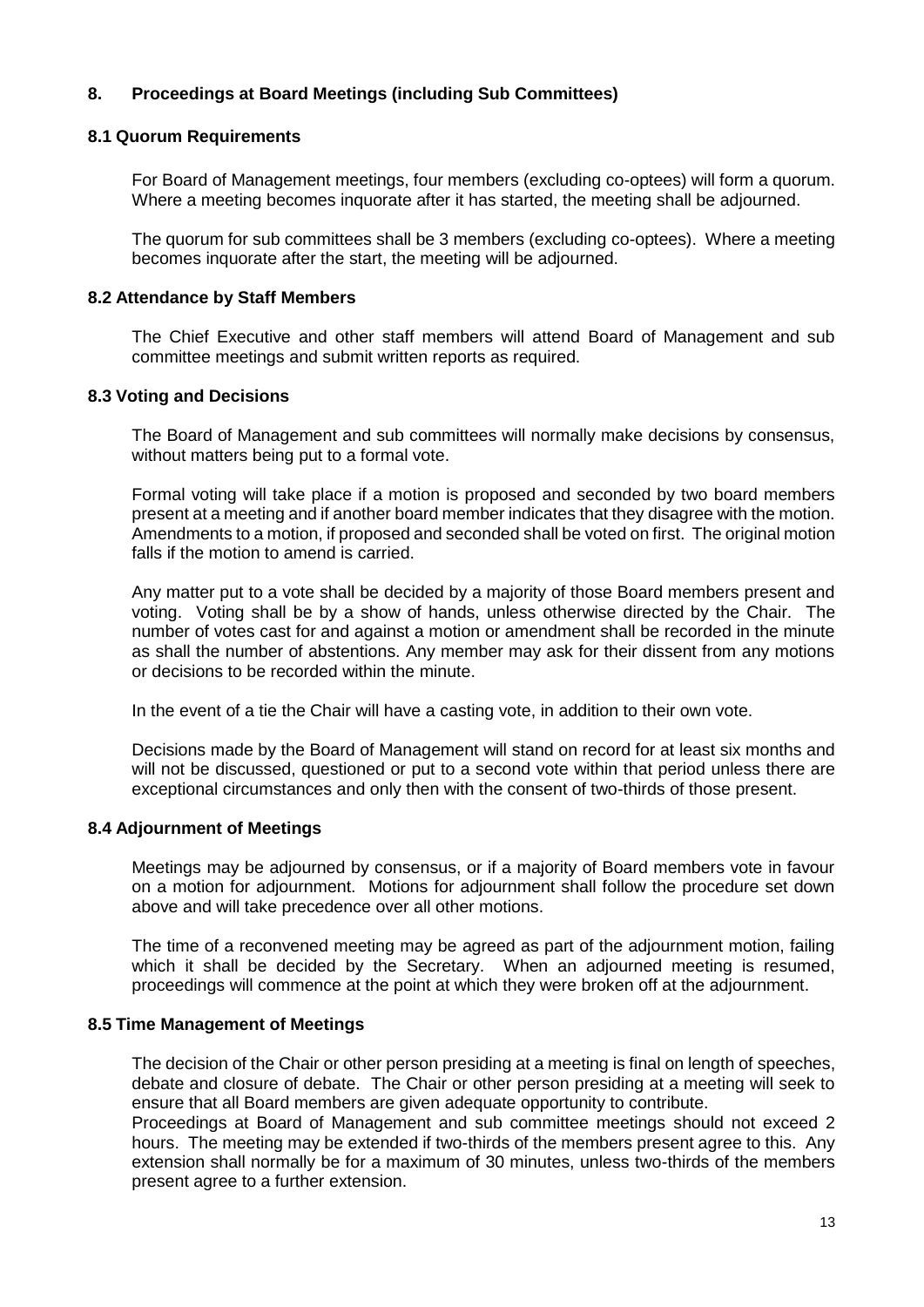# **8. Proceedings at Board Meetings (including Sub Committees)**

#### **8.1 Quorum Requirements**

For Board of Management meetings, four members (excluding co-optees) will form a quorum. Where a meeting becomes inquorate after it has started, the meeting shall be adjourned.

The quorum for sub committees shall be 3 members (excluding co-optees). Where a meeting becomes inquorate after the start, the meeting will be adjourned.

#### **8.2 Attendance by Staff Members**

The Chief Executive and other staff members will attend Board of Management and sub committee meetings and submit written reports as required.

#### **8.3 Voting and Decisions**

The Board of Management and sub committees will normally make decisions by consensus, without matters being put to a formal vote.

Formal voting will take place if a motion is proposed and seconded by two board members present at a meeting and if another board member indicates that they disagree with the motion. Amendments to a motion, if proposed and seconded shall be voted on first. The original motion falls if the motion to amend is carried.

Any matter put to a vote shall be decided by a majority of those Board members present and voting. Voting shall be by a show of hands, unless otherwise directed by the Chair. The number of votes cast for and against a motion or amendment shall be recorded in the minute as shall the number of abstentions. Any member may ask for their dissent from any motions or decisions to be recorded within the minute.

In the event of a tie the Chair will have a casting vote, in addition to their own vote.

Decisions made by the Board of Management will stand on record for at least six months and will not be discussed, questioned or put to a second vote within that period unless there are exceptional circumstances and only then with the consent of two-thirds of those present.

#### **8.4 Adjournment of Meetings**

Meetings may be adjourned by consensus, or if a majority of Board members vote in favour on a motion for adjournment. Motions for adjournment shall follow the procedure set down above and will take precedence over all other motions.

The time of a reconvened meeting may be agreed as part of the adjournment motion, failing which it shall be decided by the Secretary. When an adjourned meeting is resumed, proceedings will commence at the point at which they were broken off at the adjournment.

#### **8.5 Time Management of Meetings**

The decision of the Chair or other person presiding at a meeting is final on length of speeches, debate and closure of debate. The Chair or other person presiding at a meeting will seek to ensure that all Board members are given adequate opportunity to contribute.

Proceedings at Board of Management and sub committee meetings should not exceed 2 hours. The meeting may be extended if two-thirds of the members present agree to this. Any extension shall normally be for a maximum of 30 minutes, unless two-thirds of the members present agree to a further extension.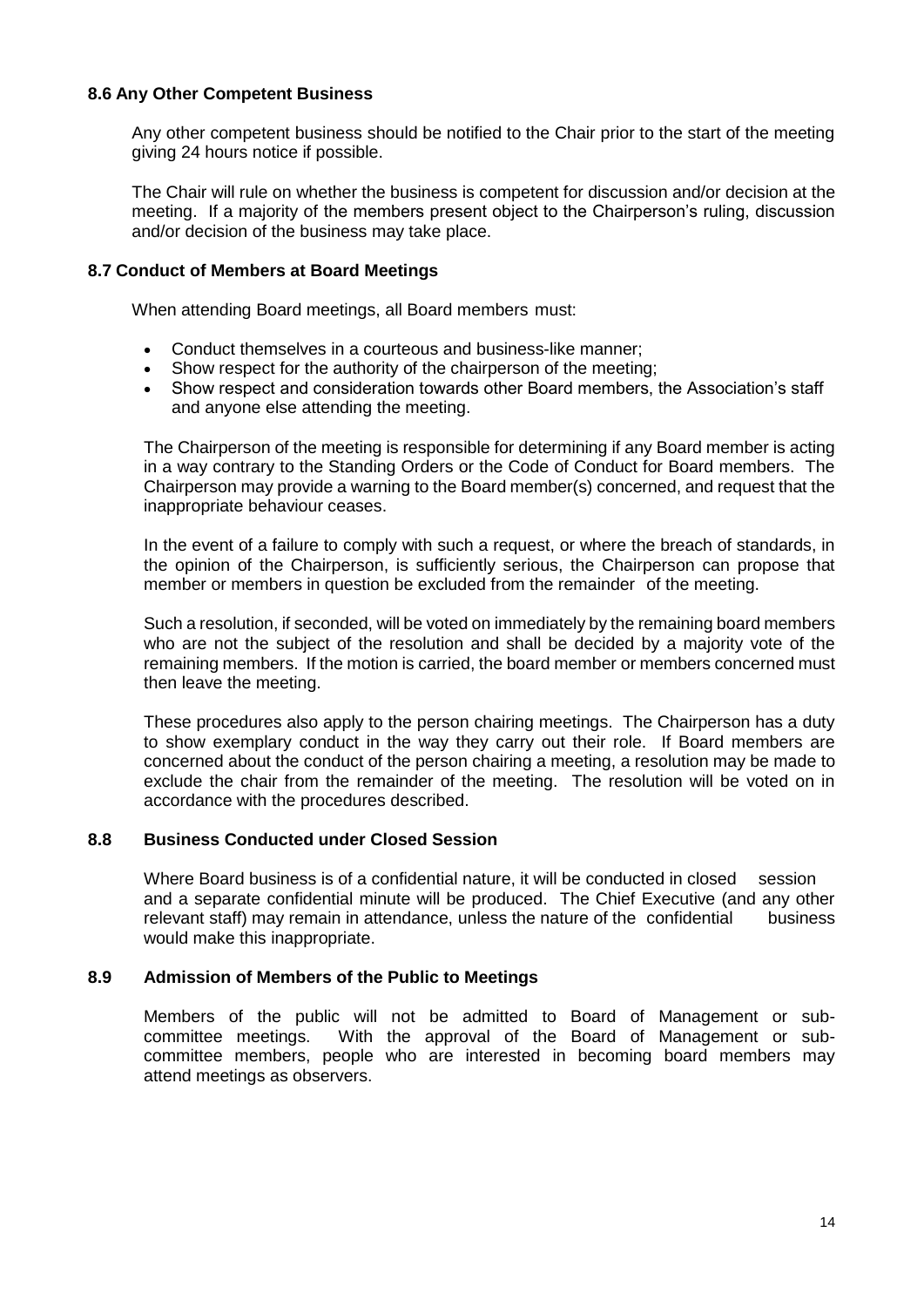#### **8.6 Any Other Competent Business**

Any other competent business should be notified to the Chair prior to the start of the meeting giving 24 hours notice if possible.

The Chair will rule on whether the business is competent for discussion and/or decision at the meeting. If a majority of the members present object to the Chairperson's ruling, discussion and/or decision of the business may take place.

#### **8.7 Conduct of Members at Board Meetings**

When attending Board meetings, all Board members must:

- Conduct themselves in a courteous and business-like manner;
- Show respect for the authority of the chairperson of the meeting;
- Show respect and consideration towards other Board members, the Association's staff and anyone else attending the meeting.

The Chairperson of the meeting is responsible for determining if any Board member is acting in a way contrary to the Standing Orders or the Code of Conduct for Board members. The Chairperson may provide a warning to the Board member(s) concerned, and request that the inappropriate behaviour ceases.

In the event of a failure to comply with such a request, or where the breach of standards, in the opinion of the Chairperson, is sufficiently serious, the Chairperson can propose that member or members in question be excluded from the remainder of the meeting.

Such a resolution, if seconded, will be voted on immediately by the remaining board members who are not the subject of the resolution and shall be decided by a majority vote of the remaining members. If the motion is carried, the board member or members concerned must then leave the meeting.

These procedures also apply to the person chairing meetings. The Chairperson has a duty to show exemplary conduct in the way they carry out their role. If Board members are concerned about the conduct of the person chairing a meeting, a resolution may be made to exclude the chair from the remainder of the meeting. The resolution will be voted on in accordance with the procedures described.

#### **8.8 Business Conducted under Closed Session**

Where Board business is of a confidential nature, it will be conducted in closed session and a separate confidential minute will be produced. The Chief Executive (and any other relevant staff) may remain in attendance, unless the nature of the confidential business would make this inappropriate.

#### **8.9 Admission of Members of the Public to Meetings**

Members of the public will not be admitted to Board of Management or subcommittee meetings. With the approval of the Board of Management or subcommittee members, people who are interested in becoming board members may attend meetings as observers.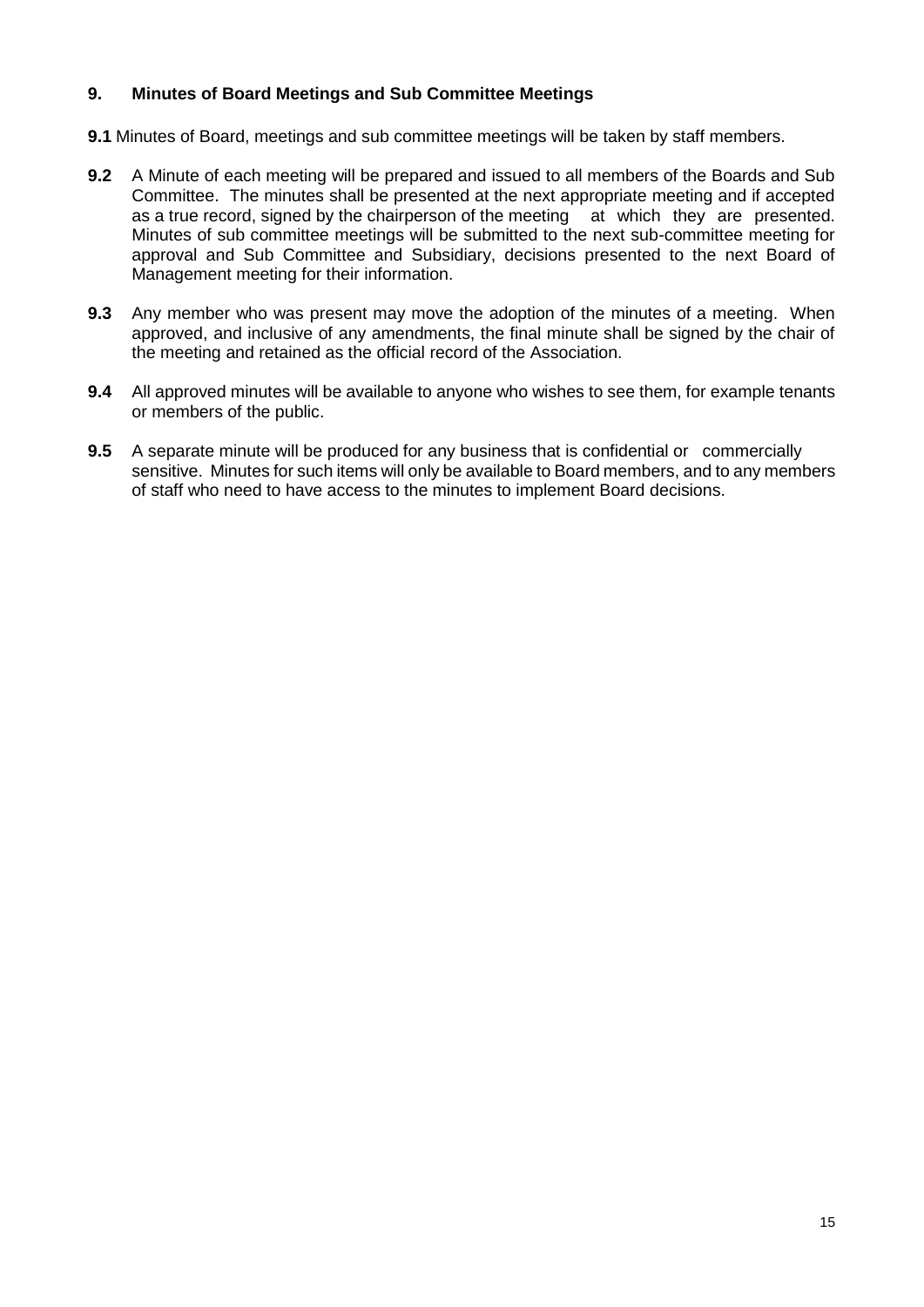# **9. Minutes of Board Meetings and Sub Committee Meetings**

**9.1** Minutes of Board, meetings and sub committee meetings will be taken by staff members.

- **9.2** A Minute of each meeting will be prepared and issued to all members of the Boards and Sub Committee. The minutes shall be presented at the next appropriate meeting and if accepted as a true record, signed by the chairperson of the meeting at which they are presented. Minutes of sub committee meetings will be submitted to the next sub-committee meeting for approval and Sub Committee and Subsidiary, decisions presented to the next Board of Management meeting for their information.
- **9.3** Any member who was present may move the adoption of the minutes of a meeting. When approved, and inclusive of any amendments, the final minute shall be signed by the chair of the meeting and retained as the official record of the Association.
- **9.4** All approved minutes will be available to anyone who wishes to see them, for example tenants or members of the public.
- **9.5** A separate minute will be produced for any business that is confidential or commercially sensitive. Minutes for such items will only be available to Board members, and to any members of staff who need to have access to the minutes to implement Board decisions.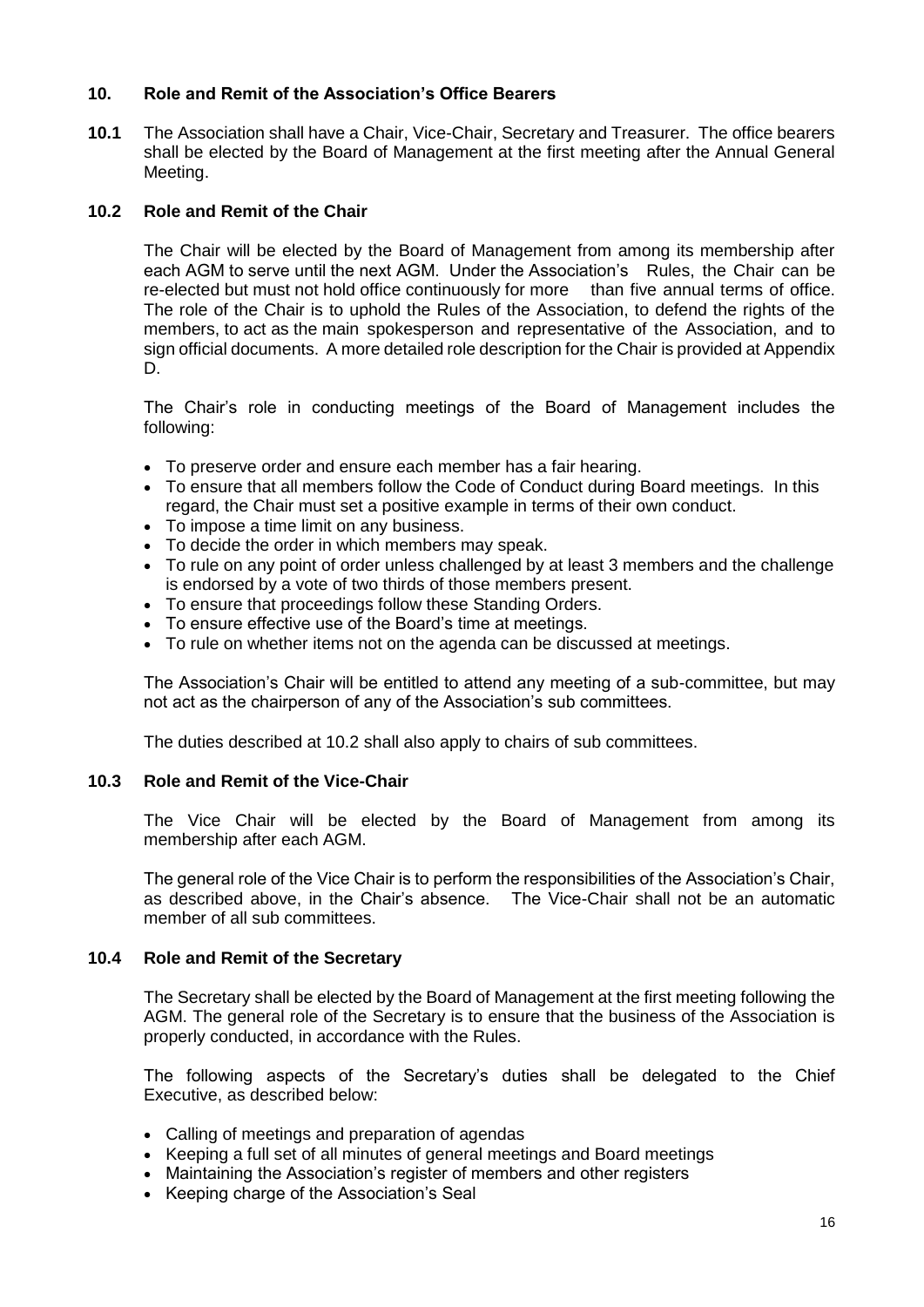#### **10. Role and Remit of the Association's Office Bearers**

**10.1** The Association shall have a Chair, Vice-Chair, Secretary and Treasurer. The office bearers shall be elected by the Board of Management at the first meeting after the Annual General Meeting.

## **10.2 Role and Remit of the Chair**

The Chair will be elected by the Board of Management from among its membership after each AGM to serve until the next AGM. Under the Association's Rules, the Chair can be re-elected but must not hold office continuously for more than five annual terms of office. The role of the Chair is to uphold the Rules of the Association, to defend the rights of the members, to act as the main spokesperson and representative of the Association, and to sign official documents. A more detailed role description for the Chair is provided at Appendix D.

The Chair's role in conducting meetings of the Board of Management includes the following:

- To preserve order and ensure each member has a fair hearing.
- To ensure that all members follow the Code of Conduct during Board meetings. In this regard, the Chair must set a positive example in terms of their own conduct.
- To impose a time limit on any business.
- To decide the order in which members may speak.
- To rule on any point of order unless challenged by at least 3 members and the challenge is endorsed by a vote of two thirds of those members present.
- To ensure that proceedings follow these Standing Orders.
- To ensure effective use of the Board's time at meetings.
- To rule on whether items not on the agenda can be discussed at meetings.

The Association's Chair will be entitled to attend any meeting of a sub-committee, but may not act as the chairperson of any of the Association's sub committees.

The duties described at 10.2 shall also apply to chairs of sub committees.

#### **10.3 Role and Remit of the Vice-Chair**

The Vice Chair will be elected by the Board of Management from among its membership after each AGM.

The general role of the Vice Chair is to perform the responsibilities of the Association's Chair, as described above, in the Chair's absence. The Vice-Chair shall not be an automatic member of all sub committees.

#### **10.4 Role and Remit of the Secretary**

The Secretary shall be elected by the Board of Management at the first meeting following the AGM. The general role of the Secretary is to ensure that the business of the Association is properly conducted, in accordance with the Rules.

The following aspects of the Secretary's duties shall be delegated to the Chief Executive, as described below:

- Calling of meetings and preparation of agendas
- Keeping a full set of all minutes of general meetings and Board meetings
- Maintaining the Association's register of members and other registers
- Keeping charge of the Association's Seal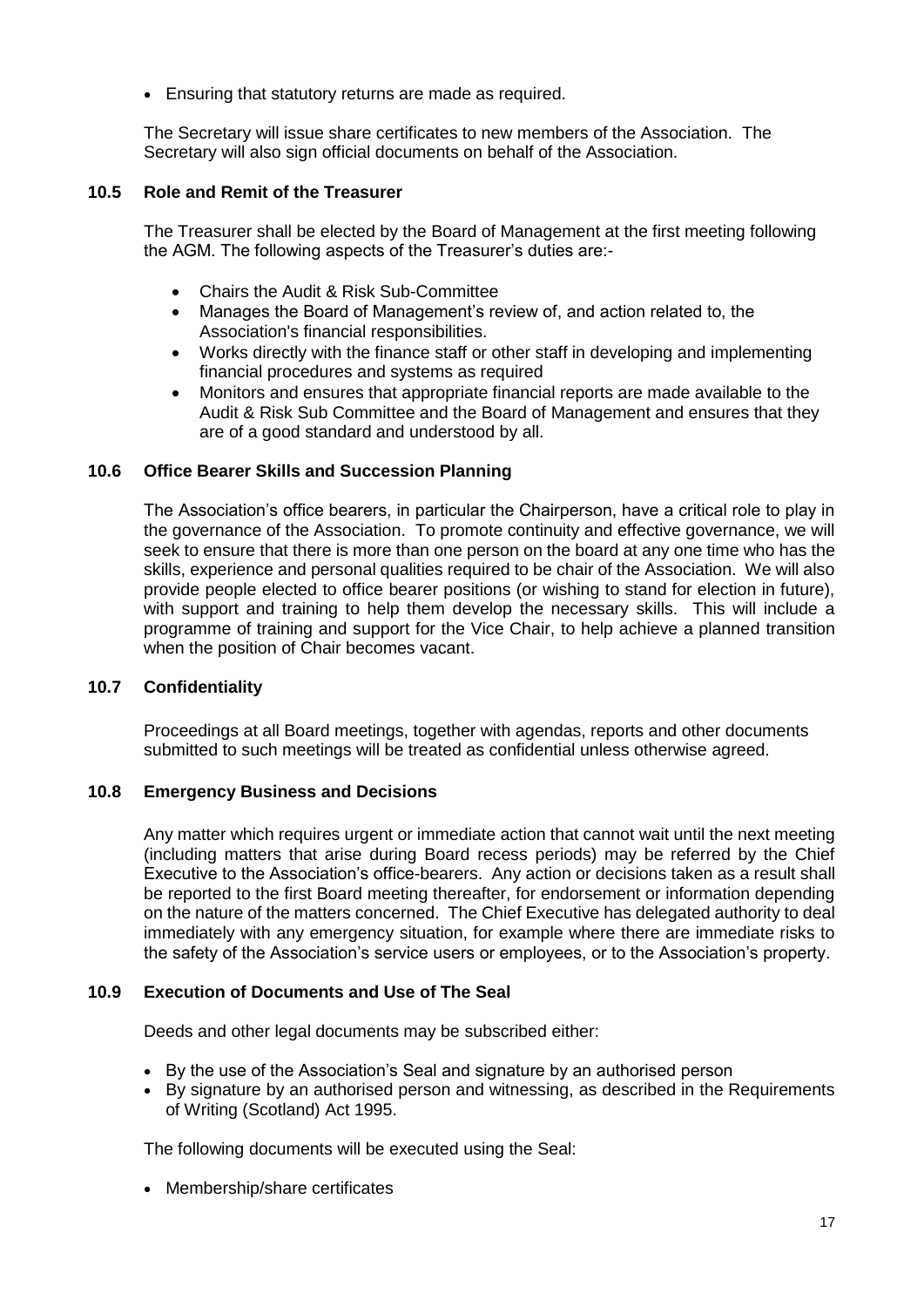• Ensuring that statutory returns are made as required.

The Secretary will issue share certificates to new members of the Association. The Secretary will also sign official documents on behalf of the Association.

#### **10.5 Role and Remit of the Treasurer**

The Treasurer shall be elected by the Board of Management at the first meeting following the AGM. The following aspects of the Treasurer's duties are:-

- Chairs the Audit & Risk Sub-Committee
- Manages the Board of Management's review of, and action related to, the Association's financial responsibilities.
- Works directly with the finance staff or other staff in developing and implementing financial procedures and systems as required
- Monitors and ensures that appropriate financial reports are made available to the Audit & Risk Sub Committee and the Board of Management and ensures that they are of a good standard and understood by all.

#### **10.6 Office Bearer Skills and Succession Planning**

The Association's office bearers, in particular the Chairperson, have a critical role to play in the governance of the Association. To promote continuity and effective governance, we will seek to ensure that there is more than one person on the board at any one time who has the skills, experience and personal qualities required to be chair of the Association. We will also provide people elected to office bearer positions (or wishing to stand for election in future), with support and training to help them develop the necessary skills. This will include a programme of training and support for the Vice Chair, to help achieve a planned transition when the position of Chair becomes vacant.

#### **10.7 Confidentiality**

Proceedings at all Board meetings, together with agendas, reports and other documents submitted to such meetings will be treated as confidential unless otherwise agreed.

#### **10.8 Emergency Business and Decisions**

Any matter which requires urgent or immediate action that cannot wait until the next meeting (including matters that arise during Board recess periods) may be referred by the Chief Executive to the Association's office-bearers. Any action or decisions taken as a result shall be reported to the first Board meeting thereafter, for endorsement or information depending on the nature of the matters concerned. The Chief Executive has delegated authority to deal immediately with any emergency situation, for example where there are immediate risks to the safety of the Association's service users or employees, or to the Association's property.

#### **10.9 Execution of Documents and Use of The Seal**

Deeds and other legal documents may be subscribed either:

- By the use of the Association's Seal and signature by an authorised person
- By signature by an authorised person and witnessing, as described in the Requirements of Writing (Scotland) Act 1995.

The following documents will be executed using the Seal:

• Membership/share certificates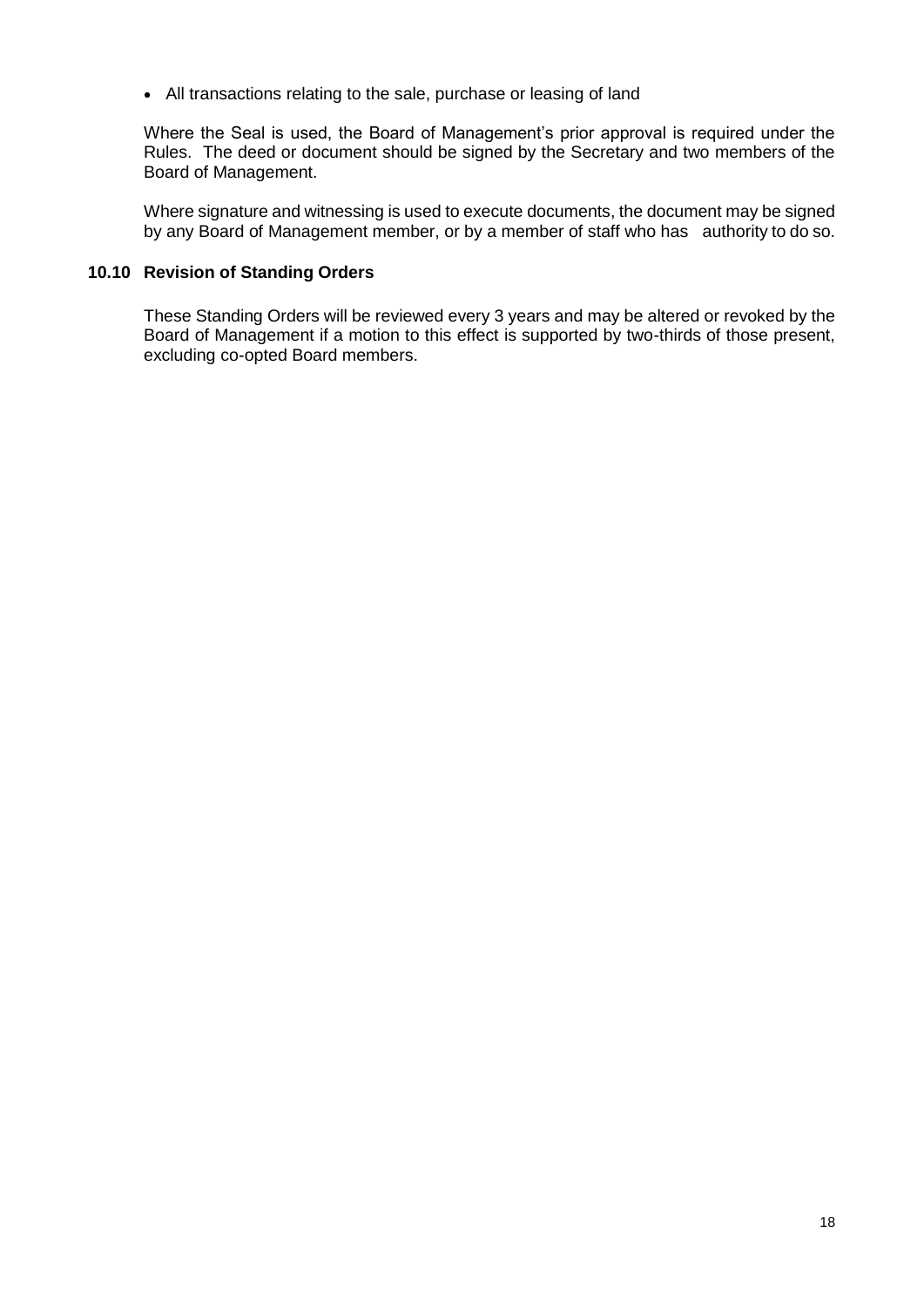• All transactions relating to the sale, purchase or leasing of land

Where the Seal is used, the Board of Management's prior approval is required under the Rules. The deed or document should be signed by the Secretary and two members of the Board of Management.

Where signature and witnessing is used to execute documents, the document may be signed by any Board of Management member, or by a member of staff who has authority to do so.

#### **10.10 Revision of Standing Orders**

These Standing Orders will be reviewed every 3 years and may be altered or revoked by the Board of Management if a motion to this effect is supported by two-thirds of those present, excluding co-opted Board members.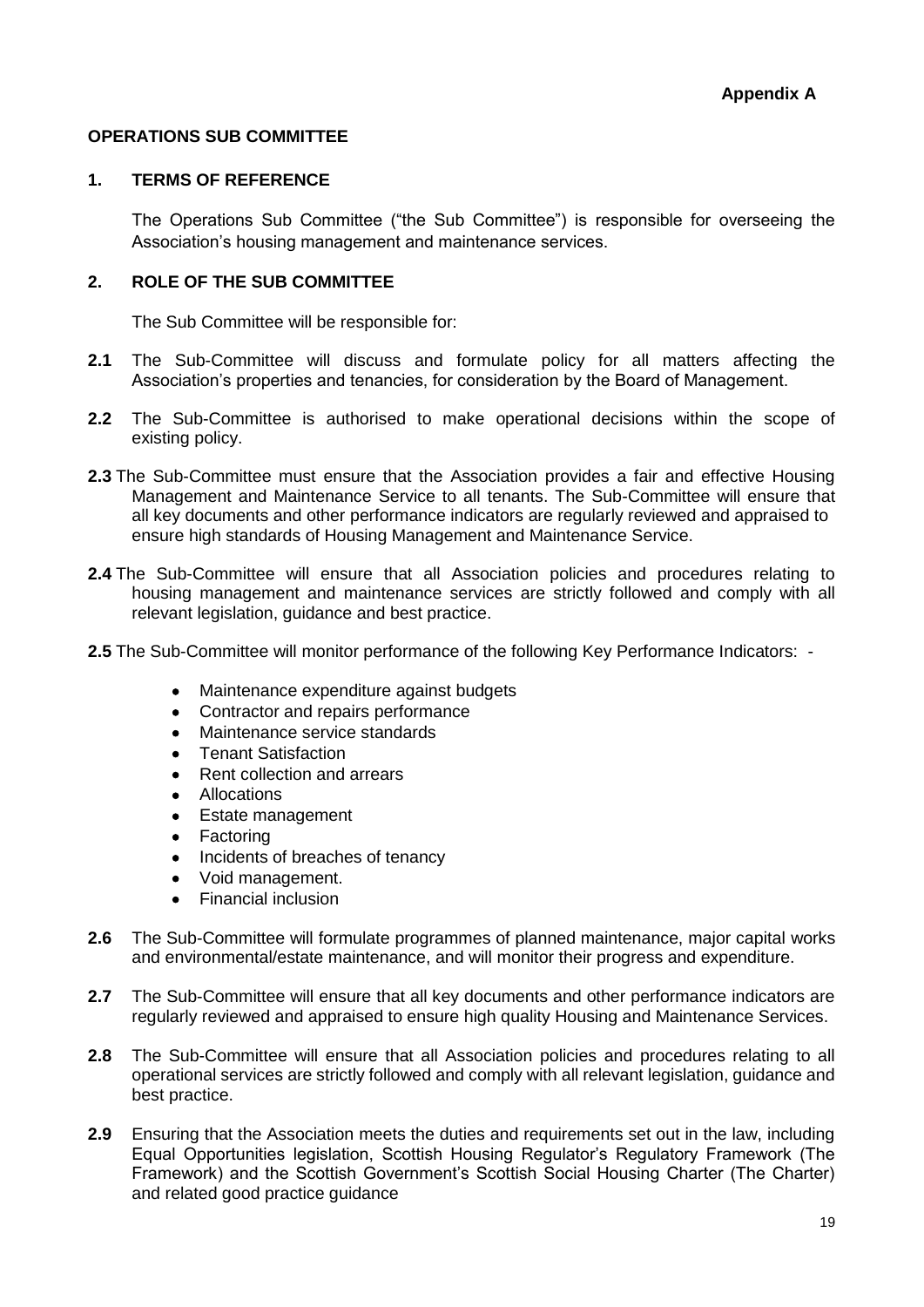#### **OPERATIONS SUB COMMITTEE**

#### **1. TERMS OF REFERENCE**

The Operations Sub Committee ("the Sub Committee") is responsible for overseeing the Association's housing management and maintenance services.

#### **2. ROLE OF THE SUB COMMITTEE**

The Sub Committee will be responsible for:

- **2.1** The Sub-Committee will discuss and formulate policy for all matters affecting the Association's properties and tenancies, for consideration by the Board of Management.
- **2.2** The Sub-Committee is authorised to make operational decisions within the scope of existing policy.
- **2.3** The Sub-Committee must ensure that the Association provides a fair and effective Housing Management and Maintenance Service to all tenants. The Sub-Committee will ensure that all key documents and other performance indicators are regularly reviewed and appraised to ensure high standards of Housing Management and Maintenance Service.
- **2.4** The Sub-Committee will ensure that all Association policies and procedures relating to housing management and maintenance services are strictly followed and comply with all relevant legislation, guidance and best practice.
- **2.5** The Sub-Committee will monitor performance of the following Key Performance Indicators:
	- Maintenance expenditure against budgets
	- Contractor and repairs performance
	- Maintenance service standards
	- Tenant Satisfaction
	- Rent collection and arrears
	- Allocations
	- Estate management
	- Factoring
	- Incidents of breaches of tenancy
	- Void management.
	- Financial inclusion
- **2.6** The Sub-Committee will formulate programmes of planned maintenance, major capital works and environmental/estate maintenance, and will monitor their progress and expenditure.
- **2.7** The Sub-Committee will ensure that all key documents and other performance indicators are regularly reviewed and appraised to ensure high quality Housing and Maintenance Services.
- **2.8** The Sub-Committee will ensure that all Association policies and procedures relating to all operational services are strictly followed and comply with all relevant legislation, guidance and best practice.
- **2.9** Ensuring that the Association meets the duties and requirements set out in the law, including Equal Opportunities legislation, Scottish Housing Regulator's Regulatory Framework (The Framework) and the Scottish Government's Scottish Social Housing Charter (The Charter) and related good practice guidance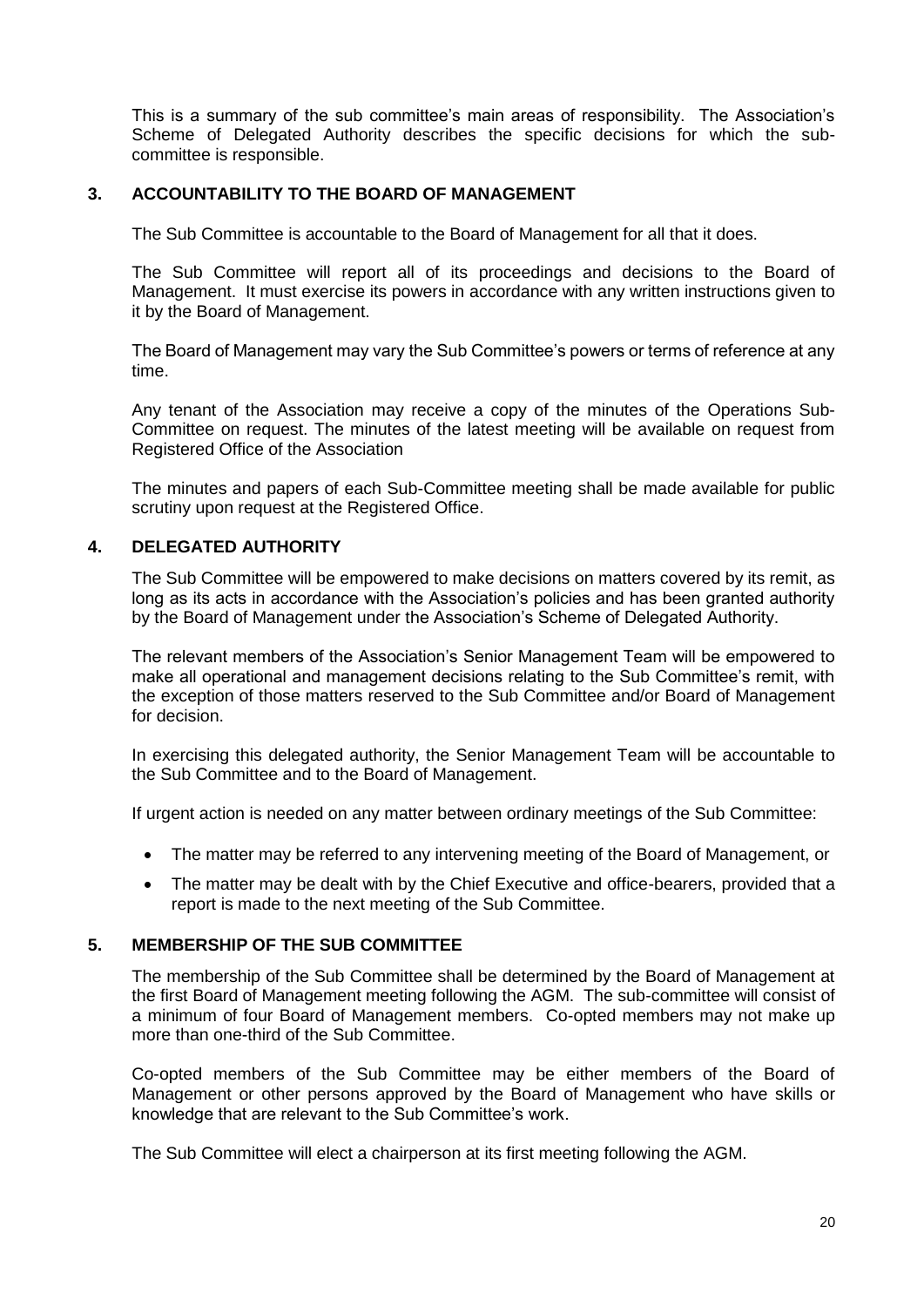This is a summary of the sub committee's main areas of responsibility. The Association's Scheme of Delegated Authority describes the specific decisions for which the subcommittee is responsible.

# **3. ACCOUNTABILITY TO THE BOARD OF MANAGEMENT**

The Sub Committee is accountable to the Board of Management for all that it does.

The Sub Committee will report all of its proceedings and decisions to the Board of Management. It must exercise its powers in accordance with any written instructions given to it by the Board of Management.

The Board of Management may vary the Sub Committee's powers or terms of reference at any time.

Any tenant of the Association may receive a copy of the minutes of the Operations Sub-Committee on request. The minutes of the latest meeting will be available on request from Registered Office of the Association

The minutes and papers of each Sub-Committee meeting shall be made available for public scrutiny upon request at the Registered Office.

# **4. DELEGATED AUTHORITY**

The Sub Committee will be empowered to make decisions on matters covered by its remit, as long as its acts in accordance with the Association's policies and has been granted authority by the Board of Management under the Association's Scheme of Delegated Authority.

The relevant members of the Association's Senior Management Team will be empowered to make all operational and management decisions relating to the Sub Committee's remit, with the exception of those matters reserved to the Sub Committee and/or Board of Management for decision.

In exercising this delegated authority, the Senior Management Team will be accountable to the Sub Committee and to the Board of Management.

If urgent action is needed on any matter between ordinary meetings of the Sub Committee:

- The matter may be referred to any intervening meeting of the Board of Management, or
- The matter may be dealt with by the Chief Executive and office-bearers, provided that a report is made to the next meeting of the Sub Committee.

#### **5. MEMBERSHIP OF THE SUB COMMITTEE**

The membership of the Sub Committee shall be determined by the Board of Management at the first Board of Management meeting following the AGM. The sub-committee will consist of a minimum of four Board of Management members. Co-opted members may not make up more than one-third of the Sub Committee.

Co-opted members of the Sub Committee may be either members of the Board of Management or other persons approved by the Board of Management who have skills or knowledge that are relevant to the Sub Committee's work.

The Sub Committee will elect a chairperson at its first meeting following the AGM.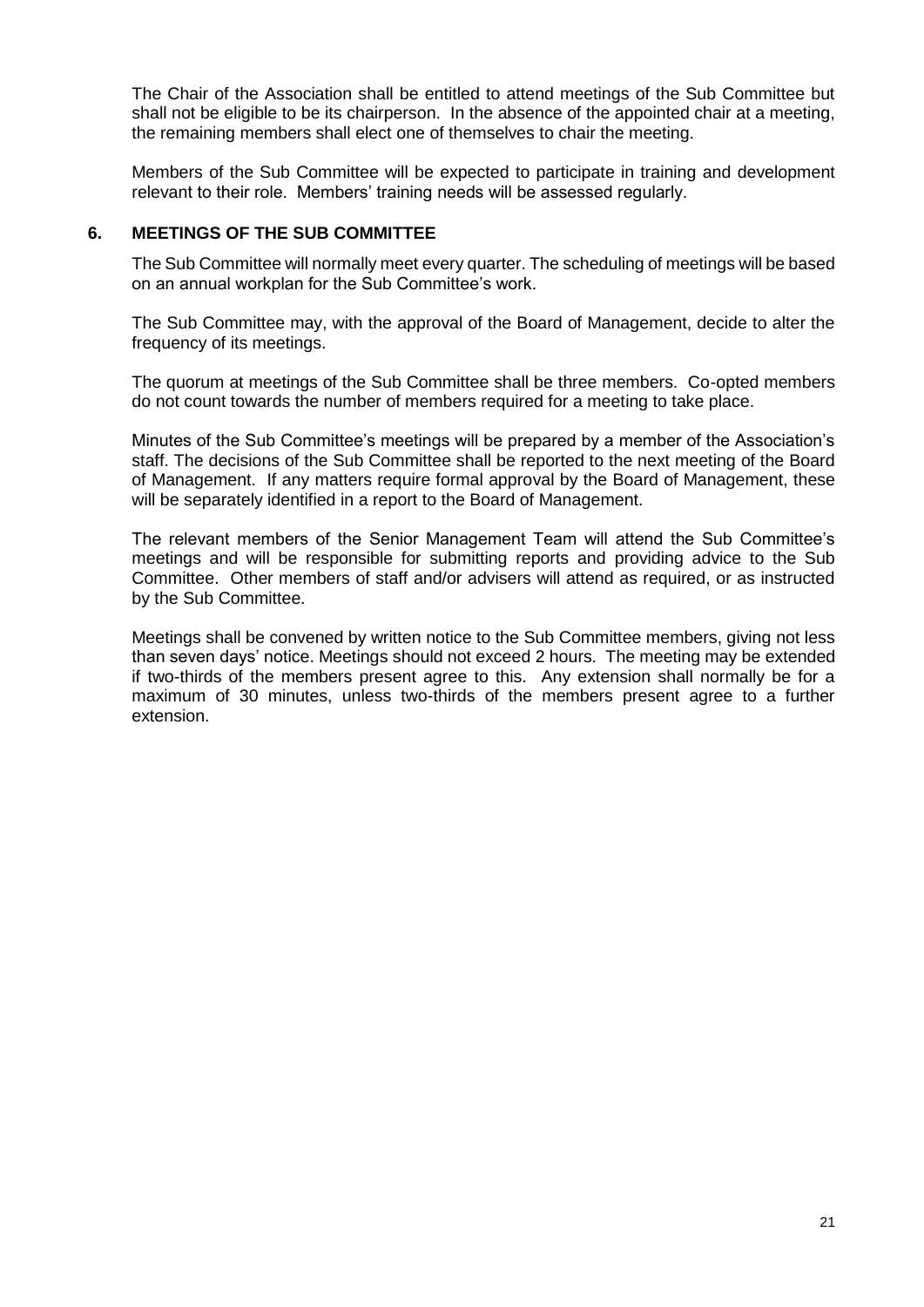The Chair of the Association shall be entitled to attend meetings of the Sub Committee but shall not be eligible to be its chairperson. In the absence of the appointed chair at a meeting, the remaining members shall elect one of themselves to chair the meeting.

Members of the Sub Committee will be expected to participate in training and development relevant to their role. Members' training needs will be assessed regularly.

#### **6. MEETINGS OF THE SUB COMMITTEE**

The Sub Committee will normally meet every quarter. The scheduling of meetings will be based on an annual workplan for the Sub Committee's work.

The Sub Committee may, with the approval of the Board of Management, decide to alter the frequency of its meetings.

The quorum at meetings of the Sub Committee shall be three members. Co-opted members do not count towards the number of members required for a meeting to take place.

Minutes of the Sub Committee's meetings will be prepared by a member of the Association's staff. The decisions of the Sub Committee shall be reported to the next meeting of the Board of Management. If any matters require formal approval by the Board of Management, these will be separately identified in a report to the Board of Management.

The relevant members of the Senior Management Team will attend the Sub Committee's meetings and will be responsible for submitting reports and providing advice to the Sub Committee. Other members of staff and/or advisers will attend as required, or as instructed by the Sub Committee.

Meetings shall be convened by written notice to the Sub Committee members, giving not less than seven days' notice. Meetings should not exceed 2 hours. The meeting may be extended if two-thirds of the members present agree to this. Any extension shall normally be for a maximum of 30 minutes, unless two-thirds of the members present agree to a further extension.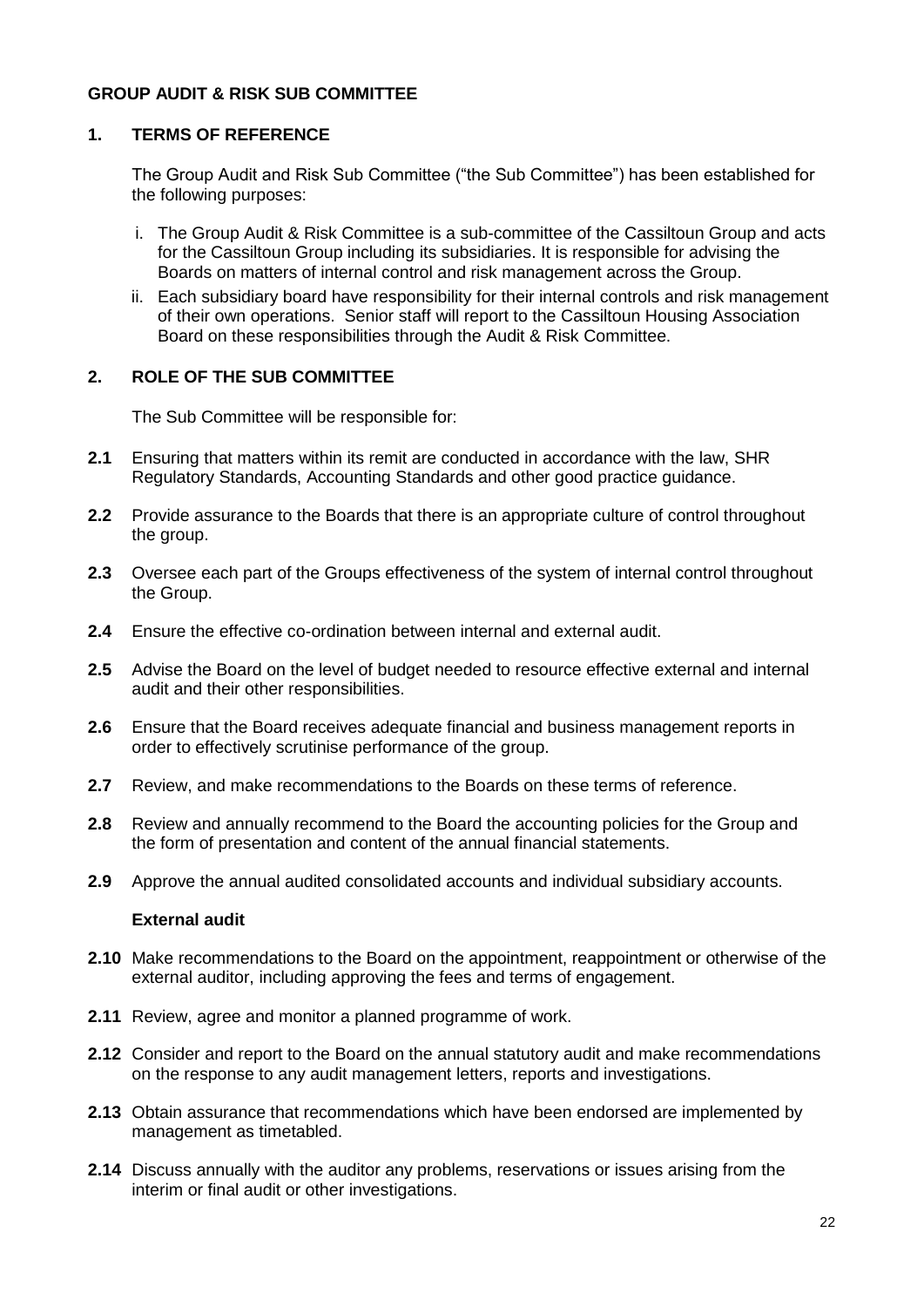# **GROUP AUDIT & RISK SUB COMMITTEE**

#### **1. TERMS OF REFERENCE**

The Group Audit and Risk Sub Committee ("the Sub Committee") has been established for the following purposes:

- i. The Group Audit & Risk Committee is a sub-committee of the Cassiltoun Group and acts for the Cassiltoun Group including its subsidiaries. It is responsible for advising the Boards on matters of internal control and risk management across the Group.
- ii. Each subsidiary board have responsibility for their internal controls and risk management of their own operations. Senior staff will report to the Cassiltoun Housing Association Board on these responsibilities through the Audit & Risk Committee.

#### **2. ROLE OF THE SUB COMMITTEE**

The Sub Committee will be responsible for:

- **2.1** Ensuring that matters within its remit are conducted in accordance with the law, SHR Regulatory Standards, Accounting Standards and other good practice guidance.
- **2.2** Provide assurance to the Boards that there is an appropriate culture of control throughout the group.
- **2.3** Oversee each part of the Groups effectiveness of the system of internal control throughout the Group.
- **2.4** Ensure the effective co-ordination between internal and external audit.
- **2.5** Advise the Board on the level of budget needed to resource effective external and internal audit and their other responsibilities.
- **2.6** Ensure that the Board receives adequate financial and business management reports in order to effectively scrutinise performance of the group.
- **2.7** Review, and make recommendations to the Boards on these terms of reference.
- **2.8** Review and annually recommend to the Board the accounting policies for the Group and the form of presentation and content of the annual financial statements.
- **2.9** Approve the annual audited consolidated accounts and individual subsidiary accounts.

#### **External audit**

- **2.10** Make recommendations to the Board on the appointment, reappointment or otherwise of the external auditor, including approving the fees and terms of engagement.
- **2.11** Review, agree and monitor a planned programme of work.
- **2.12** Consider and report to the Board on the annual statutory audit and make recommendations on the response to any audit management letters, reports and investigations.
- **2.13** Obtain assurance that recommendations which have been endorsed are implemented by management as timetabled.
- **2.14** Discuss annually with the auditor any problems, reservations or issues arising from the interim or final audit or other investigations.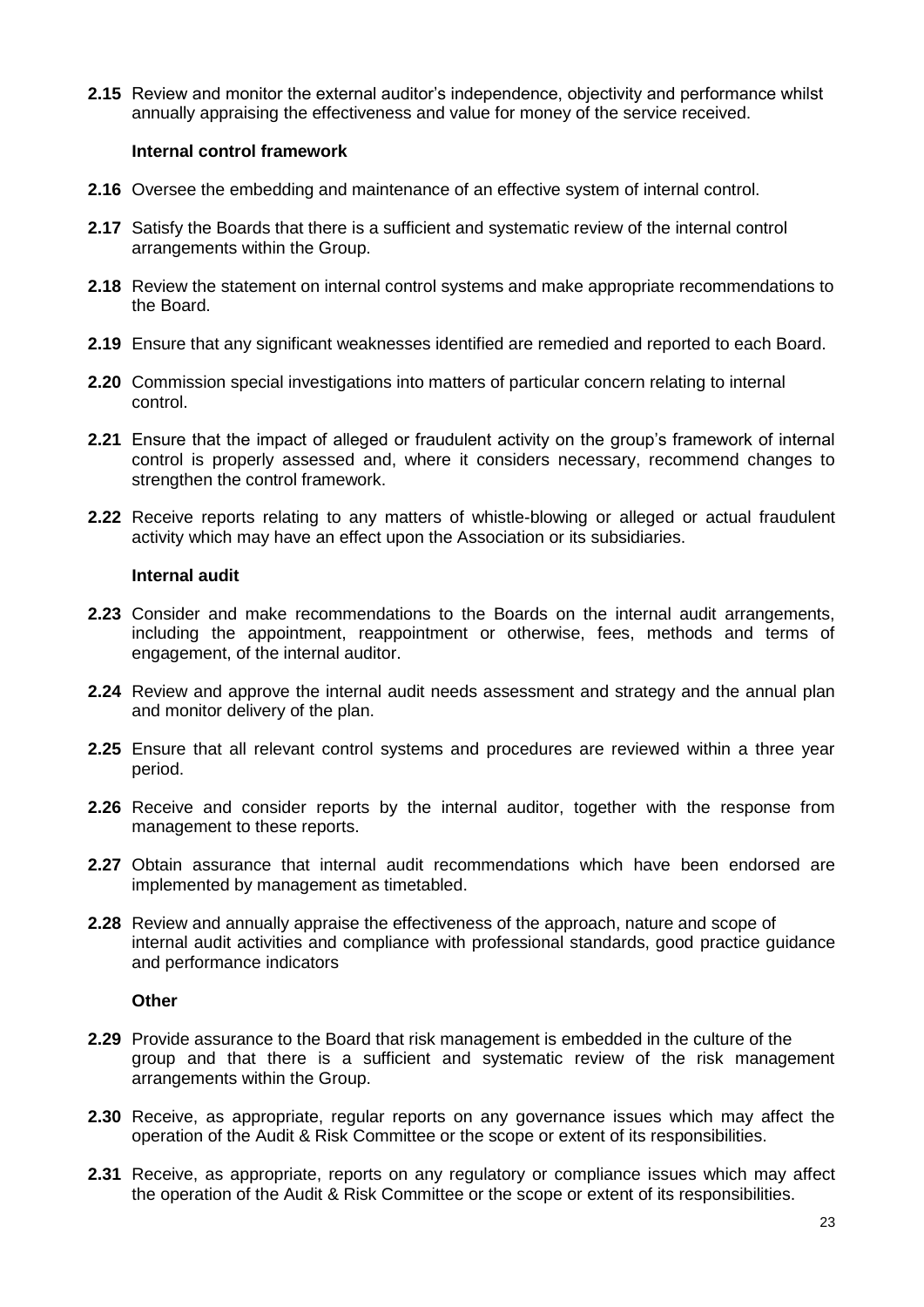**2.15** Review and monitor the external auditor's independence, objectivity and performance whilst annually appraising the effectiveness and value for money of the service received.

#### **Internal control framework**

- **2.16** Oversee the embedding and maintenance of an effective system of internal control.
- **2.17** Satisfy the Boards that there is a sufficient and systematic review of the internal control arrangements within the Group.
- **2.18** Review the statement on internal control systems and make appropriate recommendations to the Board.
- **2.19** Ensure that any significant weaknesses identified are remedied and reported to each Board.
- **2.20** Commission special investigations into matters of particular concern relating to internal control.
- **2.21** Ensure that the impact of alleged or fraudulent activity on the group's framework of internal control is properly assessed and, where it considers necessary, recommend changes to strengthen the control framework.
- **2.22** Receive reports relating to any matters of whistle-blowing or alleged or actual fraudulent activity which may have an effect upon the Association or its subsidiaries.

#### **Internal audit**

- **2.23** Consider and make recommendations to the Boards on the internal audit arrangements, including the appointment, reappointment or otherwise, fees, methods and terms of engagement, of the internal auditor.
- **2.24** Review and approve the internal audit needs assessment and strategy and the annual plan and monitor delivery of the plan.
- **2.25** Ensure that all relevant control systems and procedures are reviewed within a three year period.
- **2.26** Receive and consider reports by the internal auditor, together with the response from management to these reports.
- **2.27** Obtain assurance that internal audit recommendations which have been endorsed are implemented by management as timetabled.
- **2.28** Review and annually appraise the effectiveness of the approach, nature and scope of internal audit activities and compliance with professional standards, good practice guidance and performance indicators

#### **Other**

- **2.29** Provide assurance to the Board that risk management is embedded in the culture of the group and that there is a sufficient and systematic review of the risk management arrangements within the Group.
- **2.30** Receive, as appropriate, regular reports on any governance issues which may affect the operation of the Audit & Risk Committee or the scope or extent of its responsibilities.
- **2.31** Receive, as appropriate, reports on any regulatory or compliance issues which may affect the operation of the Audit & Risk Committee or the scope or extent of its responsibilities.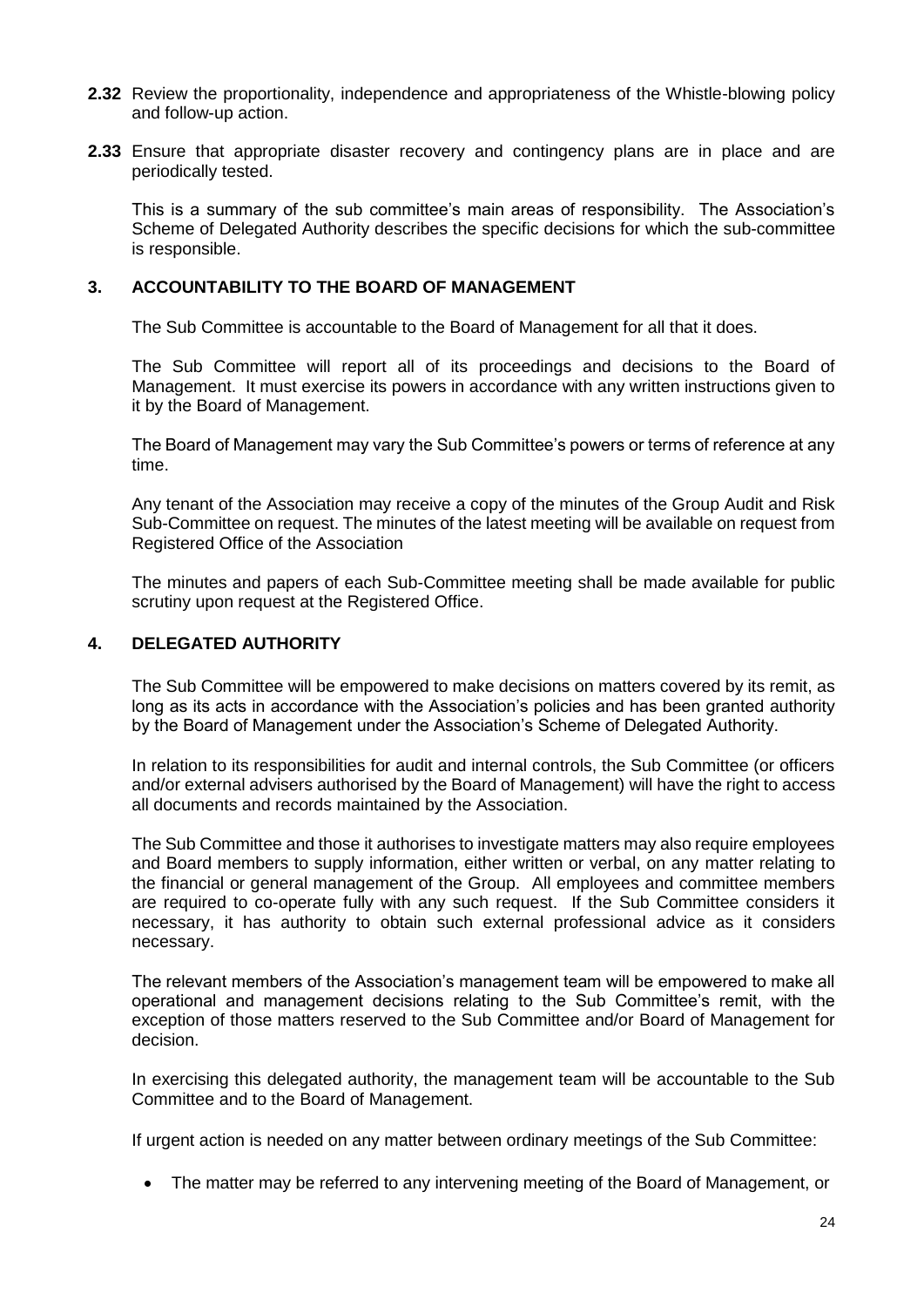- **2.32** Review the proportionality, independence and appropriateness of the Whistle-blowing policy and follow-up action.
- **2.33** Ensure that appropriate disaster recovery and contingency plans are in place and are periodically tested.

This is a summary of the sub committee's main areas of responsibility. The Association's Scheme of Delegated Authority describes the specific decisions for which the sub-committee is responsible.

#### **3. ACCOUNTABILITY TO THE BOARD OF MANAGEMENT**

The Sub Committee is accountable to the Board of Management for all that it does.

The Sub Committee will report all of its proceedings and decisions to the Board of Management. It must exercise its powers in accordance with any written instructions given to it by the Board of Management.

The Board of Management may vary the Sub Committee's powers or terms of reference at any time.

Any tenant of the Association may receive a copy of the minutes of the Group Audit and Risk Sub-Committee on request. The minutes of the latest meeting will be available on request from Registered Office of the Association

The minutes and papers of each Sub-Committee meeting shall be made available for public scrutiny upon request at the Registered Office.

#### **4. DELEGATED AUTHORITY**

The Sub Committee will be empowered to make decisions on matters covered by its remit, as long as its acts in accordance with the Association's policies and has been granted authority by the Board of Management under the Association's Scheme of Delegated Authority.

In relation to its responsibilities for audit and internal controls, the Sub Committee (or officers and/or external advisers authorised by the Board of Management) will have the right to access all documents and records maintained by the Association.

The Sub Committee and those it authorises to investigate matters may also require employees and Board members to supply information, either written or verbal, on any matter relating to the financial or general management of the Group. All employees and committee members are required to co-operate fully with any such request. If the Sub Committee considers it necessary, it has authority to obtain such external professional advice as it considers necessary.

The relevant members of the Association's management team will be empowered to make all operational and management decisions relating to the Sub Committee's remit, with the exception of those matters reserved to the Sub Committee and/or Board of Management for decision.

In exercising this delegated authority, the management team will be accountable to the Sub Committee and to the Board of Management.

If urgent action is needed on any matter between ordinary meetings of the Sub Committee:

• The matter may be referred to any intervening meeting of the Board of Management, or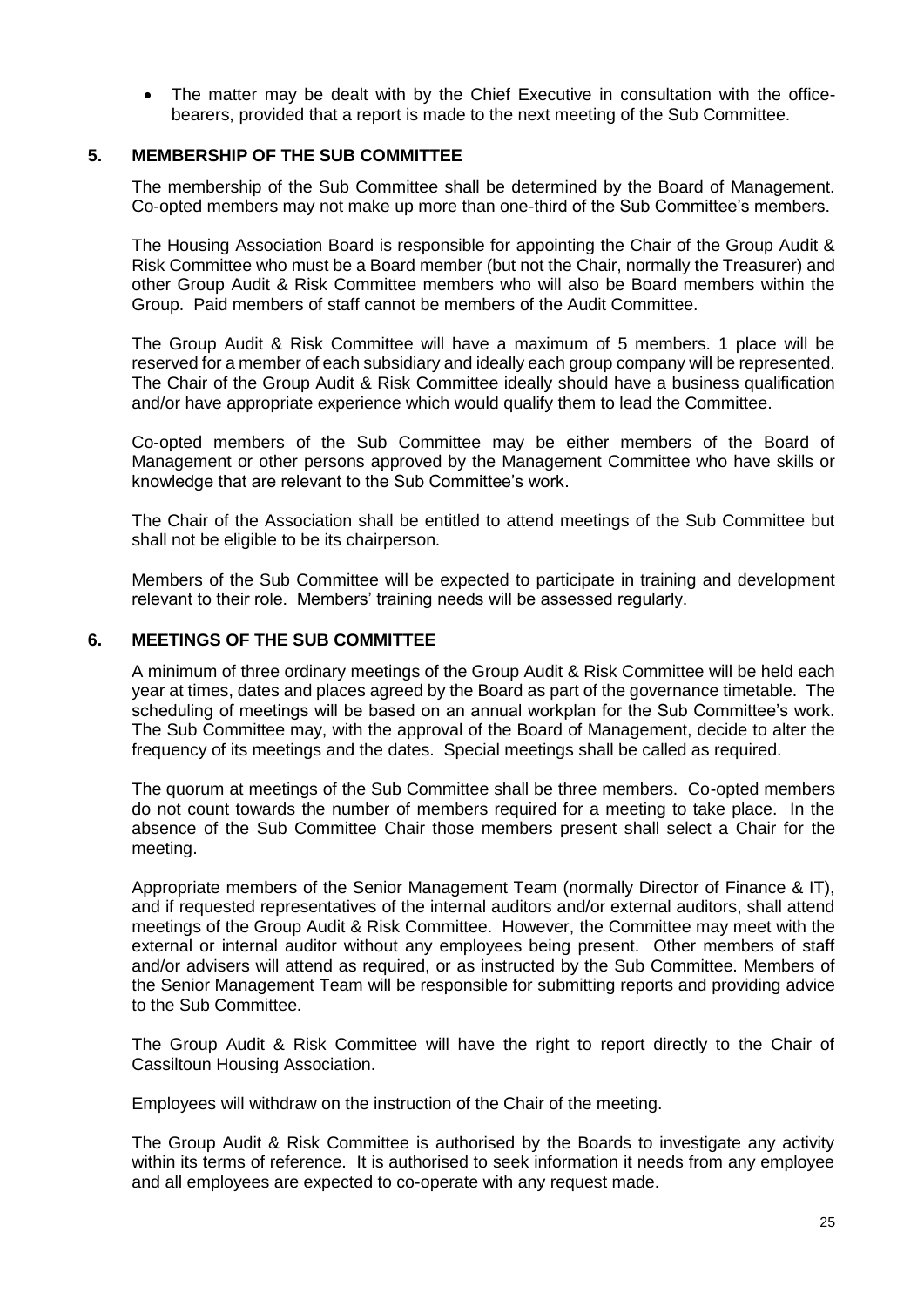• The matter may be dealt with by the Chief Executive in consultation with the officebearers, provided that a report is made to the next meeting of the Sub Committee.

#### **5. MEMBERSHIP OF THE SUB COMMITTEE**

The membership of the Sub Committee shall be determined by the Board of Management. Co-opted members may not make up more than one-third of the Sub Committee's members.

The Housing Association Board is responsible for appointing the Chair of the Group Audit & Risk Committee who must be a Board member (but not the Chair, normally the Treasurer) and other Group Audit & Risk Committee members who will also be Board members within the Group. Paid members of staff cannot be members of the Audit Committee.

The Group Audit & Risk Committee will have a maximum of 5 members. 1 place will be reserved for a member of each subsidiary and ideally each group company will be represented. The Chair of the Group Audit & Risk Committee ideally should have a business qualification and/or have appropriate experience which would qualify them to lead the Committee.

Co-opted members of the Sub Committee may be either members of the Board of Management or other persons approved by the Management Committee who have skills or knowledge that are relevant to the Sub Committee's work.

The Chair of the Association shall be entitled to attend meetings of the Sub Committee but shall not be eligible to be its chairperson.

Members of the Sub Committee will be expected to participate in training and development relevant to their role. Members' training needs will be assessed regularly.

#### **6. MEETINGS OF THE SUB COMMITTEE**

A minimum of three ordinary meetings of the Group Audit & Risk Committee will be held each year at times, dates and places agreed by the Board as part of the governance timetable. The scheduling of meetings will be based on an annual workplan for the Sub Committee's work. The Sub Committee may, with the approval of the Board of Management, decide to alter the frequency of its meetings and the dates. Special meetings shall be called as required.

The quorum at meetings of the Sub Committee shall be three members. Co-opted members do not count towards the number of members required for a meeting to take place. In the absence of the Sub Committee Chair those members present shall select a Chair for the meeting.

Appropriate members of the Senior Management Team (normally Director of Finance & IT), and if requested representatives of the internal auditors and/or external auditors, shall attend meetings of the Group Audit & Risk Committee. However, the Committee may meet with the external or internal auditor without any employees being present. Other members of staff and/or advisers will attend as required, or as instructed by the Sub Committee. Members of the Senior Management Team will be responsible for submitting reports and providing advice to the Sub Committee.

The Group Audit & Risk Committee will have the right to report directly to the Chair of Cassiltoun Housing Association.

Employees will withdraw on the instruction of the Chair of the meeting.

The Group Audit & Risk Committee is authorised by the Boards to investigate any activity within its terms of reference. It is authorised to seek information it needs from any employee and all employees are expected to co-operate with any request made.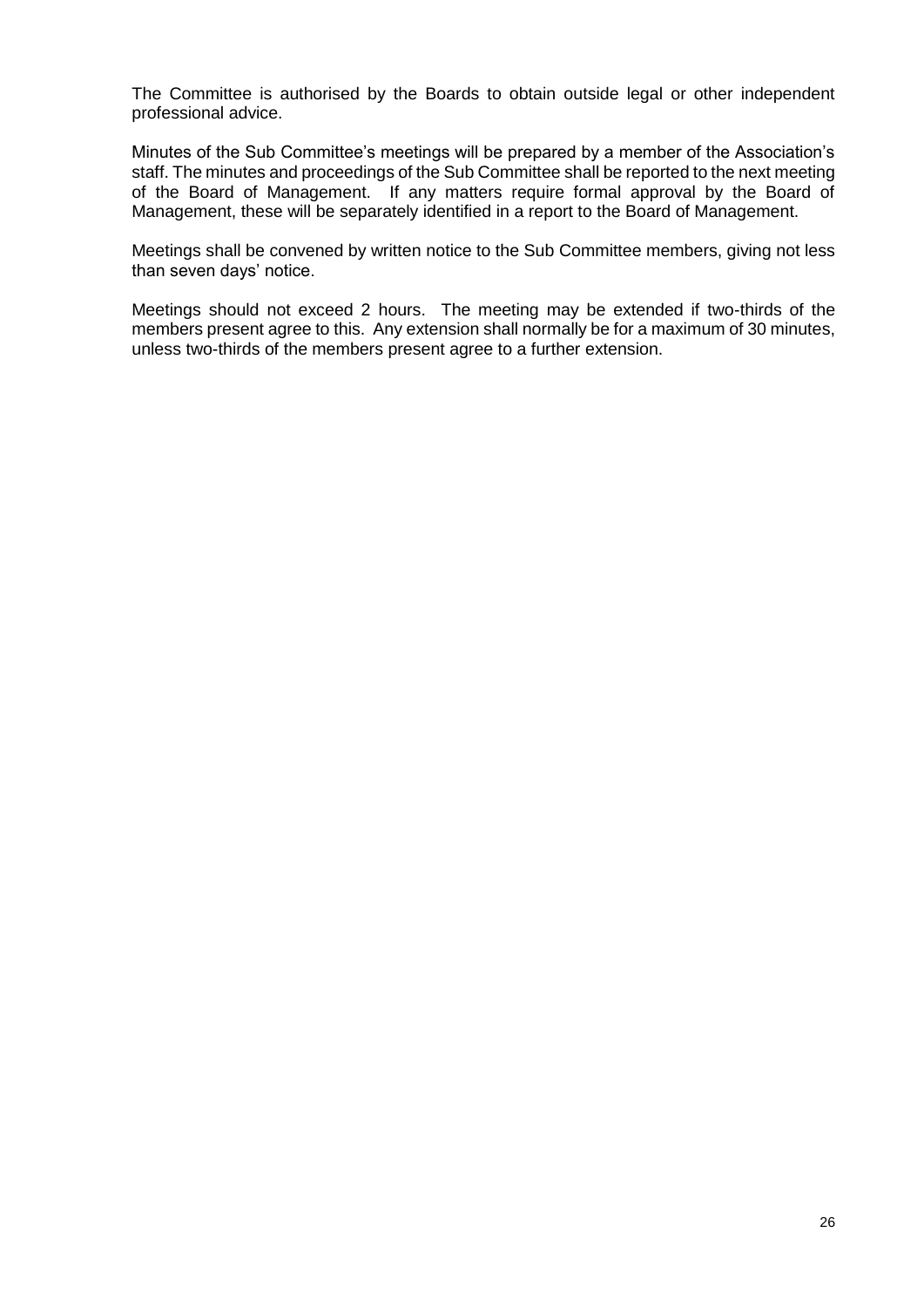The Committee is authorised by the Boards to obtain outside legal or other independent professional advice.

Minutes of the Sub Committee's meetings will be prepared by a member of the Association's staff. The minutes and proceedings of the Sub Committee shall be reported to the next meeting of the Board of Management. If any matters require formal approval by the Board of Management, these will be separately identified in a report to the Board of Management.

Meetings shall be convened by written notice to the Sub Committee members, giving not less than seven days' notice.

Meetings should not exceed 2 hours. The meeting may be extended if two-thirds of the members present agree to this. Any extension shall normally be for a maximum of 30 minutes, unless two-thirds of the members present agree to a further extension.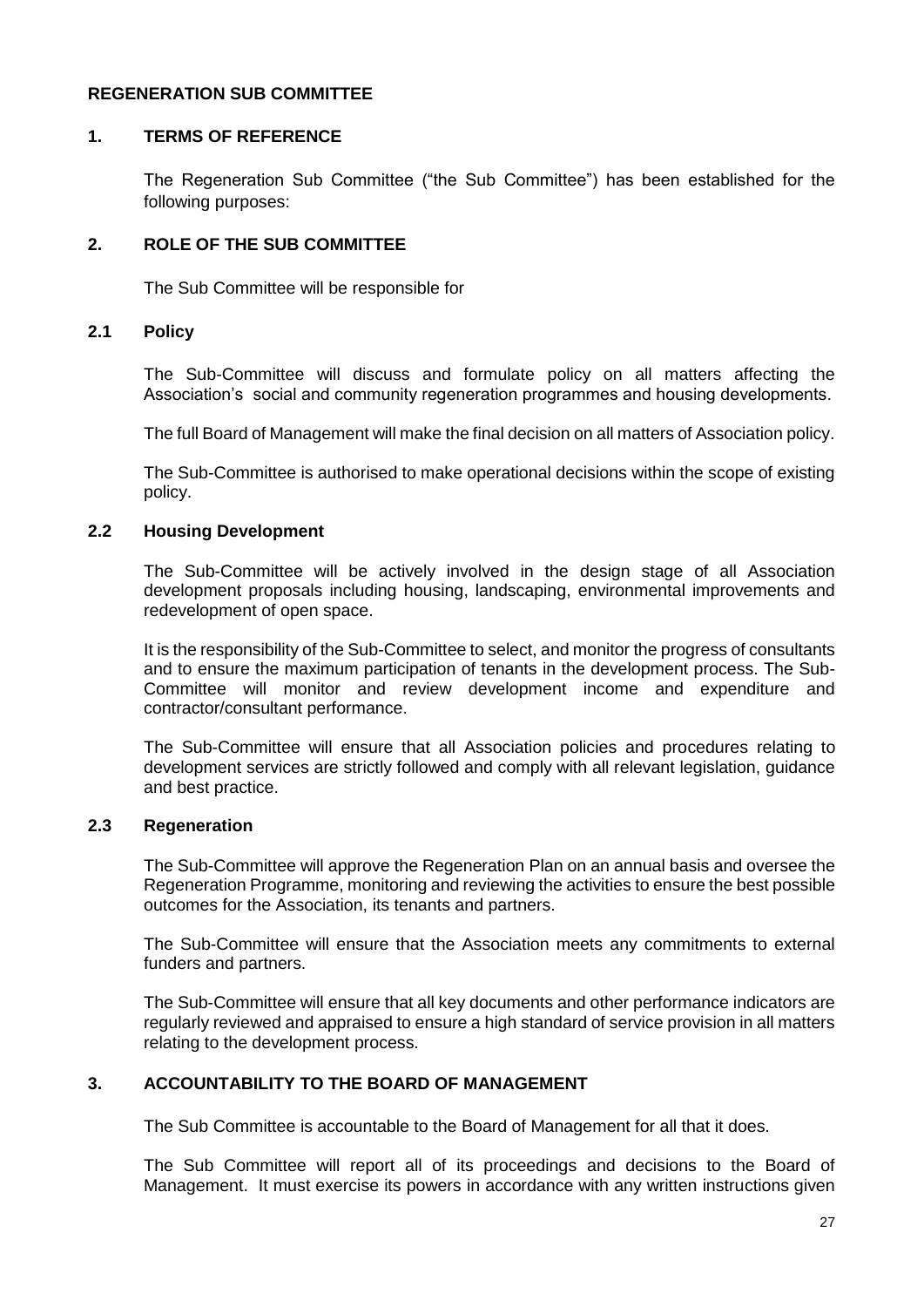#### **REGENERATION SUB COMMITTEE**

#### **1. TERMS OF REFERENCE**

The Regeneration Sub Committee ("the Sub Committee") has been established for the following purposes:

#### **2. ROLE OF THE SUB COMMITTEE**

The Sub Committee will be responsible for

#### **2.1 Policy**

The Sub-Committee will discuss and formulate policy on all matters affecting the Association's social and community regeneration programmes and housing developments.

The full Board of Management will make the final decision on all matters of Association policy.

The Sub-Committee is authorised to make operational decisions within the scope of existing policy.

#### **2.2 Housing Development**

The Sub-Committee will be actively involved in the design stage of all Association development proposals including housing, landscaping, environmental improvements and redevelopment of open space.

It is the responsibility of the Sub-Committee to select, and monitor the progress of consultants and to ensure the maximum participation of tenants in the development process. The Sub-Committee will monitor and review development income and expenditure and contractor/consultant performance.

The Sub-Committee will ensure that all Association policies and procedures relating to development services are strictly followed and comply with all relevant legislation, guidance and best practice.

# **2.3 Regeneration**

The Sub-Committee will approve the Regeneration Plan on an annual basis and oversee the Regeneration Programme, monitoring and reviewing the activities to ensure the best possible outcomes for the Association, its tenants and partners.

The Sub-Committee will ensure that the Association meets any commitments to external funders and partners.

The Sub-Committee will ensure that all key documents and other performance indicators are regularly reviewed and appraised to ensure a high standard of service provision in all matters relating to the development process.

# **3. ACCOUNTABILITY TO THE BOARD OF MANAGEMENT**

The Sub Committee is accountable to the Board of Management for all that it does.

The Sub Committee will report all of its proceedings and decisions to the Board of Management. It must exercise its powers in accordance with any written instructions given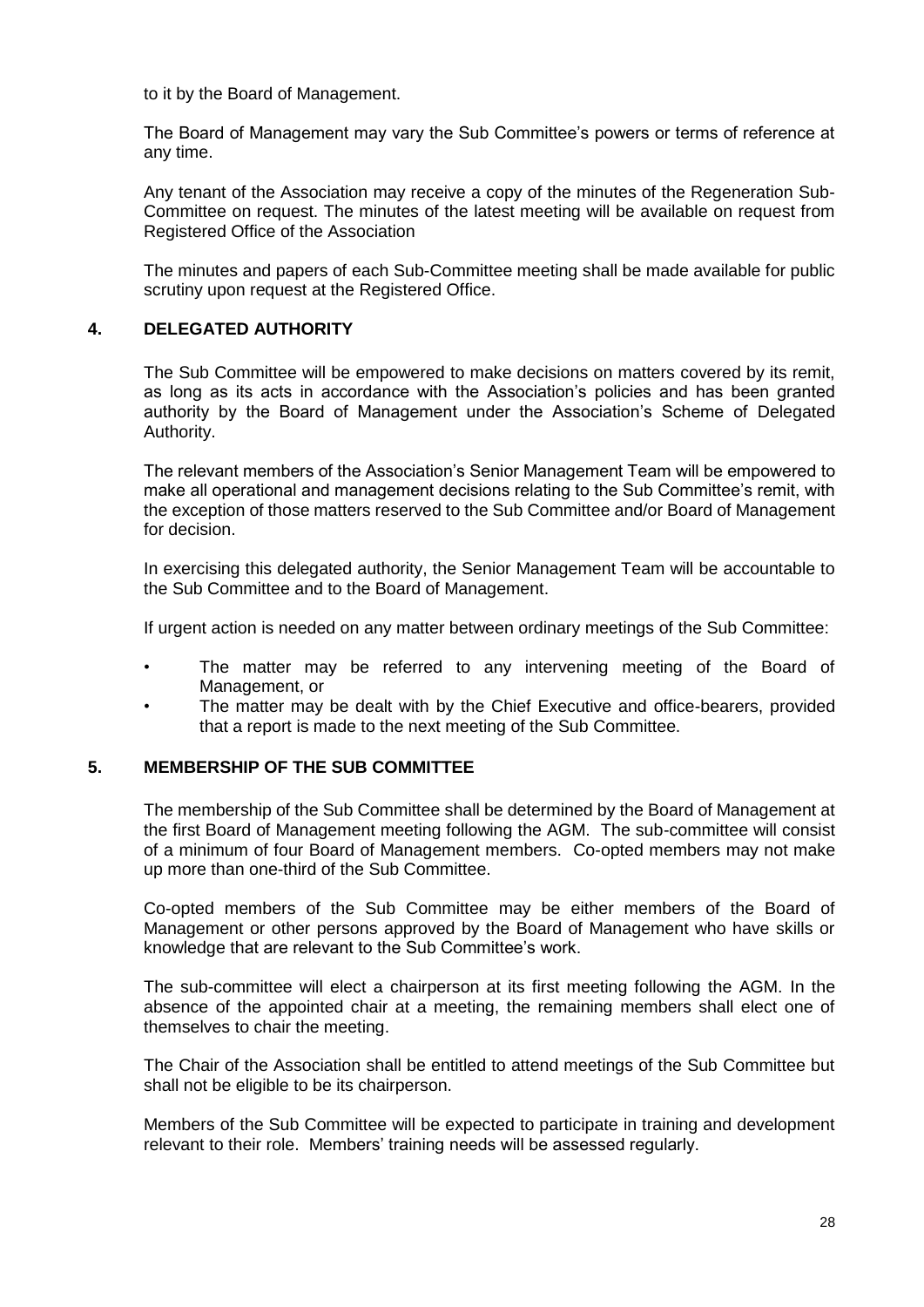to it by the Board of Management.

The Board of Management may vary the Sub Committee's powers or terms of reference at any time.

Any tenant of the Association may receive a copy of the minutes of the Regeneration Sub-Committee on request. The minutes of the latest meeting will be available on request from Registered Office of the Association

The minutes and papers of each Sub-Committee meeting shall be made available for public scrutiny upon request at the Registered Office.

#### **4. DELEGATED AUTHORITY**

The Sub Committee will be empowered to make decisions on matters covered by its remit, as long as its acts in accordance with the Association's policies and has been granted authority by the Board of Management under the Association's Scheme of Delegated Authority.

The relevant members of the Association's Senior Management Team will be empowered to make all operational and management decisions relating to the Sub Committee's remit, with the exception of those matters reserved to the Sub Committee and/or Board of Management for decision.

In exercising this delegated authority, the Senior Management Team will be accountable to the Sub Committee and to the Board of Management.

If urgent action is needed on any matter between ordinary meetings of the Sub Committee:

- The matter may be referred to any intervening meeting of the Board of Management, or
- The matter may be dealt with by the Chief Executive and office-bearers, provided that a report is made to the next meeting of the Sub Committee.

#### **5. MEMBERSHIP OF THE SUB COMMITTEE**

The membership of the Sub Committee shall be determined by the Board of Management at the first Board of Management meeting following the AGM. The sub-committee will consist of a minimum of four Board of Management members. Co-opted members may not make up more than one-third of the Sub Committee.

Co-opted members of the Sub Committee may be either members of the Board of Management or other persons approved by the Board of Management who have skills or knowledge that are relevant to the Sub Committee's work.

The sub-committee will elect a chairperson at its first meeting following the AGM. In the absence of the appointed chair at a meeting, the remaining members shall elect one of themselves to chair the meeting.

The Chair of the Association shall be entitled to attend meetings of the Sub Committee but shall not be eligible to be its chairperson.

Members of the Sub Committee will be expected to participate in training and development relevant to their role. Members' training needs will be assessed regularly.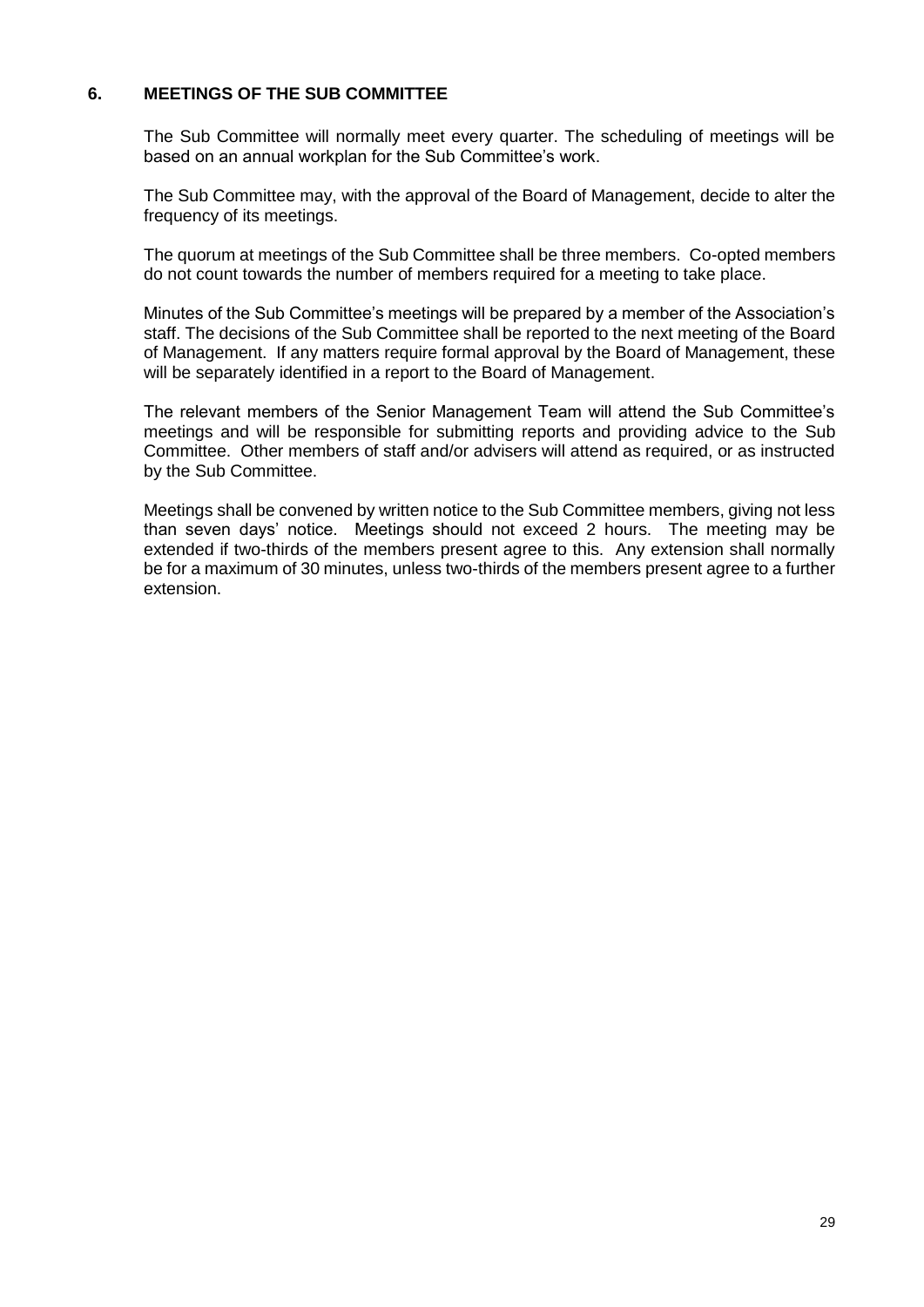# **6. MEETINGS OF THE SUB COMMITTEE**

The Sub Committee will normally meet every quarter. The scheduling of meetings will be based on an annual workplan for the Sub Committee's work.

The Sub Committee may, with the approval of the Board of Management, decide to alter the frequency of its meetings.

The quorum at meetings of the Sub Committee shall be three members. Co-opted members do not count towards the number of members required for a meeting to take place.

Minutes of the Sub Committee's meetings will be prepared by a member of the Association's staff. The decisions of the Sub Committee shall be reported to the next meeting of the Board of Management. If any matters require formal approval by the Board of Management, these will be separately identified in a report to the Board of Management.

The relevant members of the Senior Management Team will attend the Sub Committee's meetings and will be responsible for submitting reports and providing advice to the Sub Committee. Other members of staff and/or advisers will attend as required, or as instructed by the Sub Committee.

Meetings shall be convened by written notice to the Sub Committee members, giving not less than seven days' notice. Meetings should not exceed 2 hours. The meeting may be extended if two-thirds of the members present agree to this. Any extension shall normally be for a maximum of 30 minutes, unless two-thirds of the members present agree to a further extension.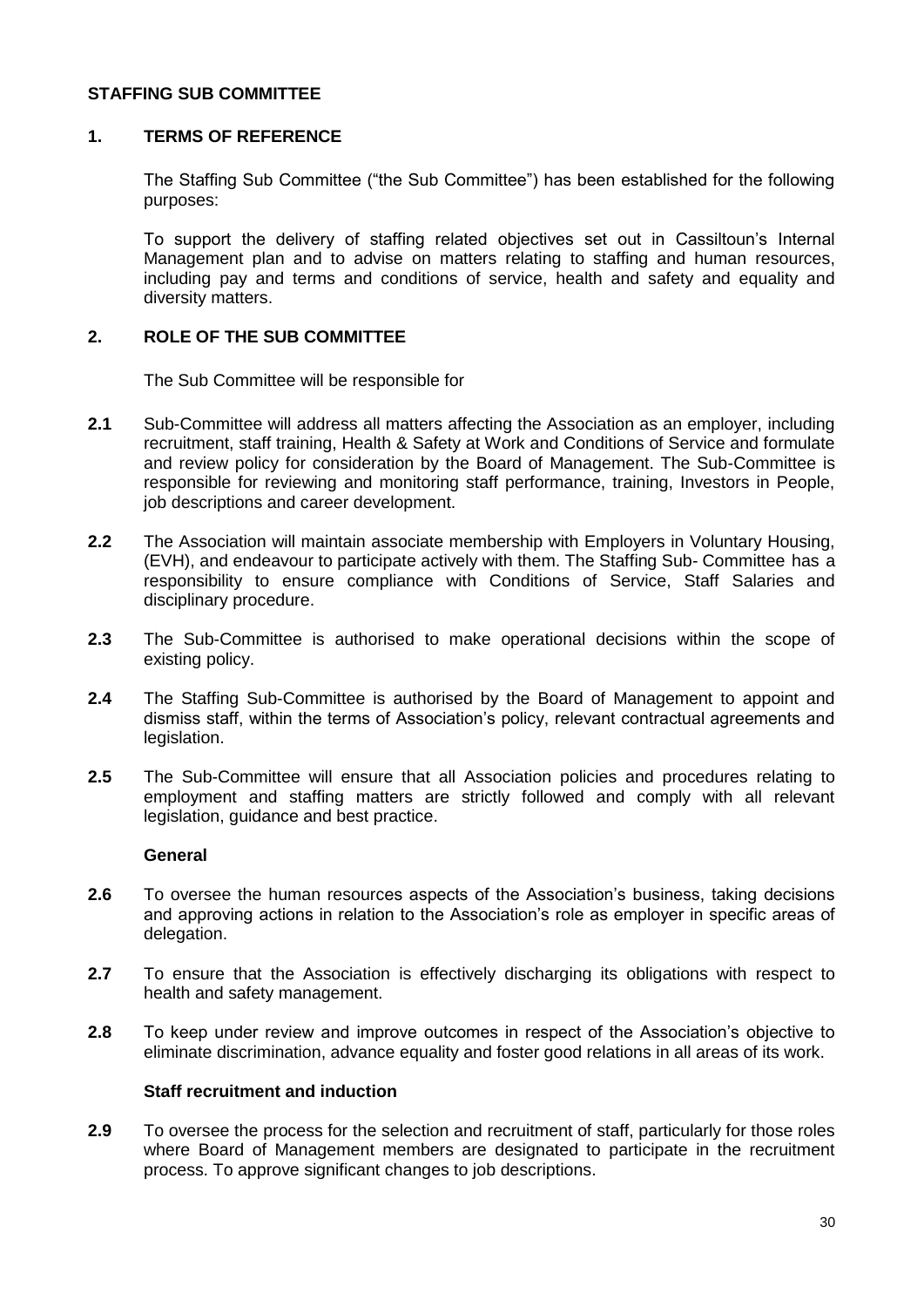#### **STAFFING SUB COMMITTEE**

#### **1. TERMS OF REFERENCE**

The Staffing Sub Committee ("the Sub Committee") has been established for the following purposes:

To support the delivery of staffing related objectives set out in Cassiltoun's Internal Management plan and to advise on matters relating to staffing and human resources, including pay and terms and conditions of service, health and safety and equality and diversity matters.

#### **2. ROLE OF THE SUB COMMITTEE**

The Sub Committee will be responsible for

- **2.1** Sub-Committee will address all matters affecting the Association as an employer, including recruitment, staff training, Health & Safety at Work and Conditions of Service and formulate and review policy for consideration by the Board of Management. The Sub-Committee is responsible for reviewing and monitoring staff performance, training, Investors in People, job descriptions and career development.
- **2.2** The Association will maintain associate membership with Employers in Voluntary Housing, (EVH), and endeavour to participate actively with them. The Staffing Sub- Committee has a responsibility to ensure compliance with Conditions of Service, Staff Salaries and disciplinary procedure.
- **2.3** The Sub-Committee is authorised to make operational decisions within the scope of existing policy.
- **2.4** The Staffing Sub-Committee is authorised by the Board of Management to appoint and dismiss staff, within the terms of Association's policy, relevant contractual agreements and legislation.
- **2.5** The Sub-Committee will ensure that all Association policies and procedures relating to employment and staffing matters are strictly followed and comply with all relevant legislation, guidance and best practice.

#### **General**

- **2.6** To oversee the human resources aspects of the Association's business, taking decisions and approving actions in relation to the Association's role as employer in specific areas of delegation.
- **2.7** To ensure that the Association is effectively discharging its obligations with respect to health and safety management.
- **2.8** To keep under review and improve outcomes in respect of the Association's objective to eliminate discrimination, advance equality and foster good relations in all areas of its work.

#### **Staff recruitment and induction**

**2.9** To oversee the process for the selection and recruitment of staff, particularly for those roles where Board of Management members are designated to participate in the recruitment process. To approve significant changes to job descriptions.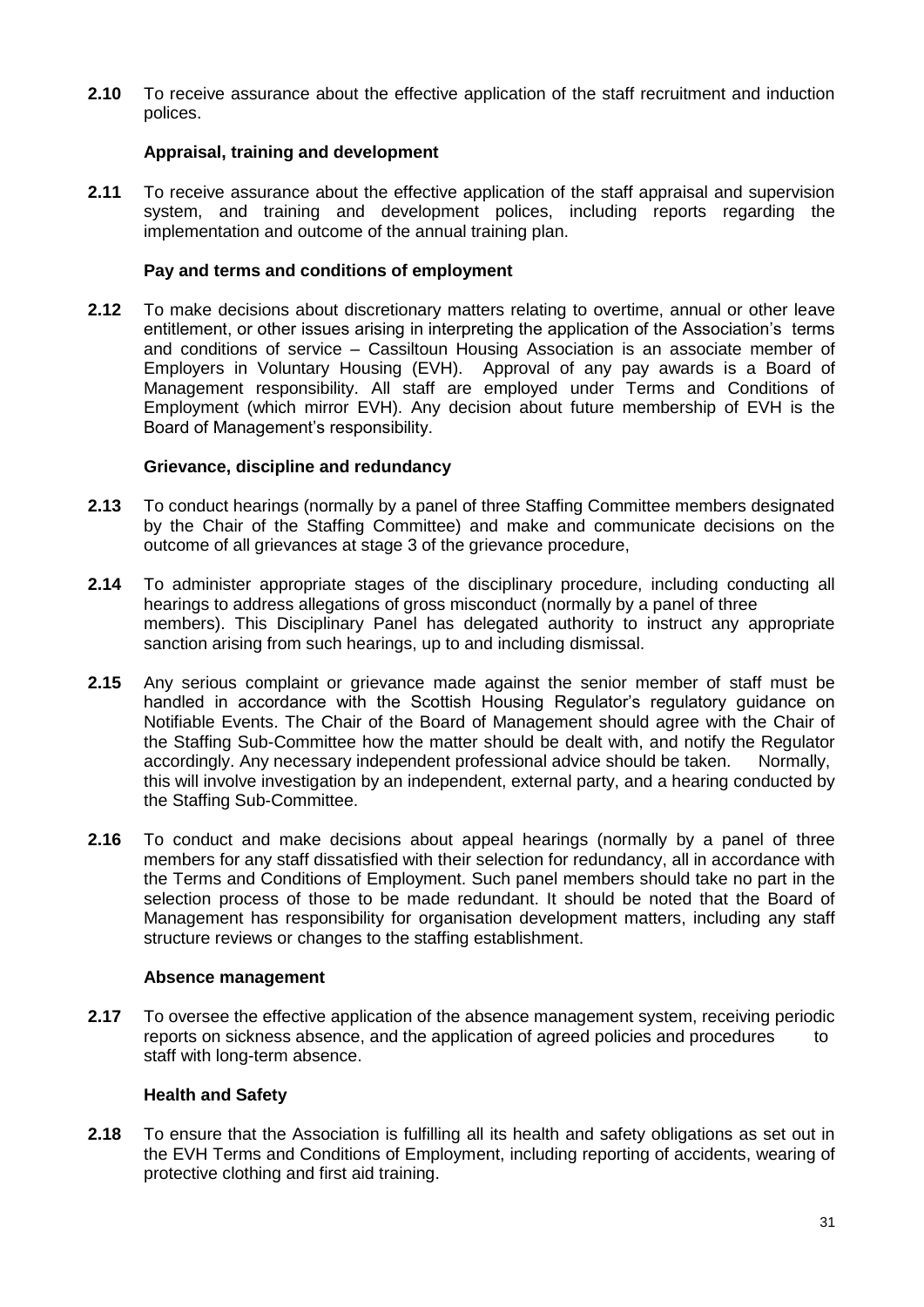**2.10** To receive assurance about the effective application of the staff recruitment and induction polices.

#### **Appraisal, training and development**

**2.11** To receive assurance about the effective application of the staff appraisal and supervision system, and training and development polices, including reports regarding the implementation and outcome of the annual training plan.

#### **Pay and terms and conditions of employment**

**2.12** To make decisions about discretionary matters relating to overtime, annual or other leave entitlement, or other issues arising in interpreting the application of the Association's terms and conditions of service – Cassiltoun Housing Association is an associate member of Employers in Voluntary Housing (EVH). Approval of any pay awards is a Board of Management responsibility. All staff are employed under Terms and Conditions of Employment (which mirror EVH). Any decision about future membership of EVH is the Board of Management's responsibility.

#### **Grievance, discipline and redundancy**

- **2.13** To conduct hearings (normally by a panel of three Staffing Committee members designated by the Chair of the Staffing Committee) and make and communicate decisions on the outcome of all grievances at stage 3 of the grievance procedure,
- **2.14** To administer appropriate stages of the disciplinary procedure, including conducting all hearings to address allegations of gross misconduct (normally by a panel of three members). This Disciplinary Panel has delegated authority to instruct any appropriate sanction arising from such hearings, up to and including dismissal.
- **2.15** Any serious complaint or grievance made against the senior member of staff must be handled in accordance with the Scottish Housing Regulator's regulatory guidance on Notifiable Events. The Chair of the Board of Management should agree with the Chair of the Staffing Sub-Committee how the matter should be dealt with, and notify the Regulator accordingly. Any necessary independent professional advice should be taken. Normally, this will involve investigation by an independent, external party, and a hearing conducted by the Staffing Sub-Committee.
- **2.16** To conduct and make decisions about appeal hearings (normally by a panel of three members for any staff dissatisfied with their selection for redundancy, all in accordance with the Terms and Conditions of Employment. Such panel members should take no part in the selection process of those to be made redundant. It should be noted that the Board of Management has responsibility for organisation development matters, including any staff structure reviews or changes to the staffing establishment.

#### **Absence management**

**2.17** To oversee the effective application of the absence management system, receiving periodic reports on sickness absence, and the application of agreed policies and procedures to staff with long-term absence.

#### **Health and Safety**

**2.18** To ensure that the Association is fulfilling all its health and safety obligations as set out in the EVH Terms and Conditions of Employment, including reporting of accidents, wearing of protective clothing and first aid training.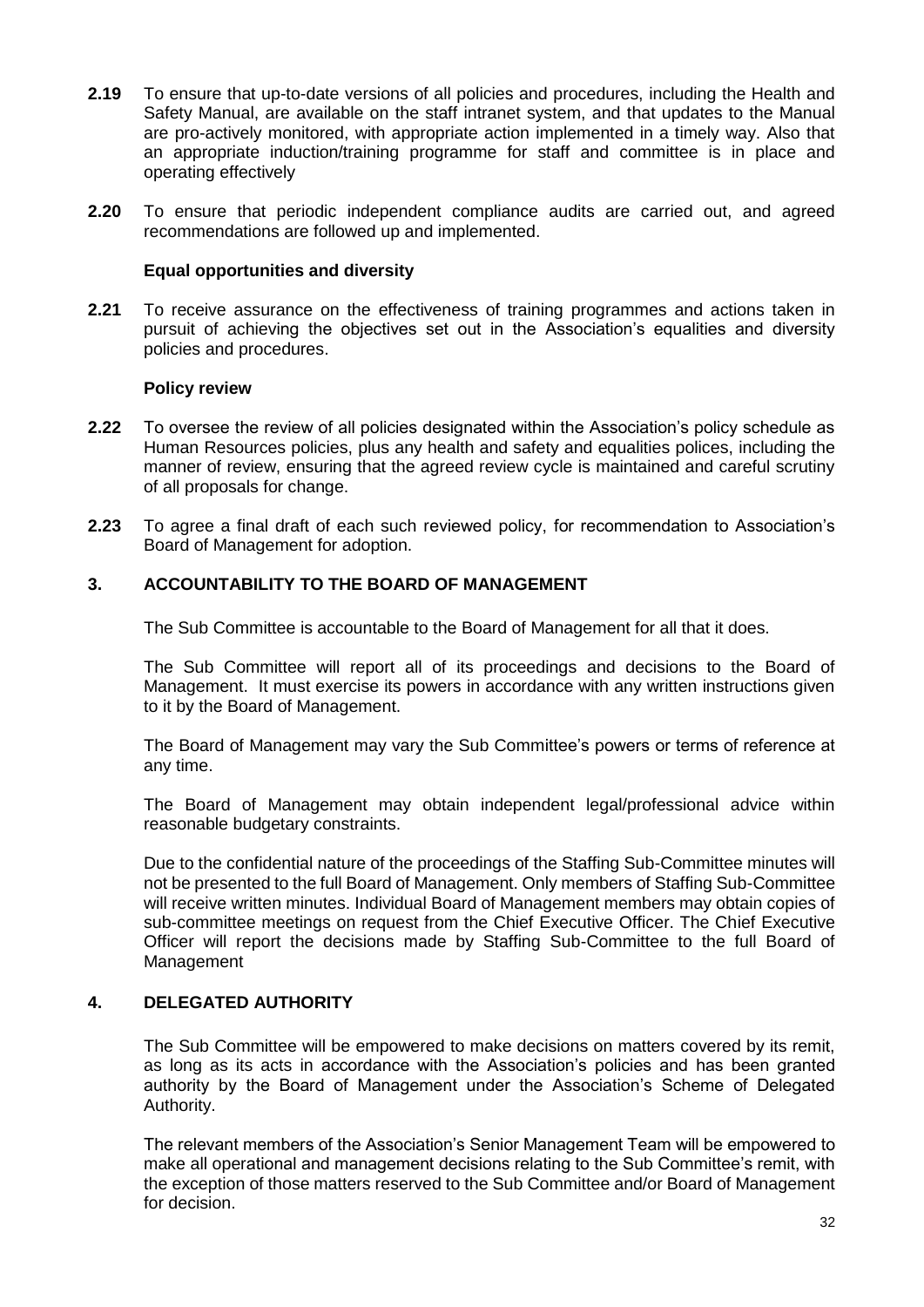- **2.19** To ensure that up-to-date versions of all policies and procedures, including the Health and Safety Manual, are available on the staff intranet system, and that updates to the Manual are pro-actively monitored, with appropriate action implemented in a timely way. Also that an appropriate induction/training programme for staff and committee is in place and operating effectively
- **2.20** To ensure that periodic independent compliance audits are carried out, and agreed recommendations are followed up and implemented.

#### **Equal opportunities and diversity**

**2.21** To receive assurance on the effectiveness of training programmes and actions taken in pursuit of achieving the objectives set out in the Association's equalities and diversity policies and procedures.

#### **Policy review**

- **2.22** To oversee the review of all policies designated within the Association's policy schedule as Human Resources policies, plus any health and safety and equalities polices, including the manner of review, ensuring that the agreed review cycle is maintained and careful scrutiny of all proposals for change.
- **2.23** To agree a final draft of each such reviewed policy, for recommendation to Association's Board of Management for adoption.

#### **3. ACCOUNTABILITY TO THE BOARD OF MANAGEMENT**

The Sub Committee is accountable to the Board of Management for all that it does.

The Sub Committee will report all of its proceedings and decisions to the Board of Management. It must exercise its powers in accordance with any written instructions given to it by the Board of Management.

The Board of Management may vary the Sub Committee's powers or terms of reference at any time.

The Board of Management may obtain independent legal/professional advice within reasonable budgetary constraints.

Due to the confidential nature of the proceedings of the Staffing Sub-Committee minutes will not be presented to the full Board of Management. Only members of Staffing Sub-Committee will receive written minutes. Individual Board of Management members may obtain copies of sub-committee meetings on request from the Chief Executive Officer. The Chief Executive Officer will report the decisions made by Staffing Sub-Committee to the full Board of Management

#### **4. DELEGATED AUTHORITY**

The Sub Committee will be empowered to make decisions on matters covered by its remit, as long as its acts in accordance with the Association's policies and has been granted authority by the Board of Management under the Association's Scheme of Delegated Authority.

The relevant members of the Association's Senior Management Team will be empowered to make all operational and management decisions relating to the Sub Committee's remit, with the exception of those matters reserved to the Sub Committee and/or Board of Management for decision.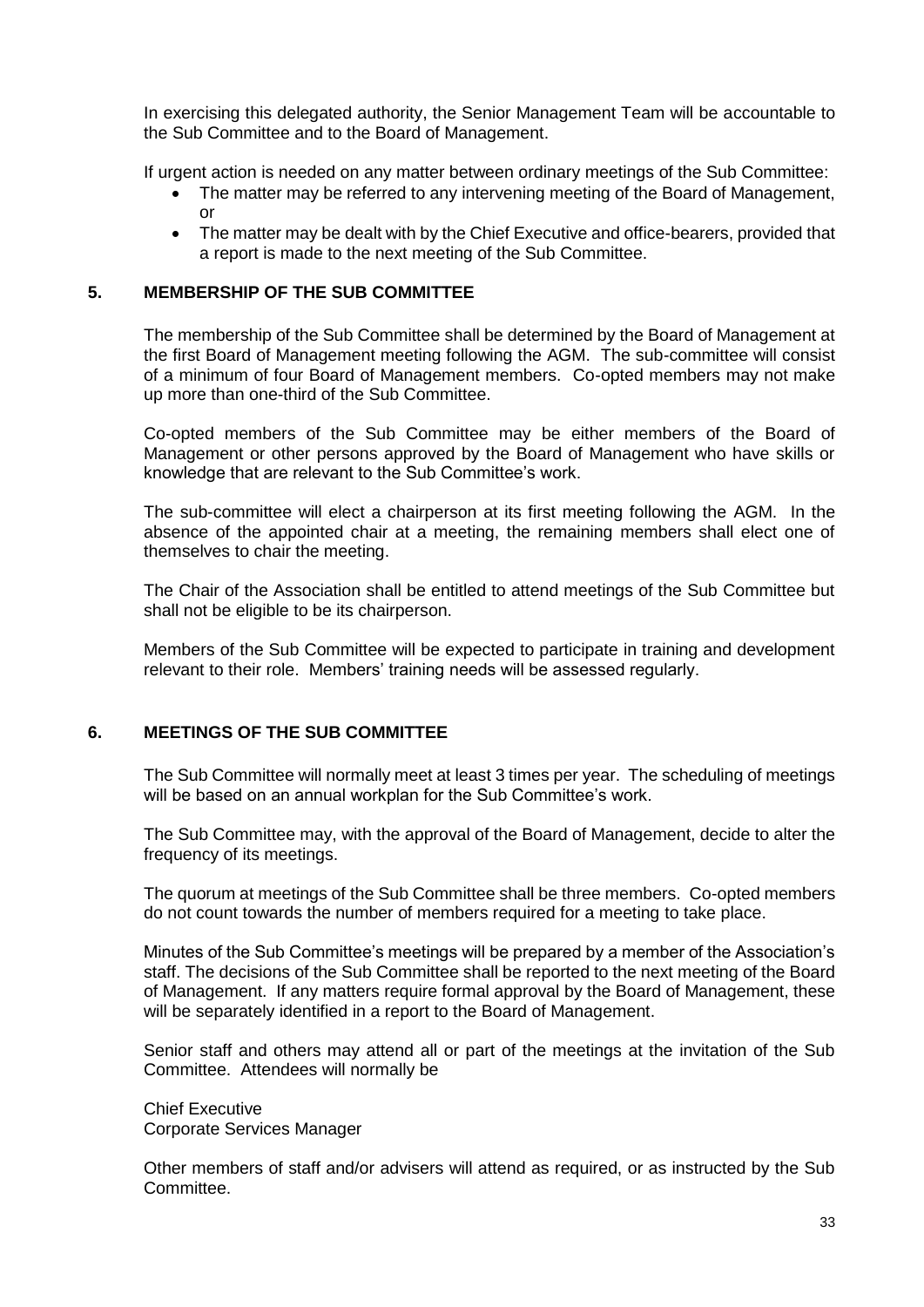In exercising this delegated authority, the Senior Management Team will be accountable to the Sub Committee and to the Board of Management.

If urgent action is needed on any matter between ordinary meetings of the Sub Committee:

- The matter may be referred to any intervening meeting of the Board of Management, or
- The matter may be dealt with by the Chief Executive and office-bearers, provided that a report is made to the next meeting of the Sub Committee.

#### **5. MEMBERSHIP OF THE SUB COMMITTEE**

The membership of the Sub Committee shall be determined by the Board of Management at the first Board of Management meeting following the AGM. The sub-committee will consist of a minimum of four Board of Management members. Co-opted members may not make up more than one-third of the Sub Committee.

Co-opted members of the Sub Committee may be either members of the Board of Management or other persons approved by the Board of Management who have skills or knowledge that are relevant to the Sub Committee's work.

The sub-committee will elect a chairperson at its first meeting following the AGM. In the absence of the appointed chair at a meeting, the remaining members shall elect one of themselves to chair the meeting.

The Chair of the Association shall be entitled to attend meetings of the Sub Committee but shall not be eligible to be its chairperson.

Members of the Sub Committee will be expected to participate in training and development relevant to their role. Members' training needs will be assessed regularly.

#### **6. MEETINGS OF THE SUB COMMITTEE**

The Sub Committee will normally meet at least 3 times per year. The scheduling of meetings will be based on an annual workplan for the Sub Committee's work.

The Sub Committee may, with the approval of the Board of Management, decide to alter the frequency of its meetings.

The quorum at meetings of the Sub Committee shall be three members. Co-opted members do not count towards the number of members required for a meeting to take place.

Minutes of the Sub Committee's meetings will be prepared by a member of the Association's staff. The decisions of the Sub Committee shall be reported to the next meeting of the Board of Management. If any matters require formal approval by the Board of Management, these will be separately identified in a report to the Board of Management.

Senior staff and others may attend all or part of the meetings at the invitation of the Sub Committee. Attendees will normally be

Chief Executive Corporate Services Manager

Other members of staff and/or advisers will attend as required, or as instructed by the Sub Committee.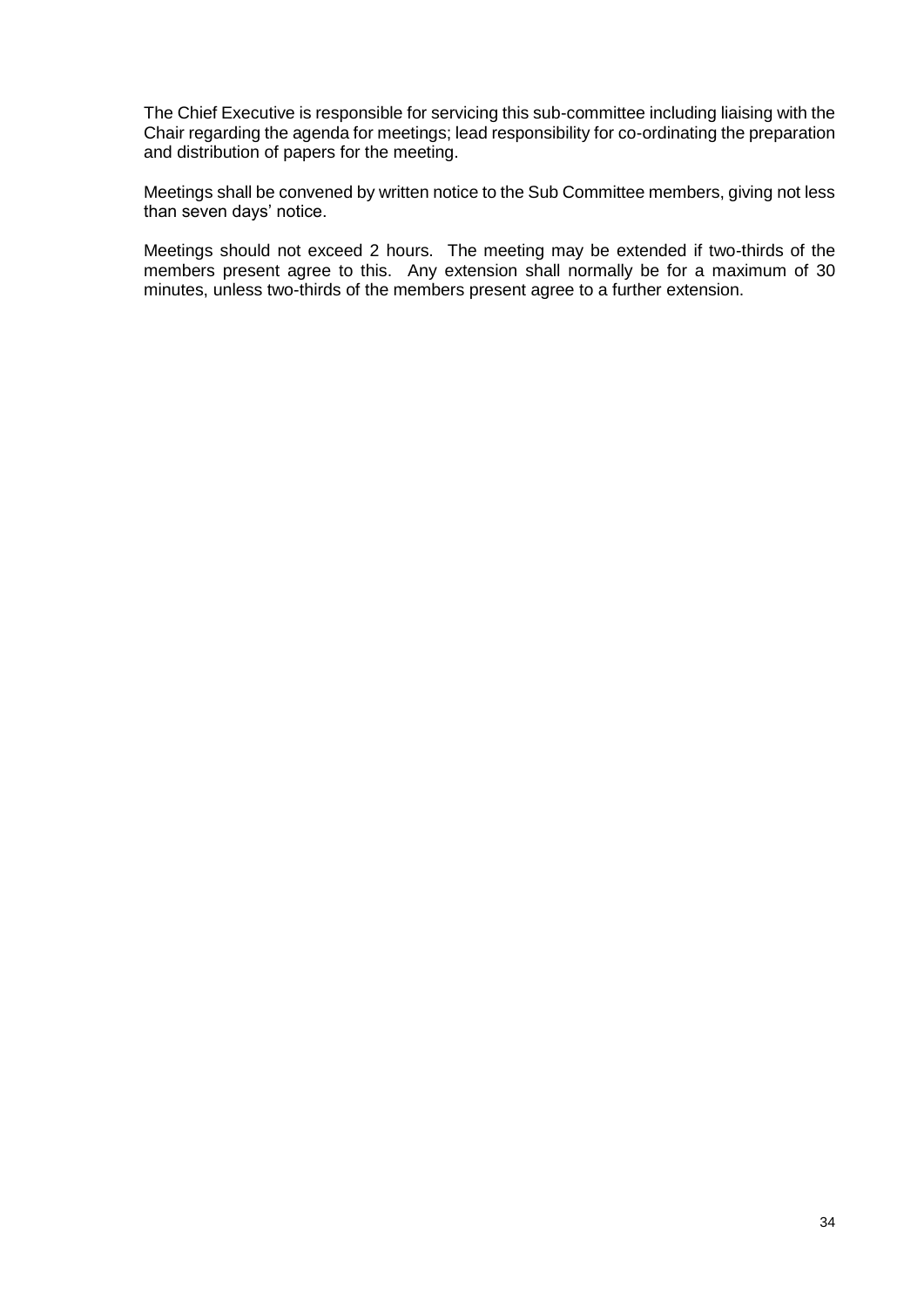The Chief Executive is responsible for servicing this sub-committee including liaising with the Chair regarding the agenda for meetings; lead responsibility for co-ordinating the preparation and distribution of papers for the meeting.

Meetings shall be convened by written notice to the Sub Committee members, giving not less than seven days' notice.

Meetings should not exceed 2 hours. The meeting may be extended if two-thirds of the members present agree to this. Any extension shall normally be for a maximum of 30 minutes, unless two-thirds of the members present agree to a further extension.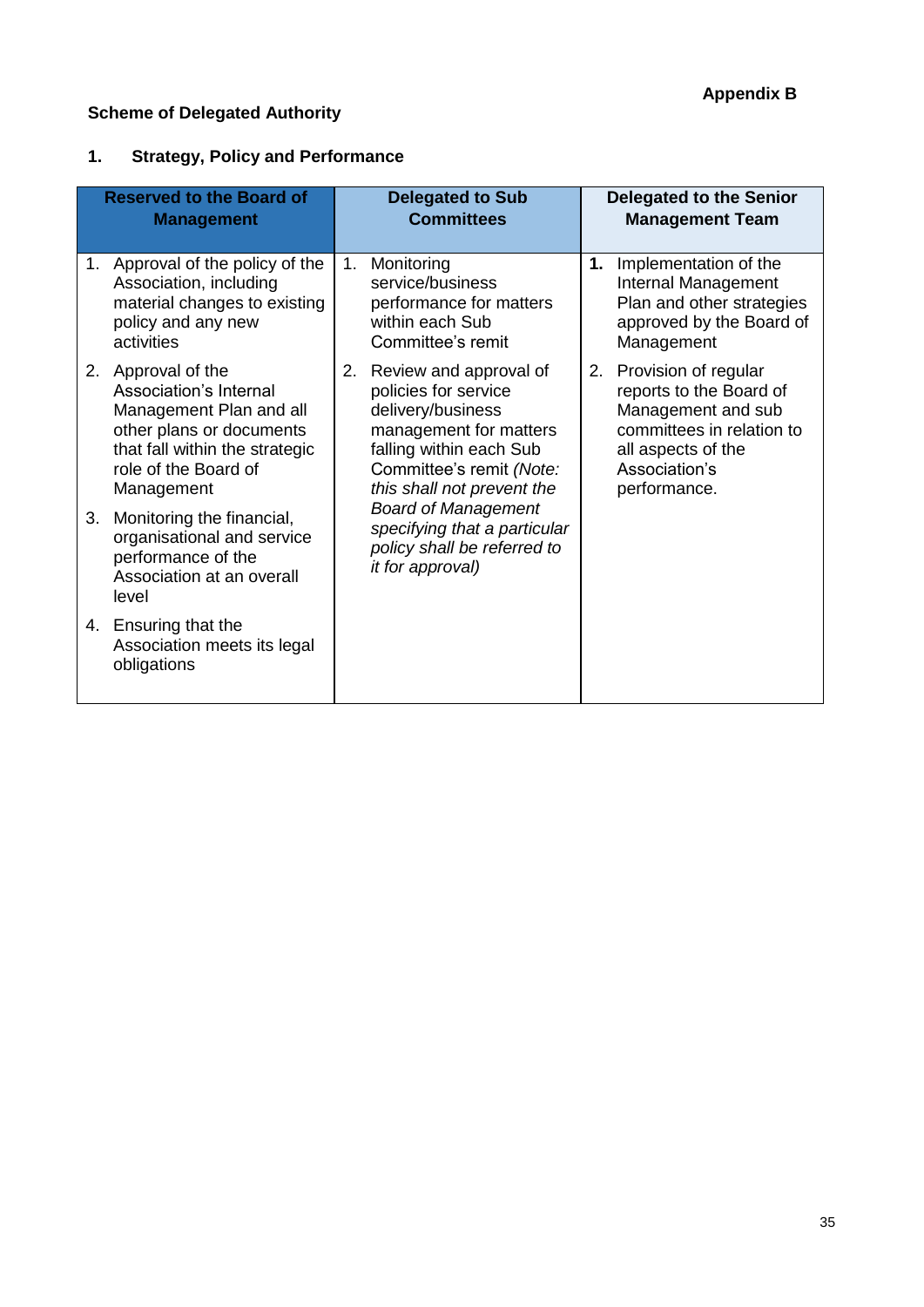# **Scheme of Delegated Authority**

# **1. Strategy, Policy and Performance**

|    | <b>Reserved to the Board of</b><br><b>Management</b>                                                                                                                        | <b>Delegated to Sub</b><br><b>Committees</b>                                                                                                                                          |    | <b>Delegated to the Senior</b><br><b>Management Team</b>                                                                                                  |
|----|-----------------------------------------------------------------------------------------------------------------------------------------------------------------------------|---------------------------------------------------------------------------------------------------------------------------------------------------------------------------------------|----|-----------------------------------------------------------------------------------------------------------------------------------------------------------|
|    | 1. Approval of the policy of the<br>Association, including<br>material changes to existing<br>policy and any new<br>activities                                              | 1. Monitoring<br>service/business<br>performance for matters<br>within each Sub<br>Committee's remit                                                                                  | 1. | Implementation of the<br>Internal Management<br>Plan and other strategies<br>approved by the Board of<br>Management                                       |
|    | 2. Approval of the<br>Association's Internal<br>Management Plan and all<br>other plans or documents<br>that fall within the strategic<br>role of the Board of<br>Management | 2. Review and approval of<br>policies for service<br>delivery/business<br>management for matters<br>falling within each Sub<br>Committee's remit (Note:<br>this shall not prevent the | 2. | Provision of regular<br>reports to the Board of<br>Management and sub<br>committees in relation to<br>all aspects of the<br>Association's<br>performance. |
| 3. | Monitoring the financial,<br>organisational and service<br>performance of the<br>Association at an overall<br>level                                                         | <b>Board of Management</b><br>specifying that a particular<br>policy shall be referred to<br>it for approval)                                                                         |    |                                                                                                                                                           |
|    | 4. Ensuring that the<br>Association meets its legal<br>obligations                                                                                                          |                                                                                                                                                                                       |    |                                                                                                                                                           |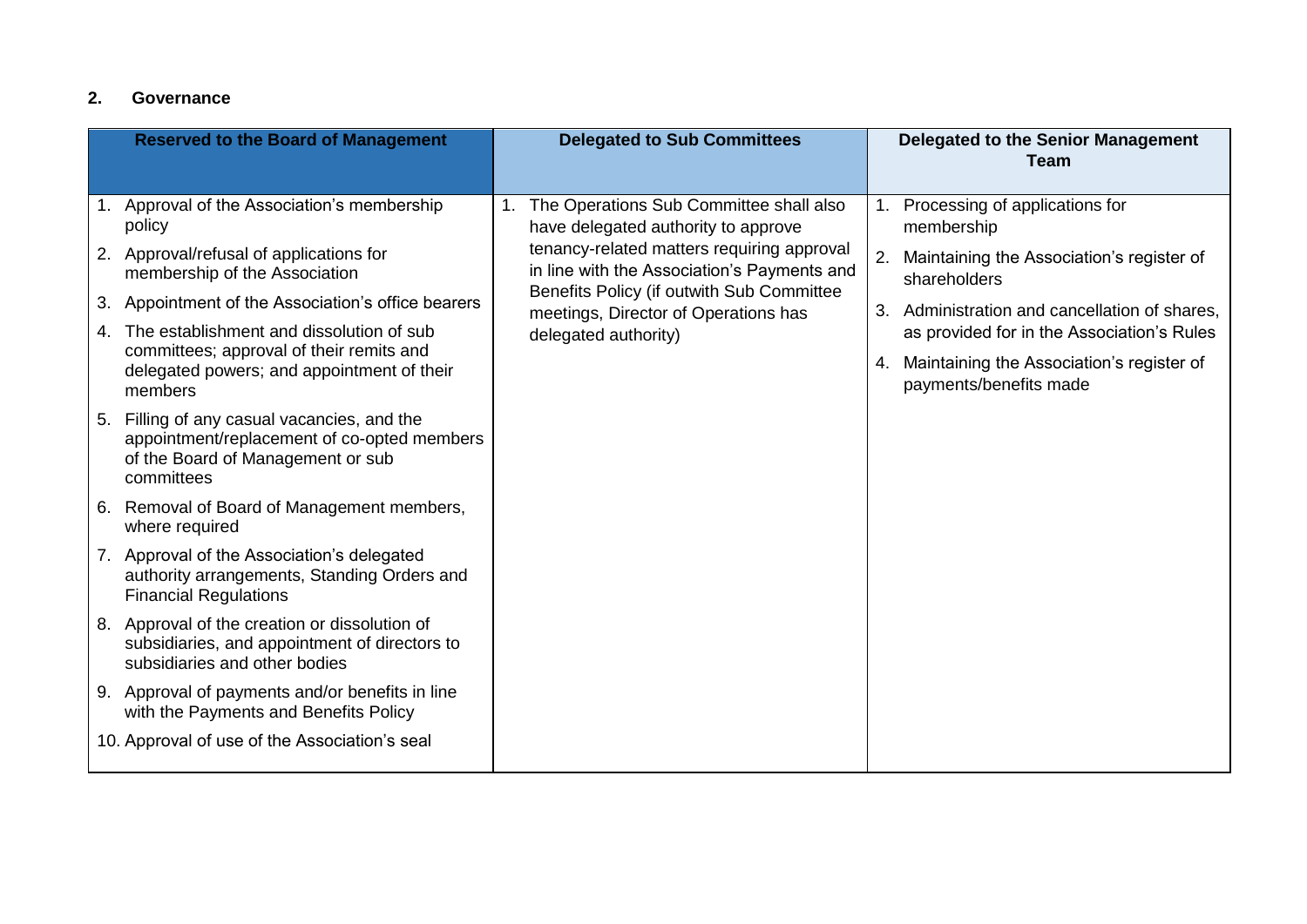# **2. Governance**

| <b>Reserved to the Board of Management</b>                                                                                                    |    | <b>Delegated to Sub Committees</b>                                                |    | <b>Delegated to the Senior Management</b><br><b>Team</b>                                  |    |                                                           |
|-----------------------------------------------------------------------------------------------------------------------------------------------|----|-----------------------------------------------------------------------------------|----|-------------------------------------------------------------------------------------------|----|-----------------------------------------------------------|
| 1. Approval of the Association's membership<br>policy                                                                                         | 1. | The Operations Sub Committee shall also<br>have delegated authority to approve    |    | 1. Processing of applications for<br>membership                                           |    |                                                           |
| 2. Approval/refusal of applications for<br>membership of the Association                                                                      |    |                                                                                   |    | tenancy-related matters requiring approval<br>in line with the Association's Payments and | 2. | Maintaining the Association's register of<br>shareholders |
| 3. Appointment of the Association's office bearers                                                                                            |    | Benefits Policy (if outwith Sub Committee<br>meetings, Director of Operations has | 3. | Administration and cancellation of shares,                                                |    |                                                           |
| 4. The establishment and dissolution of sub                                                                                                   |    | delegated authority)                                                              |    | as provided for in the Association's Rules                                                |    |                                                           |
| committees; approval of their remits and<br>delegated powers; and appointment of their<br>members                                             |    |                                                                                   | 4. | Maintaining the Association's register of<br>payments/benefits made                       |    |                                                           |
| 5. Filling of any casual vacancies, and the<br>appointment/replacement of co-opted members<br>of the Board of Management or sub<br>committees |    |                                                                                   |    |                                                                                           |    |                                                           |
| 6. Removal of Board of Management members,<br>where required                                                                                  |    |                                                                                   |    |                                                                                           |    |                                                           |
| 7. Approval of the Association's delegated<br>authority arrangements, Standing Orders and<br><b>Financial Regulations</b>                     |    |                                                                                   |    |                                                                                           |    |                                                           |
| 8. Approval of the creation or dissolution of<br>subsidiaries, and appointment of directors to<br>subsidiaries and other bodies               |    |                                                                                   |    |                                                                                           |    |                                                           |
| 9. Approval of payments and/or benefits in line<br>with the Payments and Benefits Policy                                                      |    |                                                                                   |    |                                                                                           |    |                                                           |
| 10. Approval of use of the Association's seal                                                                                                 |    |                                                                                   |    |                                                                                           |    |                                                           |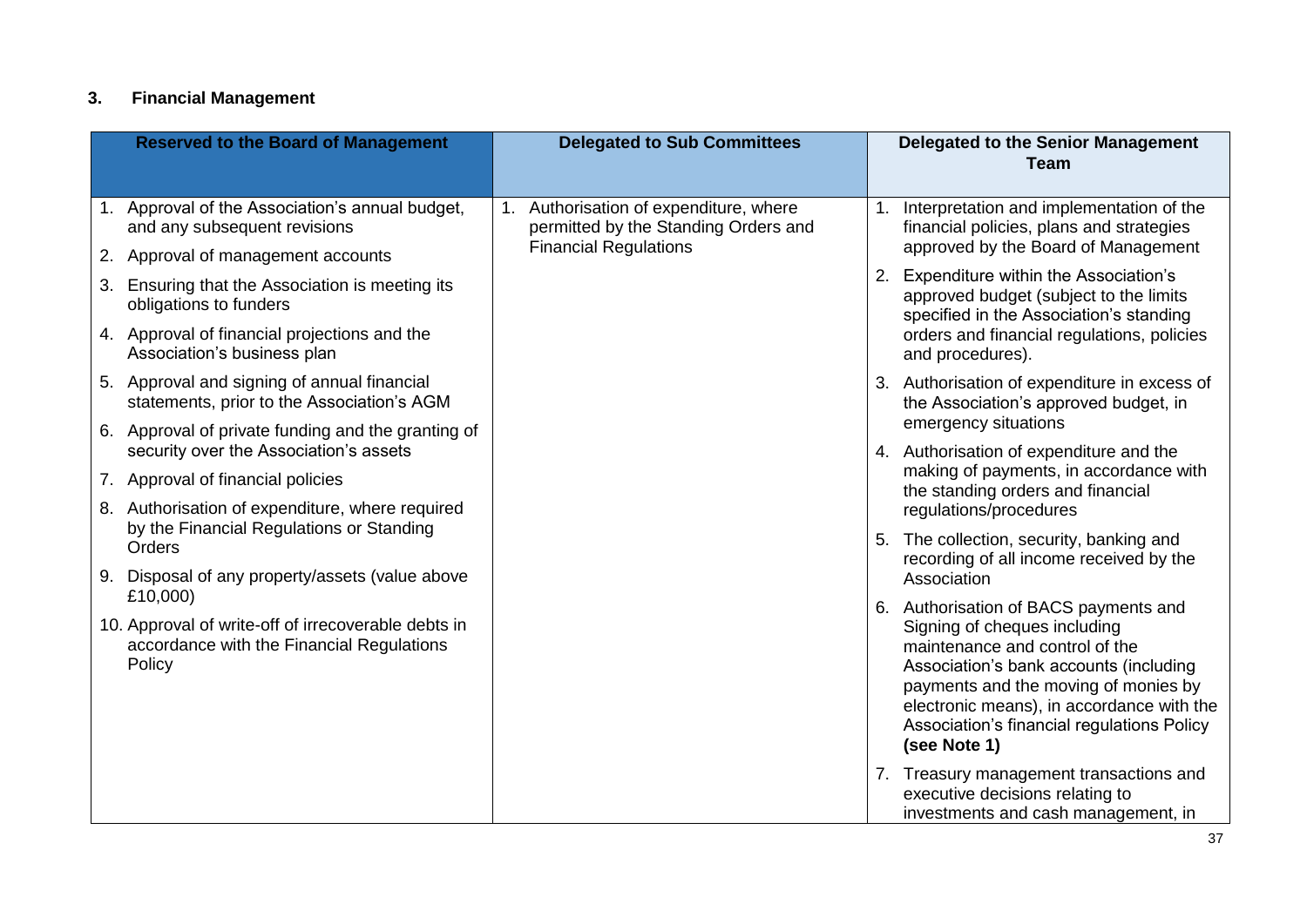# **3. Financial Management**

| <b>Reserved to the Board of Management</b>                                                                             | <b>Delegated to Sub Committees</b>                                          | <b>Delegated to the Senior Management</b><br><b>Team</b>                                                                                                                                                                                                                                             |
|------------------------------------------------------------------------------------------------------------------------|-----------------------------------------------------------------------------|------------------------------------------------------------------------------------------------------------------------------------------------------------------------------------------------------------------------------------------------------------------------------------------------------|
| 1. Approval of the Association's annual budget,<br>and any subsequent revisions                                        | Authorisation of expenditure, where<br>permitted by the Standing Orders and | Interpretation and implementation of the<br>1 <sub>1</sub><br>financial policies, plans and strategies                                                                                                                                                                                               |
| 2. Approval of management accounts                                                                                     | <b>Financial Regulations</b>                                                | approved by the Board of Management                                                                                                                                                                                                                                                                  |
| Ensuring that the Association is meeting its<br>3.<br>obligations to funders                                           |                                                                             | 2. Expenditure within the Association's<br>approved budget (subject to the limits<br>specified in the Association's standing                                                                                                                                                                         |
| 4. Approval of financial projections and the<br>Association's business plan                                            |                                                                             | orders and financial regulations, policies<br>and procedures).                                                                                                                                                                                                                                       |
| 5. Approval and signing of annual financial<br>statements, prior to the Association's AGM                              |                                                                             | 3. Authorisation of expenditure in excess of<br>the Association's approved budget, in                                                                                                                                                                                                                |
| 6. Approval of private funding and the granting of<br>security over the Association's assets                           |                                                                             | emergency situations<br>4. Authorisation of expenditure and the                                                                                                                                                                                                                                      |
| 7. Approval of financial policies<br>8. Authorisation of expenditure, where required                                   |                                                                             | making of payments, in accordance with<br>the standing orders and financial<br>regulations/procedures                                                                                                                                                                                                |
| by the Financial Regulations or Standing<br>Orders                                                                     |                                                                             | 5. The collection, security, banking and<br>recording of all income received by the                                                                                                                                                                                                                  |
| 9. Disposal of any property/assets (value above                                                                        |                                                                             | Association                                                                                                                                                                                                                                                                                          |
| £10,000)<br>10. Approval of write-off of irrecoverable debts in<br>accordance with the Financial Regulations<br>Policy |                                                                             | 6. Authorisation of BACS payments and<br>Signing of cheques including<br>maintenance and control of the<br>Association's bank accounts (including<br>payments and the moving of monies by<br>electronic means), in accordance with the<br>Association's financial regulations Policy<br>(see Note 1) |
|                                                                                                                        |                                                                             | 7. Treasury management transactions and<br>executive decisions relating to<br>investments and cash management, in                                                                                                                                                                                    |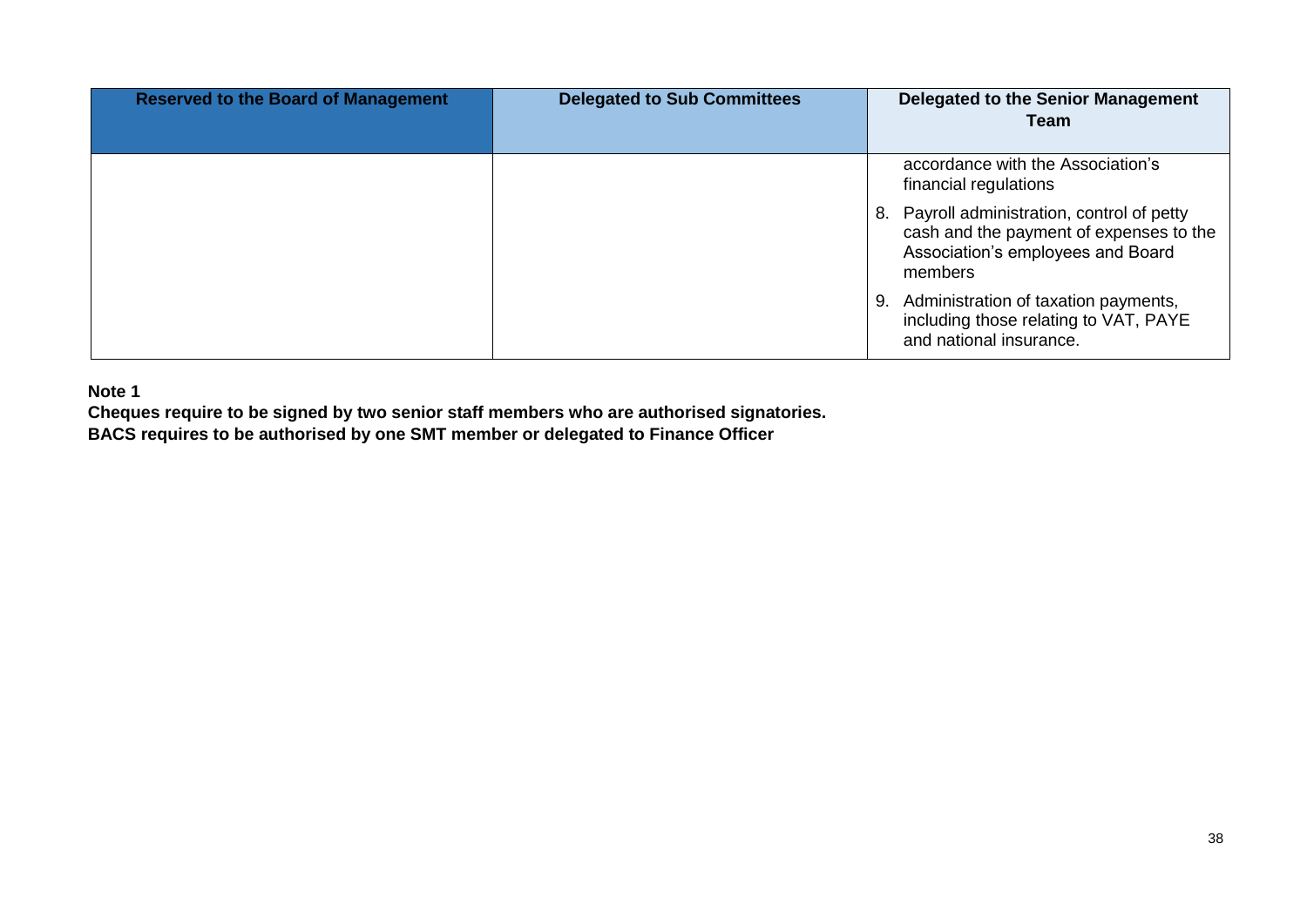| <b>Reserved to the Board of Management</b> | <b>Delegated to Sub Committees</b> | <b>Delegated to the Senior Management</b><br><b>Team</b>                                                                               |
|--------------------------------------------|------------------------------------|----------------------------------------------------------------------------------------------------------------------------------------|
|                                            |                                    | accordance with the Association's<br>financial regulations                                                                             |
|                                            |                                    | 8. Payroll administration, control of petty<br>cash and the payment of expenses to the<br>Association's employees and Board<br>members |
|                                            |                                    | 9. Administration of taxation payments,<br>including those relating to VAT, PAYE<br>and national insurance.                            |

**Note 1**

**Cheques require to be signed by two senior staff members who are authorised signatories. BACS requires to be authorised by one SMT member or delegated to Finance Officer**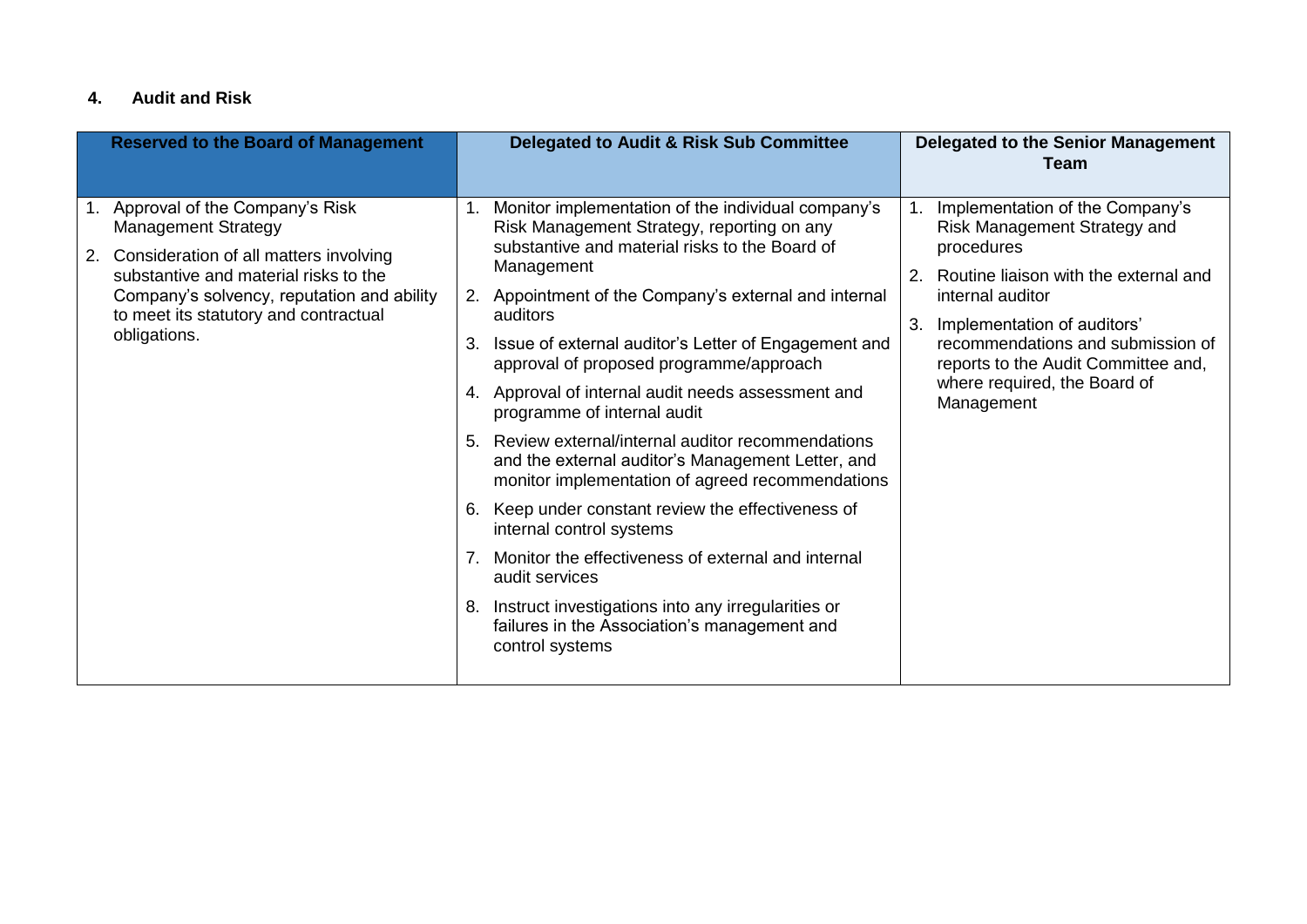# **4. Audit and Risk**

| <b>Reserved to the Board of Management</b>                                                                                                                                                                                                                   | <b>Delegated to Audit &amp; Risk Sub Committee</b>                                                                                                                                                                                                                                                                                                                                                                                                                                                                                                                                                                                                                                                                                                                                                                                                                                           | <b>Delegated to the Senior Management</b><br><b>Team</b>                                                                                                                                                                                                                                                              |
|--------------------------------------------------------------------------------------------------------------------------------------------------------------------------------------------------------------------------------------------------------------|----------------------------------------------------------------------------------------------------------------------------------------------------------------------------------------------------------------------------------------------------------------------------------------------------------------------------------------------------------------------------------------------------------------------------------------------------------------------------------------------------------------------------------------------------------------------------------------------------------------------------------------------------------------------------------------------------------------------------------------------------------------------------------------------------------------------------------------------------------------------------------------------|-----------------------------------------------------------------------------------------------------------------------------------------------------------------------------------------------------------------------------------------------------------------------------------------------------------------------|
| Approval of the Company's Risk<br><b>Management Strategy</b><br>Consideration of all matters involving<br>2.<br>substantive and material risks to the<br>Company's solvency, reputation and ability<br>to meet its statutory and contractual<br>obligations. | Monitor implementation of the individual company's<br>Risk Management Strategy, reporting on any<br>substantive and material risks to the Board of<br>Management<br>2. Appointment of the Company's external and internal<br>auditors<br>Issue of external auditor's Letter of Engagement and<br>approval of proposed programme/approach<br>4. Approval of internal audit needs assessment and<br>programme of internal audit<br>Review external/internal auditor recommendations<br>and the external auditor's Management Letter, and<br>monitor implementation of agreed recommendations<br>Keep under constant review the effectiveness of<br>6.<br>internal control systems<br>Monitor the effectiveness of external and internal<br>7.<br>audit services<br>Instruct investigations into any irregularities or<br>8.<br>failures in the Association's management and<br>control systems | Implementation of the Company's<br>1.<br>Risk Management Strategy and<br>procedures<br>Routine liaison with the external and<br>2.<br>internal auditor<br>Implementation of auditors'<br>3.<br>recommendations and submission of<br>reports to the Audit Committee and,<br>where required, the Board of<br>Management |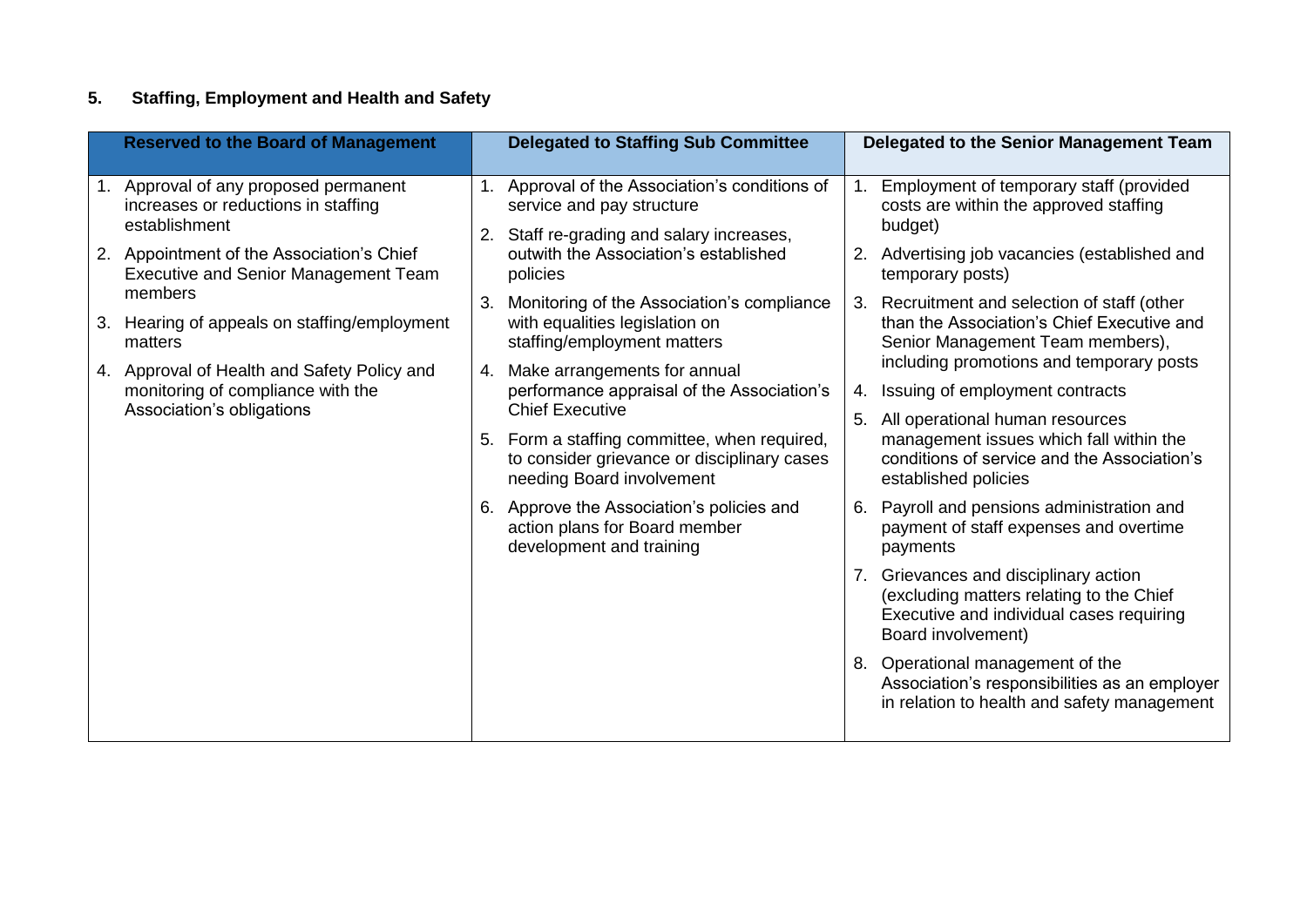# **5. Staffing, Employment and Health and Safety**

| <b>Reserved to the Board of Management</b>                                                                       | <b>Delegated to Staffing Sub Committee</b>                                                                                  | Delegated to the Senior Management Team                                                                                                             |
|------------------------------------------------------------------------------------------------------------------|-----------------------------------------------------------------------------------------------------------------------------|-----------------------------------------------------------------------------------------------------------------------------------------------------|
| Approval of any proposed permanent<br>$1_{\cdot}$<br>increases or reductions in staffing<br>establishment        | Approval of the Association's conditions of<br>1.<br>service and pay structure<br>2. Staff re-grading and salary increases, | Employment of temporary staff (provided<br>costs are within the approved staffing<br>budget)                                                        |
| Appointment of the Association's Chief<br>2.<br>Executive and Senior Management Team<br>members                  | outwith the Association's established<br>policies                                                                           | Advertising job vacancies (established and<br>2.<br>temporary posts)                                                                                |
| 3. Hearing of appeals on staffing/employment<br>matters                                                          | Monitoring of the Association's compliance<br>3.<br>with equalities legislation on<br>staffing/employment matters           | Recruitment and selection of staff (other<br>3.<br>than the Association's Chief Executive and<br>Senior Management Team members),                   |
| Approval of Health and Safety Policy and<br>4.<br>monitoring of compliance with the<br>Association's obligations | Make arrangements for annual<br>4.<br>performance appraisal of the Association's<br><b>Chief Executive</b>                  | including promotions and temporary posts<br>Issuing of employment contracts<br>4.<br>5. All operational human resources                             |
|                                                                                                                  | Form a staffing committee, when required,<br>5.<br>to consider grievance or disciplinary cases<br>needing Board involvement | management issues which fall within the<br>conditions of service and the Association's<br>established policies                                      |
|                                                                                                                  | Approve the Association's policies and<br>6.<br>action plans for Board member<br>development and training                   | Payroll and pensions administration and<br>6.<br>payment of staff expenses and overtime<br>payments                                                 |
|                                                                                                                  |                                                                                                                             | 7. Grievances and disciplinary action<br>(excluding matters relating to the Chief<br>Executive and individual cases requiring<br>Board involvement) |
|                                                                                                                  |                                                                                                                             | 8. Operational management of the<br>Association's responsibilities as an employer<br>in relation to health and safety management                    |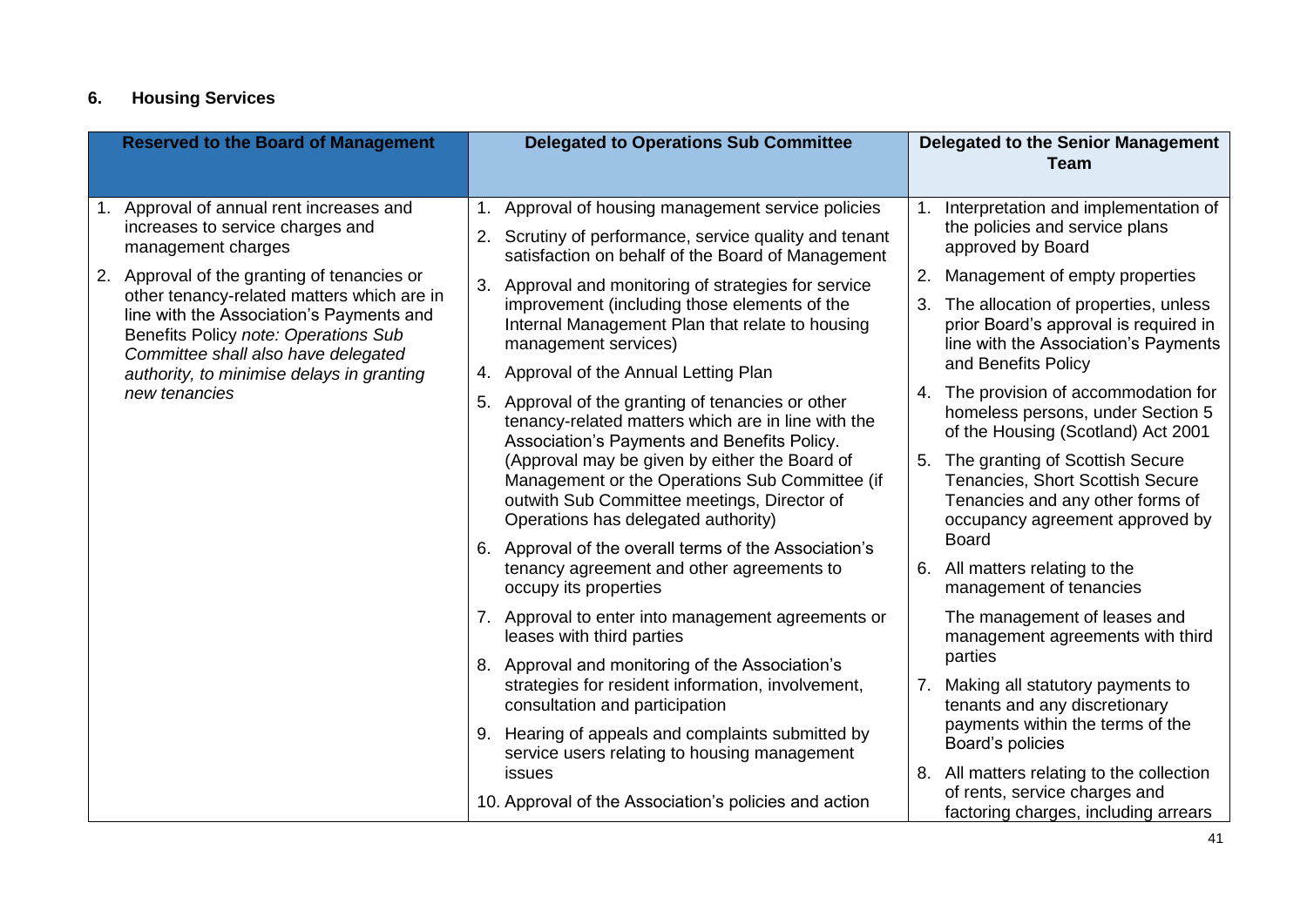# **6. Housing Services**

|  | <b>Reserved to the Board of Management</b>                                                                                                                                            |    | <b>Delegated to Operations Sub Committee</b>                                                                                                           |    | <b>Delegated to the Senior Management</b><br><b>Team</b>                                                           |
|--|---------------------------------------------------------------------------------------------------------------------------------------------------------------------------------------|----|--------------------------------------------------------------------------------------------------------------------------------------------------------|----|--------------------------------------------------------------------------------------------------------------------|
|  | Approval of annual rent increases and<br>increases to service charges and<br>management charges                                                                                       |    | 1. Approval of housing management service policies<br>2. Scrutiny of performance, service quality and tenant                                           |    | Interpretation and implementation of<br>the policies and service plans<br>approved by Board                        |
|  | 2. Approval of the granting of tenancies or<br>other tenancy-related matters which are in                                                                                             | 3. | satisfaction on behalf of the Board of Management<br>Approval and monitoring of strategies for service<br>improvement (including those elements of the | 2. | Management of empty properties<br>3. The allocation of properties, unless                                          |
|  | line with the Association's Payments and<br>Benefits Policy note: Operations Sub<br>Committee shall also have delegated<br>authority, to minimise delays in granting<br>new tenancies |    | Internal Management Plan that relate to housing<br>management services)                                                                                |    | prior Board's approval is required in<br>line with the Association's Payments                                      |
|  |                                                                                                                                                                                       |    | 4. Approval of the Annual Letting Plan<br>5. Approval of the granting of tenancies or other                                                            |    | and Benefits Policy<br>4. The provision of accommodation for<br>homeless persons, under Section 5                  |
|  |                                                                                                                                                                                       |    | tenancy-related matters which are in line with the<br>Association's Payments and Benefits Policy.<br>(Approval may be given by either the Board of     |    | of the Housing (Scotland) Act 2001<br>5. The granting of Scottish Secure                                           |
|  |                                                                                                                                                                                       |    | Management or the Operations Sub Committee (if<br>outwith Sub Committee meetings, Director of<br>Operations has delegated authority)                   |    | Tenancies, Short Scottish Secure<br>Tenancies and any other forms of<br>occupancy agreement approved by            |
|  |                                                                                                                                                                                       |    | 6. Approval of the overall terms of the Association's<br>tenancy agreement and other agreements to<br>occupy its properties                            |    | <b>Board</b><br>6. All matters relating to the<br>management of tenancies                                          |
|  |                                                                                                                                                                                       |    | 7. Approval to enter into management agreements or<br>leases with third parties                                                                        |    | The management of leases and<br>management agreements with third                                                   |
|  |                                                                                                                                                                                       |    | 8. Approval and monitoring of the Association's<br>strategies for resident information, involvement,<br>consultation and participation                 |    | parties<br>7. Making all statutory payments to<br>tenants and any discretionary                                    |
|  |                                                                                                                                                                                       |    | 9. Hearing of appeals and complaints submitted by<br>service users relating to housing management                                                      |    | payments within the terms of the<br>Board's policies                                                               |
|  |                                                                                                                                                                                       |    | issues<br>10. Approval of the Association's policies and action                                                                                        |    | 8. All matters relating to the collection<br>of rents, service charges and<br>factoring charges, including arrears |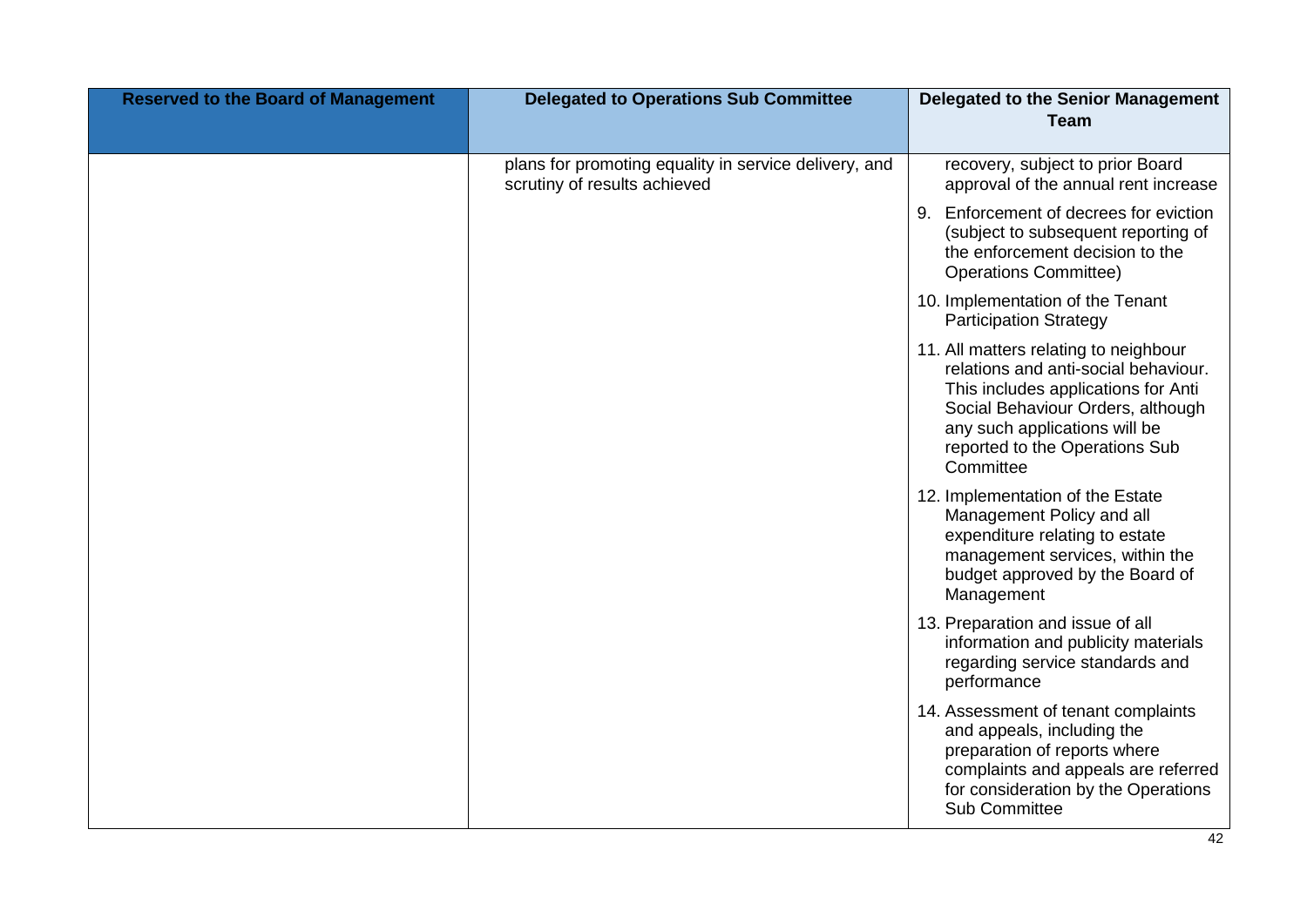| <b>Reserved to the Board of Management</b> | <b>Delegated to Operations Sub Committee</b>                                          | <b>Delegated to the Senior Management</b><br><b>Team</b>                                                                                                                                                                                  |
|--------------------------------------------|---------------------------------------------------------------------------------------|-------------------------------------------------------------------------------------------------------------------------------------------------------------------------------------------------------------------------------------------|
|                                            |                                                                                       |                                                                                                                                                                                                                                           |
|                                            | plans for promoting equality in service delivery, and<br>scrutiny of results achieved | recovery, subject to prior Board<br>approval of the annual rent increase                                                                                                                                                                  |
|                                            |                                                                                       | 9. Enforcement of decrees for eviction<br>(subject to subsequent reporting of<br>the enforcement decision to the<br><b>Operations Committee)</b>                                                                                          |
|                                            |                                                                                       | 10. Implementation of the Tenant<br><b>Participation Strategy</b>                                                                                                                                                                         |
|                                            |                                                                                       | 11. All matters relating to neighbour<br>relations and anti-social behaviour.<br>This includes applications for Anti<br>Social Behaviour Orders, although<br>any such applications will be<br>reported to the Operations Sub<br>Committee |
|                                            |                                                                                       | 12. Implementation of the Estate<br>Management Policy and all<br>expenditure relating to estate<br>management services, within the<br>budget approved by the Board of<br>Management                                                       |
|                                            |                                                                                       | 13. Preparation and issue of all<br>information and publicity materials<br>regarding service standards and<br>performance                                                                                                                 |
|                                            |                                                                                       | 14. Assessment of tenant complaints<br>and appeals, including the<br>preparation of reports where<br>complaints and appeals are referred<br>for consideration by the Operations<br>Sub Committee                                          |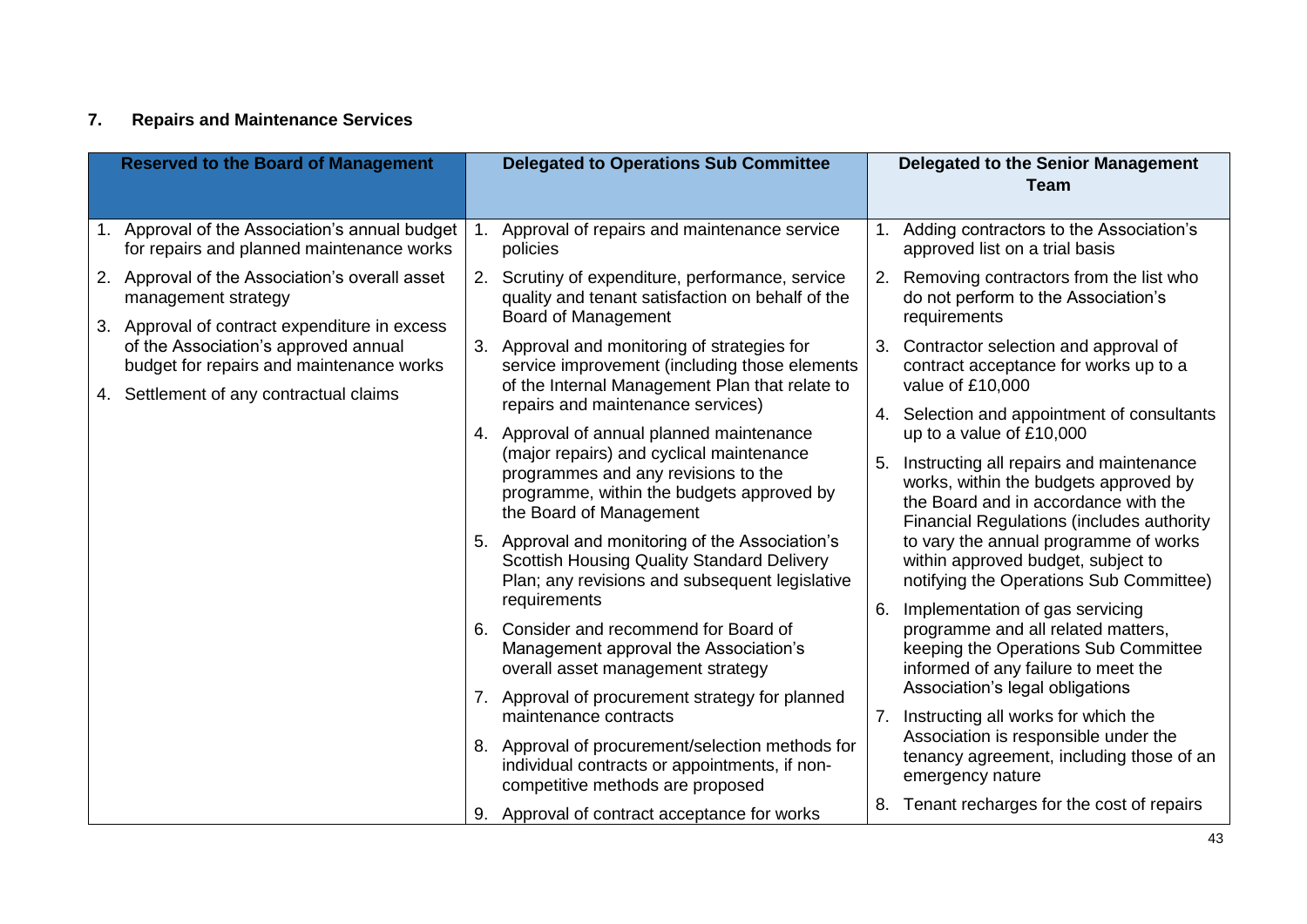# **7. Repairs and Maintenance Services**

| <b>Reserved to the Board of Management</b>                                                                             |    | <b>Delegated to Operations Sub Committee</b>                                                                                                            |    | <b>Delegated to the Senior Management</b><br><b>Team</b>                                                                                                                     |
|------------------------------------------------------------------------------------------------------------------------|----|---------------------------------------------------------------------------------------------------------------------------------------------------------|----|------------------------------------------------------------------------------------------------------------------------------------------------------------------------------|
| Approval of the Association's annual budget<br>$1_{\cdot}$<br>for repairs and planned maintenance works                | 1. | Approval of repairs and maintenance service<br>policies                                                                                                 | 1. | Adding contractors to the Association's<br>approved list on a trial basis                                                                                                    |
| 2. Approval of the Association's overall asset<br>management strategy<br>3. Approval of contract expenditure in excess |    | 2. Scrutiny of expenditure, performance, service<br>quality and tenant satisfaction on behalf of the<br><b>Board of Management</b>                      | 2. | Removing contractors from the list who<br>do not perform to the Association's<br>requirements                                                                                |
| of the Association's approved annual<br>budget for repairs and maintenance works                                       |    | 3. Approval and monitoring of strategies for<br>service improvement (including those elements<br>of the Internal Management Plan that relate to         | 3. | Contractor selection and approval of<br>contract acceptance for works up to a<br>value of £10,000                                                                            |
| 4. Settlement of any contractual claims                                                                                |    | repairs and maintenance services)<br>4. Approval of annual planned maintenance                                                                          | 4. | Selection and appointment of consultants<br>up to a value of £10,000                                                                                                         |
|                                                                                                                        |    | (major repairs) and cyclical maintenance<br>programmes and any revisions to the<br>programme, within the budgets approved by<br>the Board of Management | 5. | Instructing all repairs and maintenance<br>works, within the budgets approved by<br>the Board and in accordance with the<br><b>Financial Regulations (includes authority</b> |
|                                                                                                                        |    | 5. Approval and monitoring of the Association's<br><b>Scottish Housing Quality Standard Delivery</b><br>Plan; any revisions and subsequent legislative  |    | to vary the annual programme of works<br>within approved budget, subject to<br>notifying the Operations Sub Committee)                                                       |
|                                                                                                                        |    | requirements<br>6. Consider and recommend for Board of<br>Management approval the Association's<br>overall asset management strategy                    | 6. | Implementation of gas servicing<br>programme and all related matters,<br>keeping the Operations Sub Committee<br>informed of any failure to meet the                         |
|                                                                                                                        |    | 7. Approval of procurement strategy for planned<br>maintenance contracts                                                                                | 7. | Association's legal obligations<br>Instructing all works for which the                                                                                                       |
|                                                                                                                        |    | 8. Approval of procurement/selection methods for<br>individual contracts or appointments, if non-<br>competitive methods are proposed                   |    | Association is responsible under the<br>tenancy agreement, including those of an<br>emergency nature                                                                         |
|                                                                                                                        |    | 9. Approval of contract acceptance for works                                                                                                            | 8. | Tenant recharges for the cost of repairs                                                                                                                                     |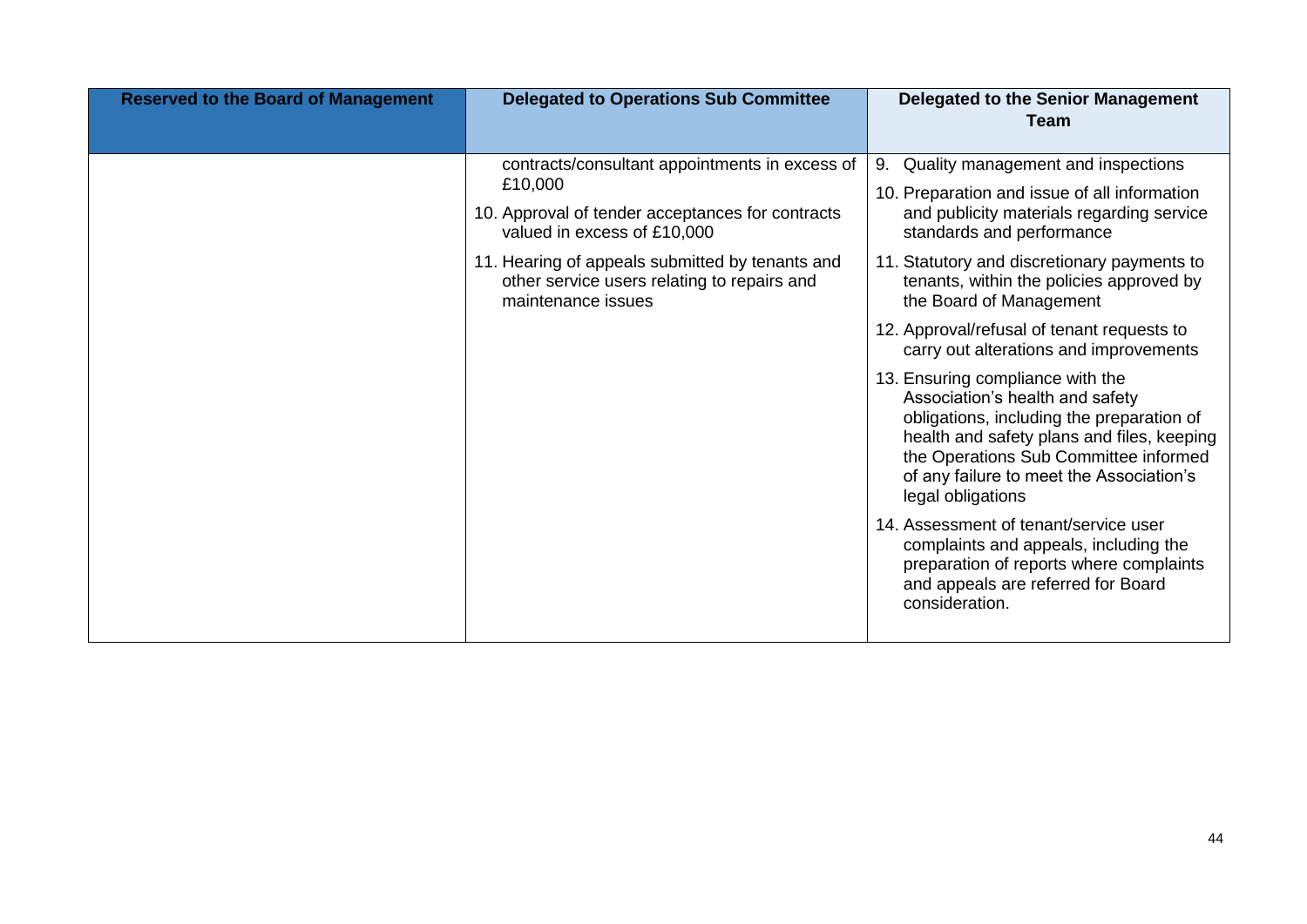| <b>Reserved to the Board of Management</b> | <b>Delegated to Operations Sub Committee</b>                                                                                                                                                                                                                         | <b>Delegated to the Senior Management</b><br><b>Team</b>                                                                                                                                                                                                                                                                                                                                                                                                                                                                                                                                                                                                                                                                                                                                                                                          |
|--------------------------------------------|----------------------------------------------------------------------------------------------------------------------------------------------------------------------------------------------------------------------------------------------------------------------|---------------------------------------------------------------------------------------------------------------------------------------------------------------------------------------------------------------------------------------------------------------------------------------------------------------------------------------------------------------------------------------------------------------------------------------------------------------------------------------------------------------------------------------------------------------------------------------------------------------------------------------------------------------------------------------------------------------------------------------------------------------------------------------------------------------------------------------------------|
|                                            | contracts/consultant appointments in excess of<br>£10,000<br>10. Approval of tender acceptances for contracts<br>valued in excess of £10,000<br>11. Hearing of appeals submitted by tenants and<br>other service users relating to repairs and<br>maintenance issues | Quality management and inspections<br>9.<br>10. Preparation and issue of all information<br>and publicity materials regarding service<br>standards and performance<br>11. Statutory and discretionary payments to<br>tenants, within the policies approved by<br>the Board of Management<br>12. Approval/refusal of tenant requests to<br>carry out alterations and improvements<br>13. Ensuring compliance with the<br>Association's health and safety<br>obligations, including the preparation of<br>health and safety plans and files, keeping<br>the Operations Sub Committee informed<br>of any failure to meet the Association's<br>legal obligations<br>14. Assessment of tenant/service user<br>complaints and appeals, including the<br>preparation of reports where complaints<br>and appeals are referred for Board<br>consideration. |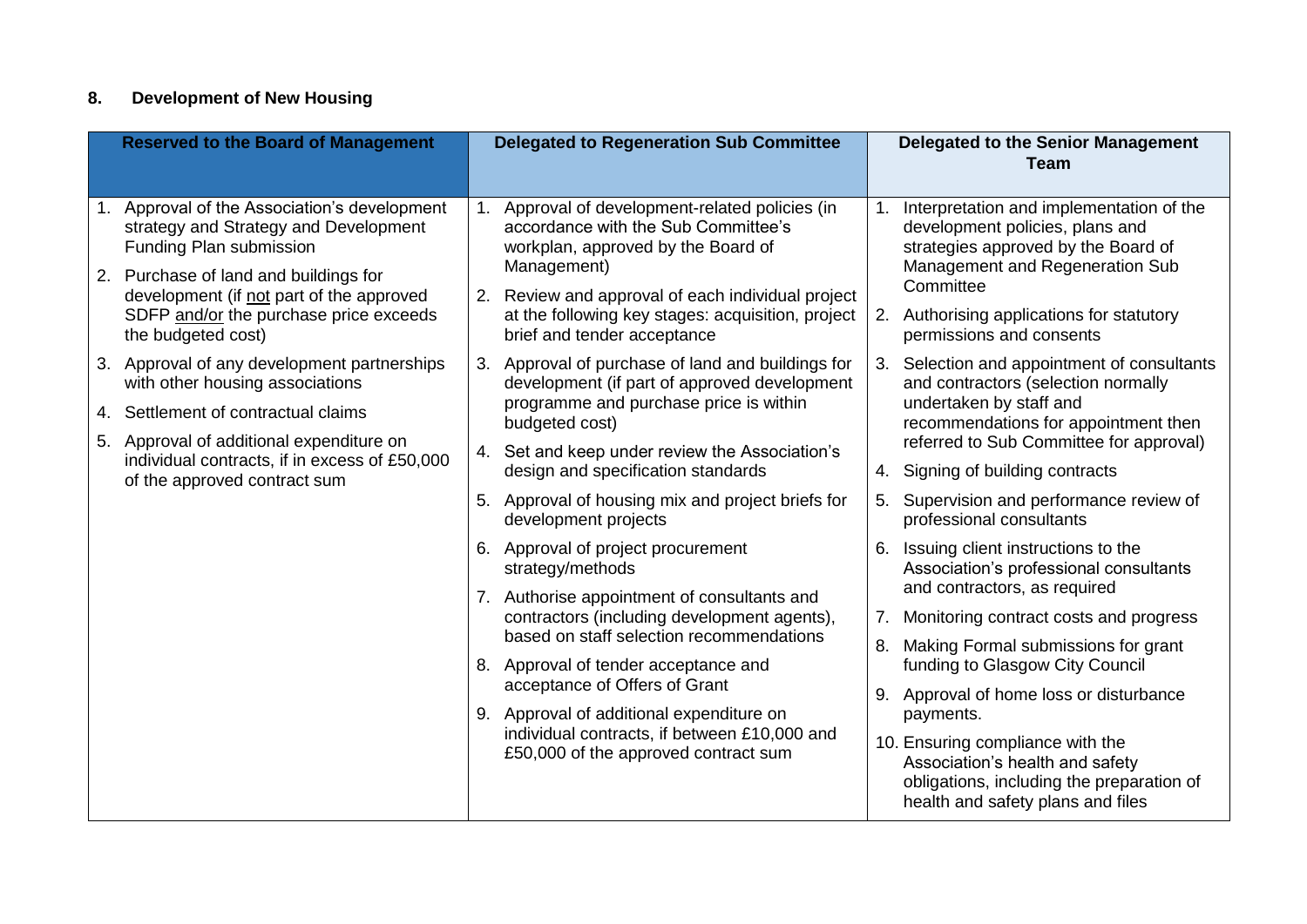# **8. Development of New Housing**

| <b>Reserved to the Board of Management</b>                                                                       | <b>Delegated to Regeneration Sub Committee</b>                                                                                                                                                            | <b>Delegated to the Senior Management</b><br><b>Team</b>                                                                                              |  |
|------------------------------------------------------------------------------------------------------------------|-----------------------------------------------------------------------------------------------------------------------------------------------------------------------------------------------------------|-------------------------------------------------------------------------------------------------------------------------------------------------------|--|
| 1. Approval of the Association's development<br>strategy and Strategy and Development<br>Funding Plan submission | 1. Approval of development-related policies (in<br>accordance with the Sub Committee's<br>workplan, approved by the Board of                                                                              | Interpretation and implementation of the<br>1.<br>development policies, plans and<br>strategies approved by the Board of                              |  |
| 2. Purchase of land and buildings for<br>development (if not part of the approved                                | Management)<br>2. Review and approval of each individual project                                                                                                                                          | Management and Regeneration Sub<br>Committee                                                                                                          |  |
| SDFP and/or the purchase price exceeds<br>the budgeted cost)                                                     | at the following key stages: acquisition, project<br>brief and tender acceptance                                                                                                                          | Authorising applications for statutory<br>2.<br>permissions and consents                                                                              |  |
| 3. Approval of any development partnerships<br>with other housing associations                                   | 3. Approval of purchase of land and buildings for<br>development (if part of approved development                                                                                                         | Selection and appointment of consultants<br>3.<br>and contractors (selection normally                                                                 |  |
| 4. Settlement of contractual claims                                                                              | programme and purchase price is within<br>budgeted cost)                                                                                                                                                  | undertaken by staff and<br>recommendations for appointment then                                                                                       |  |
| 5. Approval of additional expenditure on<br>individual contracts, if in excess of £50,000                        | 4. Set and keep under review the Association's                                                                                                                                                            | referred to Sub Committee for approval)                                                                                                               |  |
| of the approved contract sum                                                                                     | design and specification standards                                                                                                                                                                        | Signing of building contracts<br>4.                                                                                                                   |  |
|                                                                                                                  | 5. Approval of housing mix and project briefs for<br>development projects                                                                                                                                 | Supervision and performance review of<br>5.<br>professional consultants                                                                               |  |
|                                                                                                                  | 6. Approval of project procurement<br>strategy/methods                                                                                                                                                    | Issuing client instructions to the<br>6.<br>Association's professional consultants                                                                    |  |
|                                                                                                                  | 7. Authorise appointment of consultants and                                                                                                                                                               | and contractors, as required                                                                                                                          |  |
|                                                                                                                  | contractors (including development agents),<br>based on staff selection recommendations                                                                                                                   | Monitoring contract costs and progress<br>7.                                                                                                          |  |
|                                                                                                                  | 8. Approval of tender acceptance and<br>acceptance of Offers of Grant<br>9. Approval of additional expenditure on<br>individual contracts, if between £10,000 and<br>£50,000 of the approved contract sum | Making Formal submissions for grant<br>8.<br>funding to Glasgow City Council                                                                          |  |
|                                                                                                                  |                                                                                                                                                                                                           | Approval of home loss or disturbance<br>9.                                                                                                            |  |
|                                                                                                                  |                                                                                                                                                                                                           | payments.                                                                                                                                             |  |
|                                                                                                                  |                                                                                                                                                                                                           | 10. Ensuring compliance with the<br>Association's health and safety<br>obligations, including the preparation of<br>health and safety plans and files |  |
|                                                                                                                  |                                                                                                                                                                                                           |                                                                                                                                                       |  |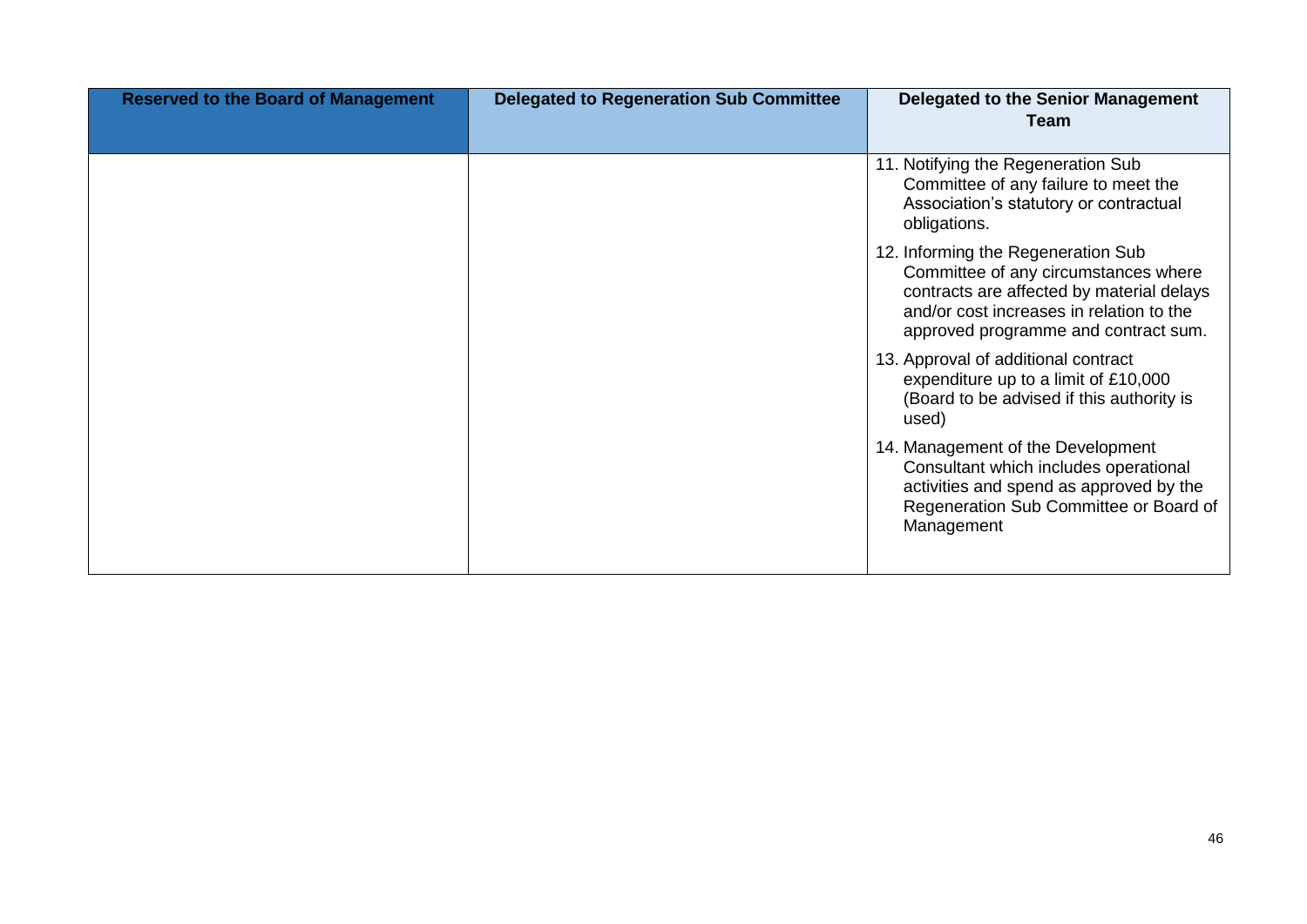| <b>Reserved to the Board of Management</b> | <b>Delegated to Regeneration Sub Committee</b> | Delegated to the Senior Management<br>Team                                                                                                                                                                  |
|--------------------------------------------|------------------------------------------------|-------------------------------------------------------------------------------------------------------------------------------------------------------------------------------------------------------------|
|                                            |                                                | 11. Notifying the Regeneration Sub<br>Committee of any failure to meet the<br>Association's statutory or contractual<br>obligations.                                                                        |
|                                            |                                                | 12. Informing the Regeneration Sub<br>Committee of any circumstances where<br>contracts are affected by material delays<br>and/or cost increases in relation to the<br>approved programme and contract sum. |
|                                            |                                                | 13. Approval of additional contract<br>expenditure up to a limit of £10,000<br>(Board to be advised if this authority is<br>used)                                                                           |
|                                            |                                                | 14. Management of the Development<br>Consultant which includes operational<br>activities and spend as approved by the<br>Regeneration Sub Committee or Board of<br>Management                               |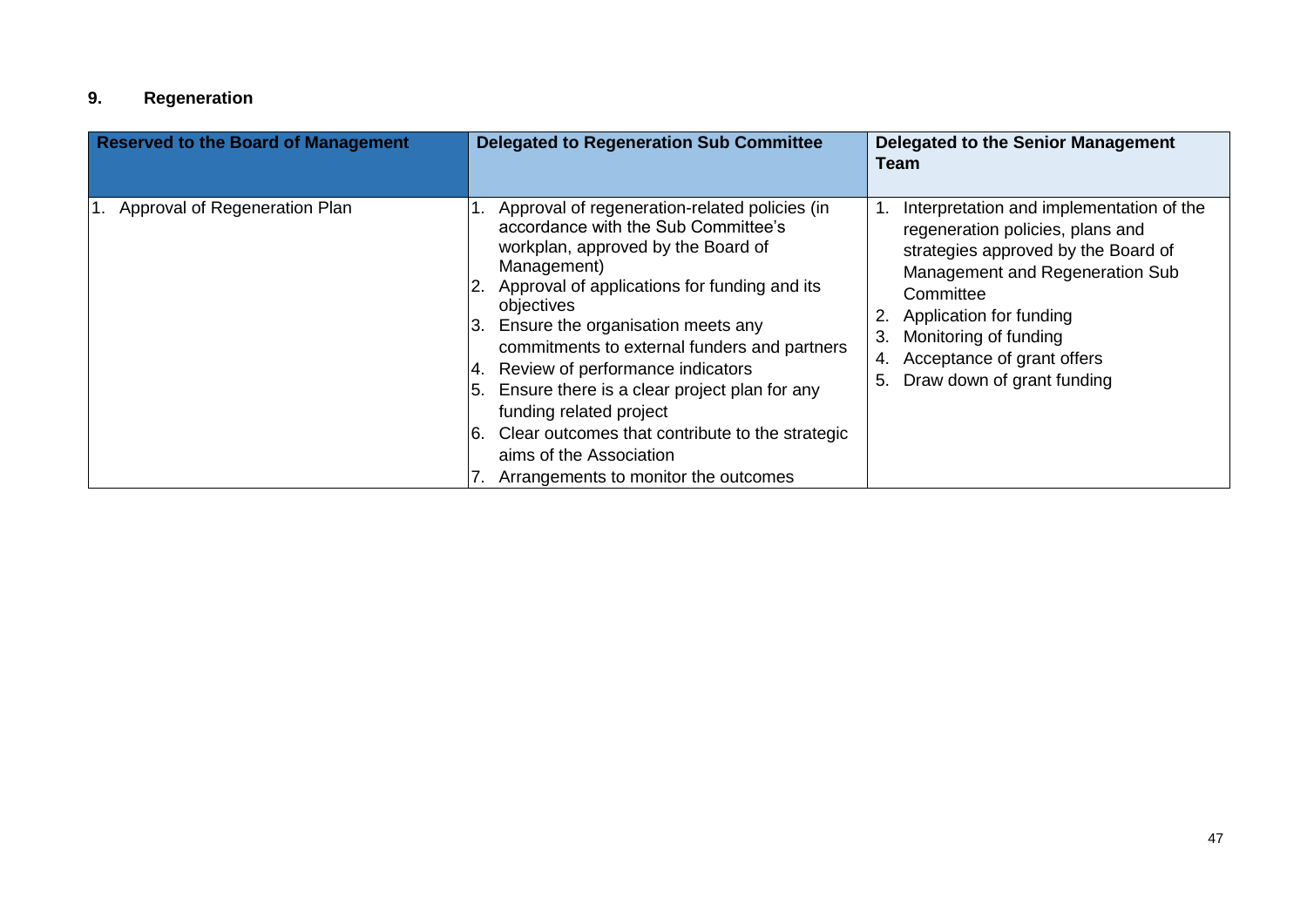# **9. Regeneration**

| <b>Reserved to the Board of Management</b> | <b>Delegated to Regeneration Sub Committee</b>                                                                                                                                                                                                                                                                                                                                                                                                                                                                                                             | <b>Delegated to the Senior Management</b><br><b>Team</b>                                                                                                                                                                                                                                              |
|--------------------------------------------|------------------------------------------------------------------------------------------------------------------------------------------------------------------------------------------------------------------------------------------------------------------------------------------------------------------------------------------------------------------------------------------------------------------------------------------------------------------------------------------------------------------------------------------------------------|-------------------------------------------------------------------------------------------------------------------------------------------------------------------------------------------------------------------------------------------------------------------------------------------------------|
| 1. Approval of Regeneration Plan           | Approval of regeneration-related policies (in<br>accordance with the Sub Committee's<br>workplan, approved by the Board of<br>Management)<br>2. Approval of applications for funding and its<br>objectives<br>Ensure the organisation meets any<br>Β.<br>commitments to external funders and partners<br>Review of performance indicators<br>$ 5.$ Ensure there is a clear project plan for any<br>funding related project<br>Clear outcomes that contribute to the strategic<br>I6.<br>aims of the Association<br>7. Arrangements to monitor the outcomes | Interpretation and implementation of the<br>regeneration policies, plans and<br>strategies approved by the Board of<br>Management and Regeneration Sub<br>Committee<br>Application for funding<br>Monitoring of funding<br>3.<br>Acceptance of grant offers<br>4.<br>Draw down of grant funding<br>5. |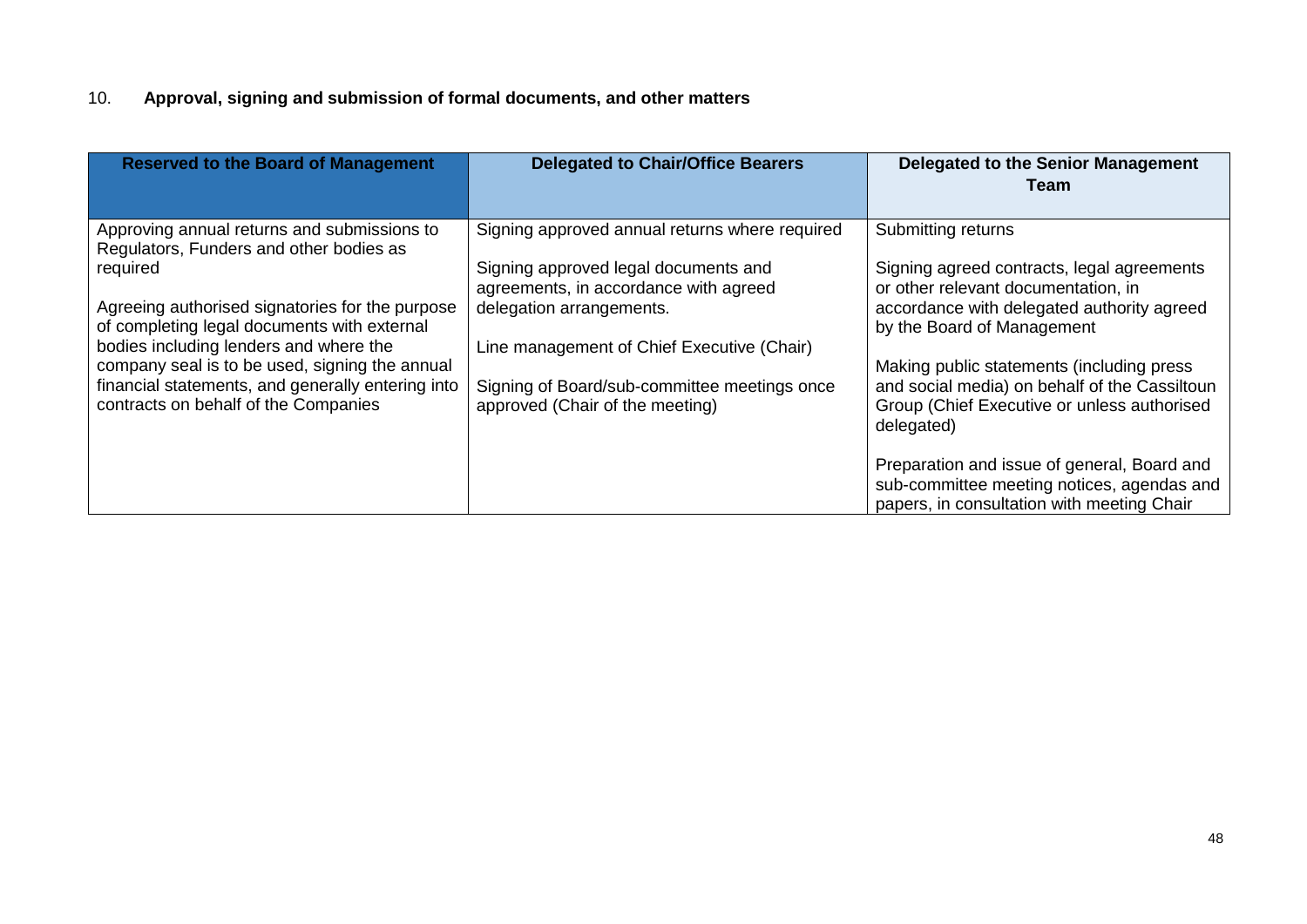# 10. **Approval, signing and submission of formal documents, and other matters**

| <b>Reserved to the Board of Management</b>                                                                                                                                                                                                                                                                                                                                                    | <b>Delegated to Chair/Office Bearers</b>                                                                                                                                                                                                                                                     | Delegated to the Senior Management<br>Team                                                                                                                                                                                                                                                                                                                                                                                                                                                |
|-----------------------------------------------------------------------------------------------------------------------------------------------------------------------------------------------------------------------------------------------------------------------------------------------------------------------------------------------------------------------------------------------|----------------------------------------------------------------------------------------------------------------------------------------------------------------------------------------------------------------------------------------------------------------------------------------------|-------------------------------------------------------------------------------------------------------------------------------------------------------------------------------------------------------------------------------------------------------------------------------------------------------------------------------------------------------------------------------------------------------------------------------------------------------------------------------------------|
| Approving annual returns and submissions to<br>Regulators, Funders and other bodies as<br>required<br>Agreeing authorised signatories for the purpose<br>of completing legal documents with external<br>bodies including lenders and where the<br>company seal is to be used, signing the annual<br>financial statements, and generally entering into<br>contracts on behalf of the Companies | Signing approved annual returns where required<br>Signing approved legal documents and<br>agreements, in accordance with agreed<br>delegation arrangements.<br>Line management of Chief Executive (Chair)<br>Signing of Board/sub-committee meetings once<br>approved (Chair of the meeting) | Submitting returns<br>Signing agreed contracts, legal agreements<br>or other relevant documentation, in<br>accordance with delegated authority agreed<br>by the Board of Management<br>Making public statements (including press<br>and social media) on behalf of the Cassiltoun<br>Group (Chief Executive or unless authorised<br>delegated)<br>Preparation and issue of general, Board and<br>sub-committee meeting notices, agendas and<br>papers, in consultation with meeting Chair |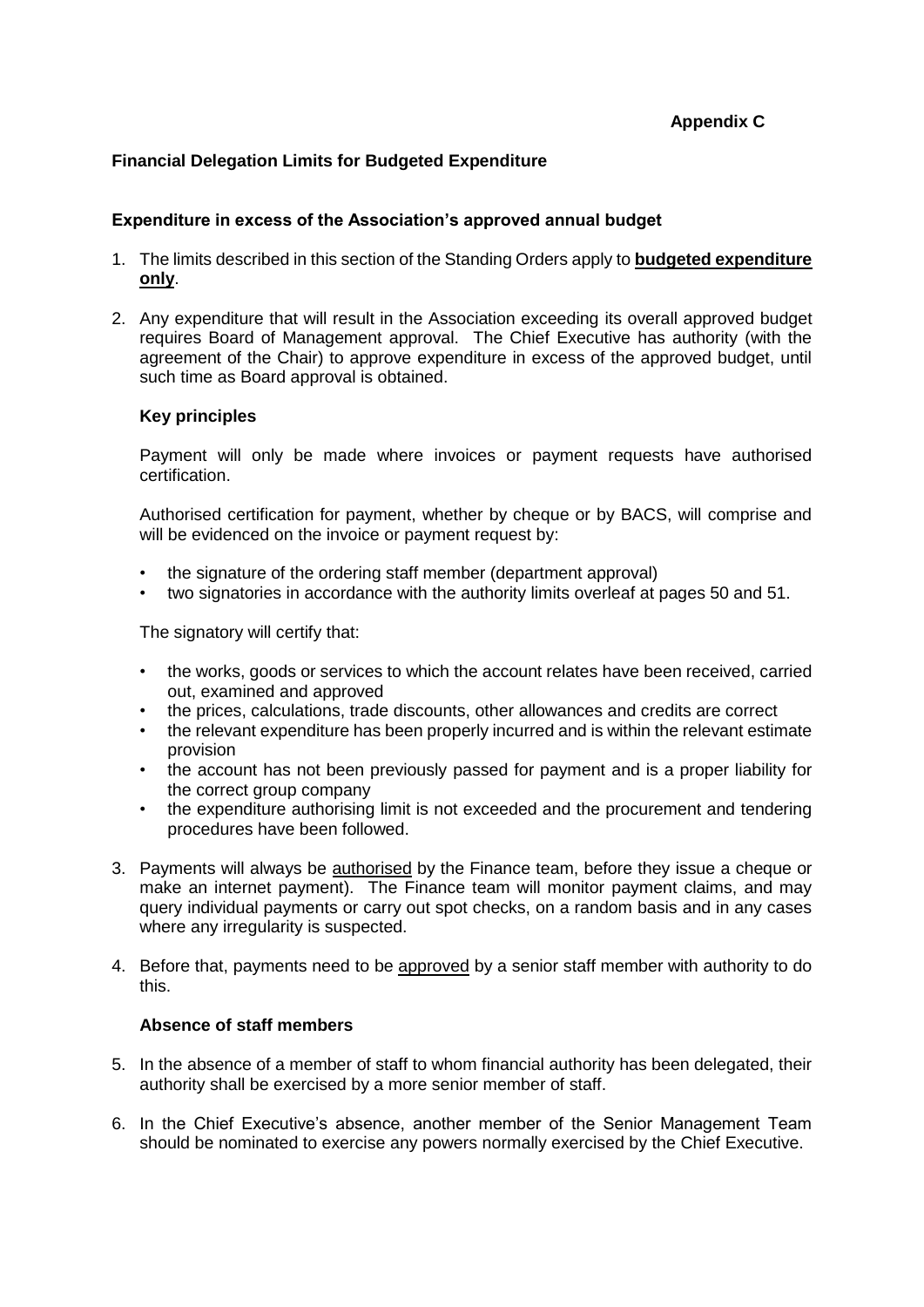## **Appendix C**

## **Financial Delegation Limits for Budgeted Expenditure**

#### **Expenditure in excess of the Association's approved annual budget**

- 1. The limits described in this section of the Standing Orders apply to **budgeted expenditure only**.
- 2. Any expenditure that will result in the Association exceeding its overall approved budget requires Board of Management approval. The Chief Executive has authority (with the agreement of the Chair) to approve expenditure in excess of the approved budget, until such time as Board approval is obtained.

#### **Key principles**

Payment will only be made where invoices or payment requests have authorised certification.

Authorised certification for payment, whether by cheque or by BACS, will comprise and will be evidenced on the invoice or payment request by:

- the signature of the ordering staff member (department approval)
- two signatories in accordance with the authority limits overleaf at pages 50 and 51.

The signatory will certify that:

- the works, goods or services to which the account relates have been received, carried out, examined and approved
- the prices, calculations, trade discounts, other allowances and credits are correct
- the relevant expenditure has been properly incurred and is within the relevant estimate provision
- the account has not been previously passed for payment and is a proper liability for the correct group company
- the expenditure authorising limit is not exceeded and the procurement and tendering procedures have been followed.
- 3. Payments will always be authorised by the Finance team, before they issue a cheque or make an internet payment). The Finance team will monitor payment claims, and may query individual payments or carry out spot checks, on a random basis and in any cases where any irregularity is suspected.
- 4. Before that, payments need to be approved by a senior staff member with authority to do this.

#### **Absence of staff members**

- 5. In the absence of a member of staff to whom financial authority has been delegated, their authority shall be exercised by a more senior member of staff.
- 6. In the Chief Executive's absence, another member of the Senior Management Team should be nominated to exercise any powers normally exercised by the Chief Executive.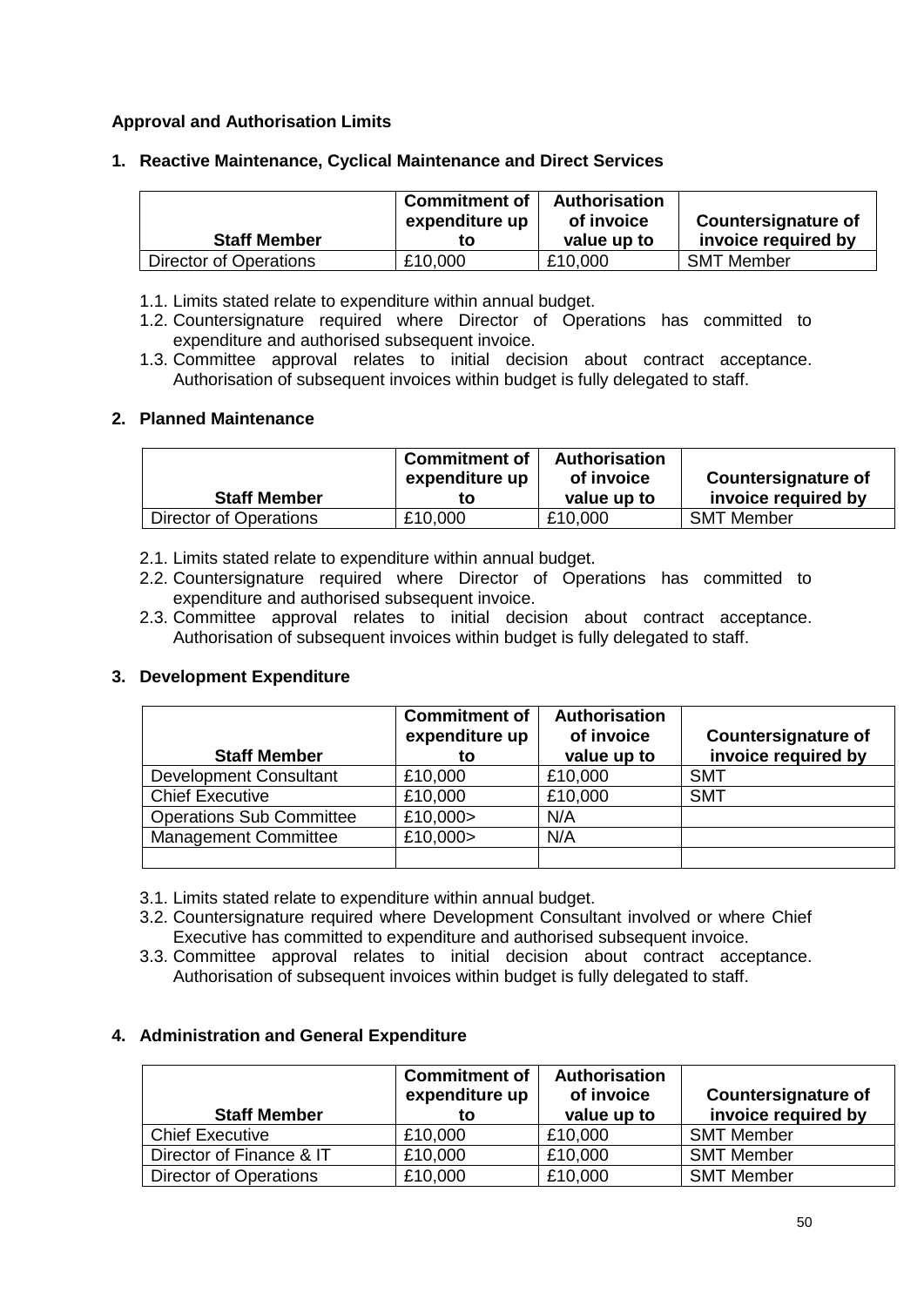# **Approval and Authorisation Limits**

#### **1. Reactive Maintenance, Cyclical Maintenance and Direct Services**

| <b>Staff Member</b>    | <b>Commitment of</b><br>expenditure up<br>tΟ | <b>Authorisation</b><br>of invoice<br>value up to | <b>Countersignature of</b><br>invoice required by |
|------------------------|----------------------------------------------|---------------------------------------------------|---------------------------------------------------|
| Director of Operations | £10,000                                      | £10,000                                           | <b>SMT Member</b>                                 |

- 1.1. Limits stated relate to expenditure within annual budget.
- 1.2. Countersignature required where Director of Operations has committed to expenditure and authorised subsequent invoice.
- 1.3. Committee approval relates to initial decision about contract acceptance. Authorisation of subsequent invoices within budget is fully delegated to staff.

#### **2. Planned Maintenance**

| <b>Staff Member</b>    | <b>Commitment of</b><br>expenditure up<br>to | <b>Authorisation</b><br>of invoice<br>value up to | <b>Countersignature of</b><br>invoice required by |
|------------------------|----------------------------------------------|---------------------------------------------------|---------------------------------------------------|
| Director of Operations | £10,000                                      | £10,000                                           | <b>SMT Member</b>                                 |

- 2.1. Limits stated relate to expenditure within annual budget.
- 2.2. Countersignature required where Director of Operations has committed to expenditure and authorised subsequent invoice.
- 2.3. Committee approval relates to initial decision about contract acceptance. Authorisation of subsequent invoices within budget is fully delegated to staff.

#### **3. Development Expenditure**

| <b>Staff Member</b>             | <b>Commitment of</b><br>expenditure up<br>to | <b>Authorisation</b><br>of invoice<br>value up to | <b>Countersignature of</b><br>invoice required by |
|---------------------------------|----------------------------------------------|---------------------------------------------------|---------------------------------------------------|
| <b>Development Consultant</b>   | £10,000                                      | £10,000                                           | <b>SMT</b>                                        |
| <b>Chief Executive</b>          | £10,000                                      | £10,000                                           | <b>SMT</b>                                        |
| <b>Operations Sub Committee</b> | £10,000>                                     | N/A                                               |                                                   |
| <b>Management Committee</b>     | £10,000>                                     | N/A                                               |                                                   |
|                                 |                                              |                                                   |                                                   |

- 3.1. Limits stated relate to expenditure within annual budget.
- 3.2. Countersignature required where Development Consultant involved or where Chief Executive has committed to expenditure and authorised subsequent invoice.
- 3.3. Committee approval relates to initial decision about contract acceptance. Authorisation of subsequent invoices within budget is fully delegated to staff.

#### **4. Administration and General Expenditure**

| <b>Staff Member</b>      | <b>Commitment of</b><br>expenditure up<br>to | <b>Authorisation</b><br>of invoice<br>value up to | <b>Countersignature of</b><br>invoice required by |
|--------------------------|----------------------------------------------|---------------------------------------------------|---------------------------------------------------|
| <b>Chief Executive</b>   | £10,000                                      | £10,000                                           | <b>SMT Member</b>                                 |
| Director of Finance & IT | £10,000                                      | £10,000                                           | <b>SMT Member</b>                                 |
| Director of Operations   | £10,000                                      | £10,000                                           | <b>SMT Member</b>                                 |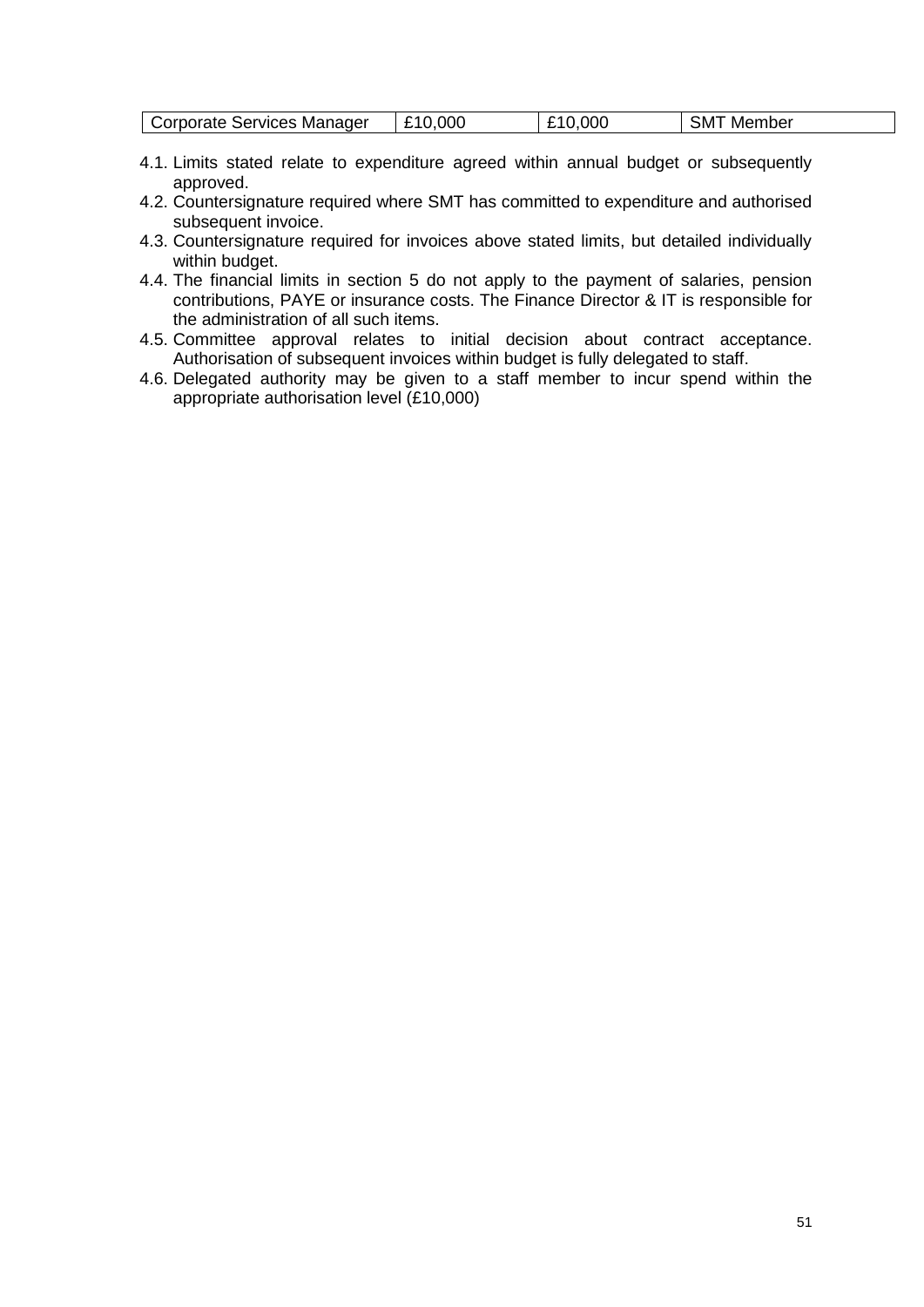| Corporate Services Manager | .000<br>n<br>69 A | .ooc<br>10 | SM<br>Member |
|----------------------------|-------------------|------------|--------------|
|----------------------------|-------------------|------------|--------------|

- 4.1. Limits stated relate to expenditure agreed within annual budget or subsequently approved.
- 4.2. Countersignature required where SMT has committed to expenditure and authorised subsequent invoice.
- 4.3. Countersignature required for invoices above stated limits, but detailed individually within budget.
- 4.4. The financial limits in section 5 do not apply to the payment of salaries, pension contributions, PAYE or insurance costs. The Finance Director & IT is responsible for the administration of all such items.
- 4.5. Committee approval relates to initial decision about contract acceptance. Authorisation of subsequent invoices within budget is fully delegated to staff.
- 4.6. Delegated authority may be given to a staff member to incur spend within the appropriate authorisation level (£10,000)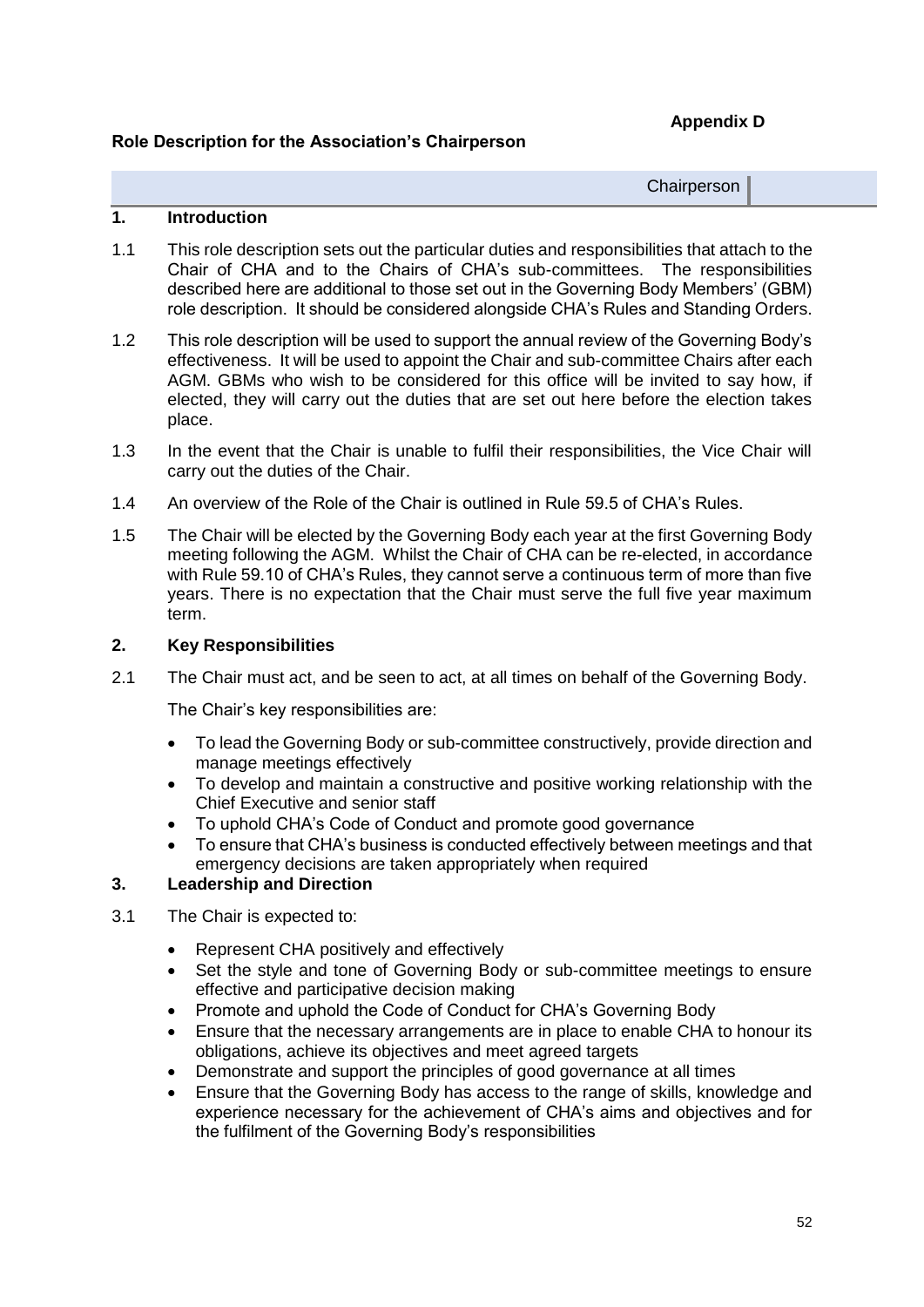**Appendix D**

# **Role Description for the Association's Chairperson**

**Chairperson** 

# **1. Introduction**

- 1.1 This role description sets out the particular duties and responsibilities that attach to the Chair of CHA and to the Chairs of CHA's sub-committees. The responsibilities described here are additional to those set out in the Governing Body Members' (GBM) role description. It should be considered alongside CHA's Rules and Standing Orders.
- 1.2 This role description will be used to support the annual review of the Governing Body's effectiveness. It will be used to appoint the Chair and sub-committee Chairs after each AGM. GBMs who wish to be considered for this office will be invited to say how, if elected, they will carry out the duties that are set out here before the election takes place.
- 1.3 In the event that the Chair is unable to fulfil their responsibilities, the Vice Chair will carry out the duties of the Chair.
- 1.4 An overview of the Role of the Chair is outlined in Rule 59.5 of CHA's Rules.
- 1.5 The Chair will be elected by the Governing Body each year at the first Governing Body meeting following the AGM. Whilst the Chair of CHA can be re-elected, in accordance with Rule 59.10 of CHA's Rules, they cannot serve a continuous term of more than five years. There is no expectation that the Chair must serve the full five year maximum term.

## **2. Key Responsibilities**

2.1 The Chair must act, and be seen to act, at all times on behalf of the Governing Body.

The Chair's key responsibilities are:

- To lead the Governing Body or sub-committee constructively, provide direction and manage meetings effectively
- To develop and maintain a constructive and positive working relationship with the Chief Executive and senior staff
- To uphold CHA's Code of Conduct and promote good governance
- To ensure that CHA's business is conducted effectively between meetings and that emergency decisions are taken appropriately when required

# **3. Leadership and Direction**

- 3.1 The Chair is expected to:
	- Represent CHA positively and effectively
	- Set the style and tone of Governing Body or sub-committee meetings to ensure effective and participative decision making
	- Promote and uphold the Code of Conduct for CHA's Governing Body
	- Ensure that the necessary arrangements are in place to enable CHA to honour its obligations, achieve its objectives and meet agreed targets
	- Demonstrate and support the principles of good governance at all times
	- Ensure that the Governing Body has access to the range of skills, knowledge and experience necessary for the achievement of CHA's aims and objectives and for the fulfilment of the Governing Body's responsibilities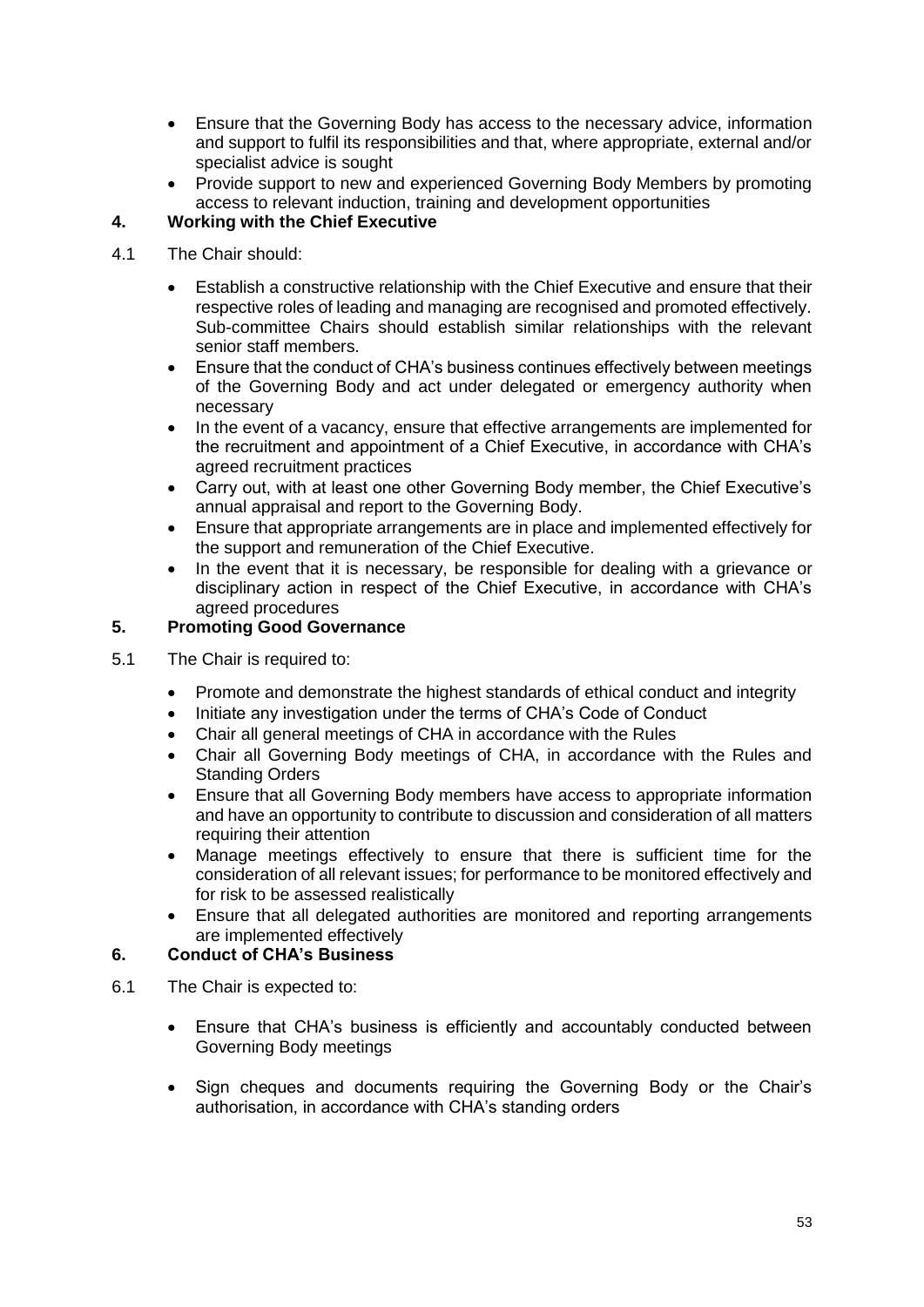- Ensure that the Governing Body has access to the necessary advice, information and support to fulfil its responsibilities and that, where appropriate, external and/or specialist advice is sought
- Provide support to new and experienced Governing Body Members by promoting access to relevant induction, training and development opportunities

# **4. Working with the Chief Executive**

- 4.1 The Chair should:
	- Establish a constructive relationship with the Chief Executive and ensure that their respective roles of leading and managing are recognised and promoted effectively. Sub-committee Chairs should establish similar relationships with the relevant senior staff members.
	- Ensure that the conduct of CHA's business continues effectively between meetings of the Governing Body and act under delegated or emergency authority when necessary
	- In the event of a vacancy, ensure that effective arrangements are implemented for the recruitment and appointment of a Chief Executive, in accordance with CHA's agreed recruitment practices
	- Carry out, with at least one other Governing Body member, the Chief Executive's annual appraisal and report to the Governing Body.
	- Ensure that appropriate arrangements are in place and implemented effectively for the support and remuneration of the Chief Executive.
	- In the event that it is necessary, be responsible for dealing with a grievance or disciplinary action in respect of the Chief Executive, in accordance with CHA's agreed procedures

# **5. Promoting Good Governance**

- 5.1 The Chair is required to:
	- Promote and demonstrate the highest standards of ethical conduct and integrity
	- Initiate any investigation under the terms of CHA's Code of Conduct
	- Chair all general meetings of CHA in accordance with the Rules
	- Chair all Governing Body meetings of CHA, in accordance with the Rules and Standing Orders
	- Ensure that all Governing Body members have access to appropriate information and have an opportunity to contribute to discussion and consideration of all matters requiring their attention
	- Manage meetings effectively to ensure that there is sufficient time for the consideration of all relevant issues; for performance to be monitored effectively and for risk to be assessed realistically
	- Ensure that all delegated authorities are monitored and reporting arrangements are implemented effectively

# **6. Conduct of CHA's Business**

- 6.1 The Chair is expected to:
	- Ensure that CHA's business is efficiently and accountably conducted between Governing Body meetings
	- Sign cheques and documents requiring the Governing Body or the Chair's authorisation, in accordance with CHA's standing orders